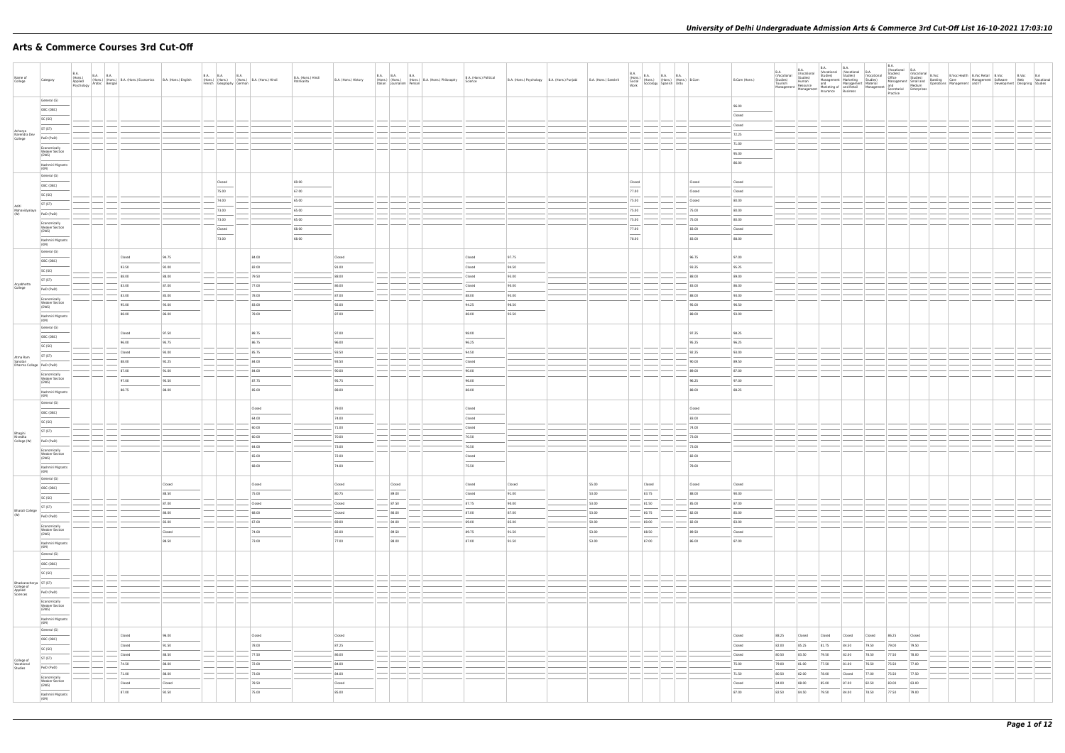### **Arts & Commerce Courses 3rd Cut-Off**

| Name of<br>College                  | Category                                                   | B.A.<br>(Hons.)<br>Applied<br>Psychology | B.A. B.A. (Hons.) B.A. (Hons.) Economics B.A. (Hons.) English<br>v Arabic Bengali |                                   |       | French   Geography   German | B.A. B.A. B.A. B.A. (Hons.) B.A. (Hons.) Hindi | B.A. (Hons.) Hindi<br>Patrikarita | B.A. (Hons.) History | Italian Journalism Persian         | B.A. B.A. B.A. B.A. (Hons.) B.A. (Hons.) Philosophy | B.A. (Hons.) Political<br>Science | B.A. (Hons.) Psychology   B.A. (Hons.) Punjabi | <b>B.A.</b><br>B.A. (Hons.) Sanskrit<br>Work | B.A. (Hons.) B.A. B.A. B.A. (Hons.) B.Com<br>Social (Hons.) (Hons.) (Hons.) B.Com<br>Work Sociology Spanish Urdu |                | B.Com (Hons.)    |                                   |                                    |                 |                |                 |  |  |
|-------------------------------------|------------------------------------------------------------|------------------------------------------|-----------------------------------------------------------------------------------|-----------------------------------|-------|-----------------------------|------------------------------------------------|-----------------------------------|----------------------|------------------------------------|-----------------------------------------------------|-----------------------------------|------------------------------------------------|----------------------------------------------|------------------------------------------------------------------------------------------------------------------|----------------|------------------|-----------------------------------|------------------------------------|-----------------|----------------|-----------------|--|--|
|                                     | General (G)                                                |                                          |                                                                                   |                                   |       |                             |                                                |                                   |                      |                                    |                                                     |                                   |                                                |                                              |                                                                                                                  |                | 96.00            |                                   |                                    |                 |                |                 |  |  |
|                                     | OBC (OBC)                                                  |                                          |                                                                                   |                                   |       |                             |                                                |                                   |                      |                                    |                                                     |                                   |                                                |                                              |                                                                                                                  |                | Closed           |                                   |                                    |                 |                |                 |  |  |
|                                     | SC (SC)                                                    |                                          |                                                                                   |                                   |       |                             |                                                |                                   |                      |                                    |                                                     |                                   |                                                |                                              |                                                                                                                  |                | Closed           |                                   |                                    |                 |                |                 |  |  |
| Acharya<br>Narendra Dev<br>College  | ST (ST)<br>PwD (PwD)                                       |                                          |                                                                                   |                                   |       |                             |                                                |                                   |                      |                                    |                                                     |                                   |                                                |                                              |                                                                                                                  |                | 72.25            |                                   |                                    |                 |                |                 |  |  |
|                                     | Economically                                               |                                          |                                                                                   |                                   |       |                             |                                                |                                   |                      |                                    |                                                     |                                   |                                                |                                              |                                                                                                                  |                | 71.00            |                                   |                                    |                 |                |                 |  |  |
|                                     | <b>Weaker Section</b><br>(EWS)                             |                                          |                                                                                   |                                   |       |                             |                                                |                                   |                      |                                    |                                                     |                                   |                                                |                                              |                                                                                                                  |                | 95.00            |                                   |                                    |                 |                |                 |  |  |
|                                     | Kashmiri Migrants                                          |                                          |                                                                                   |                                   |       |                             |                                                |                                   |                      |                                    |                                                     |                                   |                                                |                                              |                                                                                                                  |                | 86.00            |                                   |                                    |                 |                |                 |  |  |
|                                     | (KM)<br>General (G)                                        |                                          |                                                                                   |                                   |       |                             |                                                |                                   |                      |                                    |                                                     |                                   |                                                |                                              |                                                                                                                  |                |                  |                                   |                                    |                 |                |                 |  |  |
|                                     | OBC (OBC)                                                  |                                          |                                                                                   |                                   |       | Closed                      |                                                | 69.00                             |                      |                                    |                                                     |                                   |                                                | Closed                                       |                                                                                                                  | Closed         | Closed           |                                   |                                    |                 |                |                 |  |  |
|                                     | SC (SC)                                                    |                                          |                                                                                   |                                   |       | 75.00                       |                                                | 67.00                             |                      |                                    |                                                     |                                   |                                                | 77.00                                        |                                                                                                                  | Closed         | Closed           |                                   |                                    |                 |                |                 |  |  |
| Aditi                               | ST (ST)                                                    |                                          |                                                                                   |                                   |       | 74.00                       |                                                | 65.00                             |                      |                                    |                                                     |                                   |                                                | 75.00                                        |                                                                                                                  | Closed         | 80.00            |                                   |                                    |                 |                |                 |  |  |
| Mahavidyalaya<br>(W)                | PwD (PwD)                                                  |                                          |                                                                                   |                                   |       | 73.00<br>73.00              |                                                | 65.00<br>65.00                    |                      |                                    |                                                     |                                   |                                                | 75.00<br>75.00                               |                                                                                                                  | 75.00<br>75.00 | 80.00<br>80.00   |                                   |                                    |                 |                |                 |  |  |
|                                     | Economically<br><b>Weaker Section</b>                      |                                          |                                                                                   |                                   |       | Closed                      |                                                | 68.00                             |                      |                                    |                                                     |                                   |                                                | 77.00                                        |                                                                                                                  | 83.00          | Closed           |                                   |                                    |                 |                |                 |  |  |
|                                     | (EWS)                                                      |                                          |                                                                                   |                                   |       | $\sim$<br>73.00             |                                                | 68.00                             |                      |                                    |                                                     |                                   |                                                | 78.00                                        |                                                                                                                  | 83.00          | 88.00            |                                   |                                    |                 |                |                 |  |  |
|                                     | Kashmiri Migrants<br>(KM)                                  |                                          |                                                                                   |                                   |       |                             |                                                |                                   |                      |                                    |                                                     |                                   |                                                |                                              |                                                                                                                  |                |                  |                                   |                                    |                 |                |                 |  |  |
|                                     | General (G)<br>OBC (OBC)                                   |                                          | Closed                                                                            | 94.75                             |       |                             | 84.00                                          |                                   | Closed               |                                    |                                                     | Closed                            | 97.75                                          |                                              |                                                                                                                  | 96.75          | 97.00            |                                   |                                    |                 |                |                 |  |  |
|                                     | SC (SC)                                                    |                                          | 93.50                                                                             | 92.00                             |       |                             | 82.00                                          |                                   | 91.00                |                                    |                                                     | Closed                            | 94.50                                          |                                              |                                                                                                                  | 93.25          | 95.25            |                                   |                                    |                 |                |                 |  |  |
|                                     | ST (ST)                                                    |                                          | 88.00                                                                             | 88.00                             |       |                             | 79.50                                          |                                   | 88.00                |                                    |                                                     | Closed                            | 93.00                                          |                                              |                                                                                                                  | 88.00          | 89.00            |                                   |                                    |                 |                |                 |  |  |
| Aryabhatta<br>College               | PwD (PwD)                                                  |                                          | 83.00                                                                             | 87.00                             |       |                             | 77.00                                          |                                   | 86.00                |                                    |                                                     | Closed                            | 90.00                                          |                                              |                                                                                                                  | 83.00          | 86.00            |                                   |                                    |                 |                |                 |  |  |
|                                     | Economically                                               |                                          | 83.00                                                                             | 85.00                             |       |                             | 78.00                                          |                                   | 87.00                |                                    |                                                     | 88.00                             | 93.00                                          |                                              |                                                                                                                  | 88.00          | 93.00            |                                   |                                    |                 |                |                 |  |  |
|                                     | <b>Weaker Section</b><br>(EWS)                             |                                          | 95.00                                                                             | 93.00                             |       |                             | 83.00                                          |                                   | 92.00                |                                    |                                                     | 94.25                             | 96.50                                          |                                              |                                                                                                                  | 95.00          | 96.50            |                                   |                                    |                 |                |                 |  |  |
|                                     | Kashmiri Migrants<br>(KM)                                  |                                          | 88.00                                                                             | 86.00                             |       |                             | 78.00                                          |                                   | 87.00                |                                    |                                                     | 88.00                             | 92.50                                          |                                              |                                                                                                                  | 88.00          | 93.00            |                                   |                                    |                 |                |                 |  |  |
|                                     | General (G)                                                |                                          | Closed                                                                            | 97.50                             |       |                             | 88.75                                          |                                   | 97.00                |                                    |                                                     | 98.00                             |                                                |                                              |                                                                                                                  | 97.25          | 98.25            |                                   |                                    |                 |                |                 |  |  |
|                                     | OBC (OBC)                                                  |                                          | 96.00                                                                             | 95.75                             |       |                             | 86.75                                          |                                   | 96.00                |                                    |                                                     | 96.25                             |                                                |                                              |                                                                                                                  | 95.25          | 96.25            |                                   |                                    |                 |                |                 |  |  |
|                                     | SC (SC)                                                    |                                          | Closed                                                                            | 93.00                             |       |                             | 85.75                                          |                                   | 93.50                |                                    |                                                     | 94.50                             |                                                |                                              |                                                                                                                  | 92.25          | 93.00            |                                   |                                    |                 |                |                 |  |  |
| Atma Ram<br>Sanatan                 | ST (ST)                                                    |                                          | 88.00                                                                             | 92.25                             |       |                             | 84.00                                          |                                   | 93.50                |                                    |                                                     | Closed                            |                                                |                                              |                                                                                                                  | 90.00          | 89.50            |                                   |                                    |                 |                |                 |  |  |
| Dharma College   PwD (PwD)          | Economically                                               |                                          | 87.00                                                                             | 91.00                             |       |                             | 84.00                                          |                                   | 90.00                |                                    |                                                     | 90.00                             |                                                |                                              |                                                                                                                  | 89.00          | 87.00            |                                   |                                    |                 |                |                 |  |  |
|                                     | <b>Weaker Section</b><br>(EWS)                             |                                          | 97.00                                                                             | 95.50                             |       |                             | 87.75                                          |                                   | 95.75                |                                    |                                                     | 96.00                             |                                                |                                              |                                                                                                                  | 96.25          | 97.00            |                                   |                                    |                 |                |                 |  |  |
|                                     | Kashmiri Migrants<br>(KM)                                  |                                          | 88.75                                                                             | 88.00                             |       |                             | 85.00                                          |                                   | 88.00                |                                    |                                                     | 88.00                             |                                                |                                              |                                                                                                                  | 88.00          | 88.25            |                                   |                                    |                 |                |                 |  |  |
|                                     | General (G)                                                |                                          |                                                                                   |                                   |       |                             |                                                |                                   |                      |                                    |                                                     |                                   |                                                |                                              |                                                                                                                  |                |                  |                                   |                                    |                 |                |                 |  |  |
|                                     | OBC (OBC)                                                  |                                          |                                                                                   |                                   |       |                             | Closed                                         |                                   | 79.00                |                                    |                                                     | Closed                            |                                                |                                              |                                                                                                                  | Closed         |                  |                                   |                                    |                 |                |                 |  |  |
|                                     | SC (SC)                                                    |                                          |                                                                                   |                                   |       |                             | 64.00                                          |                                   | 74.00                |                                    |                                                     | Closed                            |                                                |                                              |                                                                                                                  | 83.00          |                  |                                   |                                    |                 |                |                 |  |  |
| Bhagini<br>Nivedita<br>College (W)  | ST (ST)                                                    |                                          |                                                                                   |                                   |       |                             | 60.00<br>60.00                                 |                                   | 71.00<br>70.00       |                                    |                                                     | Closed<br>70.50                   |                                                |                                              |                                                                                                                  | 74.00<br>73.00 |                  |                                   |                                    |                 |                |                 |  |  |
|                                     | PwD (PwD)                                                  |                                          |                                                                                   |                                   |       |                             | 64.00                                          |                                   | 73.00                |                                    |                                                     | 70.50                             |                                                |                                              |                                                                                                                  | 73.00          |                  |                                   |                                    |                 |                |                 |  |  |
|                                     | Economically<br><b>Weaker Section</b><br>(EWS)             |                                          |                                                                                   |                                   |       |                             | 65.00                                          |                                   | 72.00                |                                    |                                                     | Closed                            |                                                |                                              |                                                                                                                  | 82.00          |                  |                                   |                                    |                 |                |                 |  |  |
|                                     | Kashmiri Migrants                                          |                                          |                                                                                   |                                   |       |                             | 68.00                                          |                                   | 74.00                |                                    |                                                     | 75.50                             |                                                |                                              |                                                                                                                  | 78.00          |                  |                                   |                                    |                 |                |                 |  |  |
|                                     | (KM)<br>General (G)                                        |                                          |                                                                                   |                                   |       |                             |                                                |                                   |                      |                                    |                                                     |                                   |                                                |                                              |                                                                                                                  |                |                  |                                   |                                    |                 |                |                 |  |  |
|                                     | OBC (OBC)                                                  |                                          |                                                                                   | Closed                            |       |                             | Closed                                         |                                   | Closed               | Closed<br>$\overline{\phantom{a}}$ |                                                     | Closed                            | Closed                                         | 55.00                                        | Closed<br>$ -----$                                                                                               | Closed         | Closed           |                                   |                                    |                 |                |                 |  |  |
|                                     | SC (SC)                                                    |                                          |                                                                                   | 88.50                             |       |                             | 75.00                                          |                                   | 80.75                | 89.00                              |                                                     | Closed                            | 91.00                                          | 53.00                                        | 83.75                                                                                                            | 88.00          | 90.00            |                                   |                                    |                 |                |                 |  |  |
| <b>Bharati College</b>              | ST (ST)                                                    |                                          |                                                                                   | 87.00                             |       |                             | Closed                                         |                                   | Closed               | 87.50                              |                                                     | 87.75                             | 90.00                                          | 53.00                                        | $- 81.50$                                                                                                        | 85.00          | 87.00            |                                   |                                    |                 |                |                 |  |  |
| (W)                                 | PwD (PwD)                                                  |                                          |                                                                                   | 86.00                             | —— 1- |                             | 68.00                                          |                                   | Closed               | 86.00                              |                                                     | 87.00                             | 87.00                                          | 53.00                                        | 80.75                                                                                                            | 82.00          | 85.00            |                                   |                                    |                 |                |                 |  |  |
|                                     | Economically<br><b>Weaker Section</b>                      |                                          |                                                                                   | 83.00<br>Closed                   |       |                             | 67.00<br>74.00                                 |                                   | 69.00<br>82.00       | 84.00<br>89.50                     |                                                     | 69.00<br>89.75                    | 85.00<br>91.50                                 | 50.00<br>53.00                               | $-$ 80.00<br>88.50                                                                                               | 82.00<br>89.50 | 83.00<br>Closed  |                                   |                                    |                 |                |                 |  |  |
|                                     | (EWS)                                                      |                                          |                                                                                   | <b>Contract Contract</b><br>88.50 |       |                             | 73.00                                          |                                   | 77.00                | $\overline{\phantom{a}}$<br>88.00  |                                                     | 87.00                             | 91.50                                          | 53.00                                        | $\overline{\phantom{a}}$<br>87.00                                                                                | 86.00          | 87.00            |                                   |                                    |                 |                |                 |  |  |
|                                     | Kashmiri Migrants<br>(KM)                                  |                                          |                                                                                   |                                   |       |                             |                                                |                                   |                      |                                    |                                                     |                                   |                                                |                                              |                                                                                                                  |                |                  |                                   |                                    |                 |                |                 |  |  |
|                                     | General (G)                                                |                                          |                                                                                   |                                   |       |                             |                                                |                                   |                      |                                    |                                                     |                                   |                                                |                                              |                                                                                                                  |                |                  |                                   |                                    |                 |                |                 |  |  |
|                                     | OBC (OBC)<br>SC (SC)                                       |                                          |                                                                                   |                                   |       |                             |                                                |                                   |                      |                                    |                                                     |                                   |                                                |                                              |                                                                                                                  |                |                  |                                   |                                    |                 |                |                 |  |  |
| Bhaskaracharya ST (ST)              |                                                            |                                          |                                                                                   |                                   |       |                             |                                                |                                   |                      |                                    |                                                     |                                   |                                                |                                              |                                                                                                                  | $ -$           |                  |                                   |                                    |                 |                |                 |  |  |
| College of<br>Applied<br>Sciences   | PwD (PwD)                                                  |                                          |                                                                                   |                                   | —— 1- |                             |                                                |                                   |                      |                                    |                                                     |                                   |                                                |                                              |                                                                                                                  |                |                  |                                   |                                    |                 |                |                 |  |  |
|                                     | Economically                                               |                                          |                                                                                   |                                   | --    |                             |                                                |                                   |                      |                                    |                                                     |                                   |                                                |                                              |                                                                                                                  | ____           |                  |                                   |                                    |                 |                |                 |  |  |
|                                     | <b>Weaker Section</b><br>(EWS)<br>$\overline{\phantom{a}}$ |                                          |                                                                                   |                                   |       |                             |                                                |                                   |                      |                                    |                                                     |                                   |                                                |                                              |                                                                                                                  |                |                  |                                   |                                    |                 |                |                 |  |  |
|                                     | Kashmiri Migrants<br>(KM)                                  |                                          |                                                                                   |                                   |       |                             |                                                |                                   |                      |                                    |                                                     |                                   |                                                |                                              |                                                                                                                  |                |                  |                                   |                                    |                 |                |                 |  |  |
|                                     | General (G)                                                |                                          |                                                                                   |                                   |       |                             |                                                |                                   |                      |                                    |                                                     |                                   |                                                |                                              |                                                                                                                  |                |                  |                                   |                                    |                 |                |                 |  |  |
|                                     | OBC (OBC)                                                  |                                          | Closed<br>Closed                                                                  | 96.00<br>91.50                    |       |                             | Closed<br>78.00                                |                                   | Closed<br>87.25      |                                    |                                                     |                                   |                                                |                                              |                                                                                                                  |                | Closed<br>Closed | 88.25<br>Closed<br>85.25<br>82.00 | Closed<br>Closed<br>81.75<br>84.50 | Closed<br>79.50 | 86.25<br>79.00 | Closed<br>79.50 |  |  |
|                                     | SC (SC)                                                    |                                          | Closed                                                                            | 88.50                             | --    |                             | 77.50                                          |                                   | 86.00                |                                    | ___                                                 |                                   |                                                | ---                                          |                                                                                                                  | $\frac{1}{2}$  | Closed           | 83.50<br>80.50                    | 82.00<br>79.50                     | 78.50           | 77.50          | 78.00           |  |  |
| College of<br>Vocational<br>Studies | ST (ST)                                                    |                                          | 74.50                                                                             | 88.00                             |       |                             | 72.00                                          |                                   | 84.00                |                                    |                                                     |                                   |                                                |                                              |                                                                                                                  |                | 75.00            | 79.00<br>81.00                    | 81.00<br>77.50                     | 76.50           | 75.50          | 77.00           |  |  |
|                                     | PwD (PwD)                                                  |                                          | 71.00                                                                             | 88.00                             |       |                             | 73.00                                          |                                   | 84.00                |                                    |                                                     |                                   |                                                |                                              |                                                                                                                  |                | 71.50            | 80.50<br>82.00                    | 78.00<br>Closed                    | 77.00           | 75.50          | 77.50           |  |  |
|                                     | Economically<br><b>Weaker Section</b><br>(EWS)             |                                          | Closed                                                                            | Closed                            |       |                             | 78.50                                          |                                   | Closed               |                                    |                                                     |                                   |                                                |                                              |                                                                                                                  |                | Closed           | 84.00<br>88.00                    | 87.00<br>85.00                     | 82.50           | 83.00          | 83.00           |  |  |
|                                     | $\sim$<br>Kashmiri Migrants                                |                                          | 87.00                                                                             | 92.50                             |       |                             | 75.00                                          |                                   | 85.00                |                                    |                                                     |                                   |                                                |                                              |                                                                                                                  |                | 87.00            | 84.50<br>82.50                    | 84.00<br>79.50                     | 78.50           | 77.50          | 79.00           |  |  |
|                                     | (KM)                                                       |                                          |                                                                                   |                                   |       |                             |                                                |                                   |                      |                                    |                                                     |                                   |                                                |                                              |                                                                                                                  |                |                  |                                   |                                    |                 |                |                 |  |  |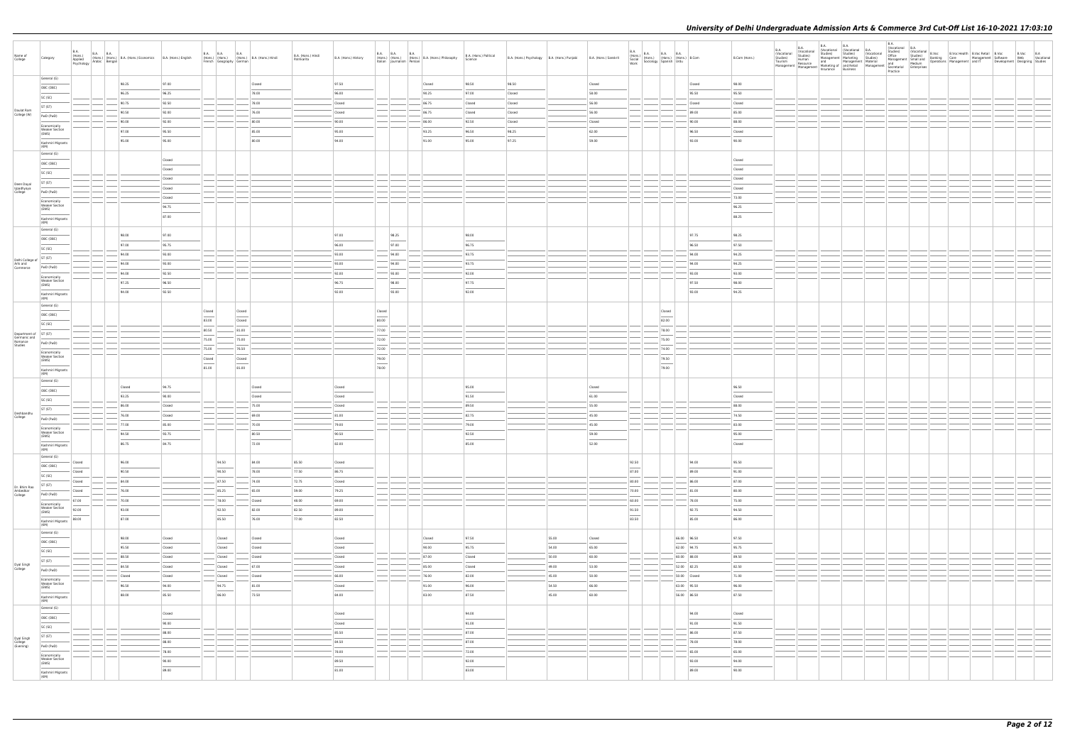| Name of<br>College                  | Category                                                                                                                                                                                                                                                                                                                                                                                                                                                                                        | B.A.<br><b>B.A. B.A.</b><br>(Hons.)<br>Applied |        | (Hons.) (Hons.) (Hons.) B.A. (Hons.) Economics B.A. (Hons.) English<br>Applied Psychology Arabic Bengali |                                                    | <b>B.A. B.A.</b><br>French Geography German | <b>B.A.</b><br>(Hons.) (Hons.) (Hons.) B.A. (Hons.) Hindi | B.A. (Hons.) Hindi<br>Patrikarita | B.A. (Hons.) History    | <b>B.A. B.A. B.A.</b><br>Italian Journalism Persian | (Hons.) (Hons.) (Hons.) B.A. (Hons.) Philosophy | B.A. (Hons.) Political<br>Science | B.A. (Hons.) Psychology B.A. (Hons.) Punjabi |       | B.A. (Hons.) Sanskrit | B.A. (Hons.) B.A. B.A. B.A. (Hons.) B.Com<br>Social (Hons.) (Hons.) (Hons.) B.Com<br>Work Sociology Spanish Urdu |                                                                                                                                                                                                                                                                                                                                                                                                                                                                                              |             | B.Com (Hons.)           | <b>B.A.</b> | B.A. | <b>B.A.</b> |  |  |  |  |
|-------------------------------------|-------------------------------------------------------------------------------------------------------------------------------------------------------------------------------------------------------------------------------------------------------------------------------------------------------------------------------------------------------------------------------------------------------------------------------------------------------------------------------------------------|------------------------------------------------|--------|----------------------------------------------------------------------------------------------------------|----------------------------------------------------|---------------------------------------------|-----------------------------------------------------------|-----------------------------------|-------------------------|-----------------------------------------------------|-------------------------------------------------|-----------------------------------|----------------------------------------------|-------|-----------------------|------------------------------------------------------------------------------------------------------------------|----------------------------------------------------------------------------------------------------------------------------------------------------------------------------------------------------------------------------------------------------------------------------------------------------------------------------------------------------------------------------------------------------------------------------------------------------------------------------------------------|-------------|-------------------------|-------------|------|-------------|--|--|--|--|
|                                     | General (G)                                                                                                                                                                                                                                                                                                                                                                                                                                                                                     |                                                | 98.25  | 97.00                                                                                                    |                                                    |                                             | Closed                                                    |                                   | 97.50                   |                                                     | Closed                                          | 98.50                             | 98.50                                        |       | Closed                |                                                                                                                  |                                                                                                                                                                                                                                                                                                                                                                                                                                                                                              |             | 98.00<br>Closed         |             |      |             |  |  |  |  |
|                                     | OBC (OBC)                                                                                                                                                                                                                                                                                                                                                                                                                                                                                       |                                                | 96.25  | 96.25                                                                                                    |                                                    |                                             | 78.00                                                     |                                   | 96.00                   |                                                     | 90.25                                           | 97.00                             | Closed                                       |       | 58.00                 |                                                                                                                  |                                                                                                                                                                                                                                                                                                                                                                                                                                                                                              |             | 95.50<br>95.50          |             |      |             |  |  |  |  |
|                                     | SC (SC)                                                                                                                                                                                                                                                                                                                                                                                                                                                                                         |                                                | 90.75  | 92.50                                                                                                    |                                                    |                                             | 78.00                                                     |                                   | Closed                  |                                                     | 86.75                                           | Closed                            | Closed                                       |       | 56.00                 |                                                                                                                  |                                                                                                                                                                                                                                                                                                                                                                                                                                                                                              |             | Closed<br>Closed        |             |      |             |  |  |  |  |
| Daulat Ram<br>College (W)           | ST (ST)                                                                                                                                                                                                                                                                                                                                                                                                                                                                                         |                                                | 90.50  | 92.00                                                                                                    |                                                    |                                             | 76.00                                                     |                                   | Closed                  |                                                     | 86.75                                           | Closed                            | Closed                                       |       | 56.00                 |                                                                                                                  |                                                                                                                                                                                                                                                                                                                                                                                                                                                                                              |             | 89.00<br>85.00          |             |      |             |  |  |  |  |
|                                     | PwD (PwD)                                                                                                                                                                                                                                                                                                                                                                                                                                                                                       |                                                | 90.00  | 92.00                                                                                                    |                                                    |                                             | 80.00                                                     |                                   | 90.00                   |                                                     | 86.00                                           | 92.50                             | Closed                                       |       | Closed                |                                                                                                                  |                                                                                                                                                                                                                                                                                                                                                                                                                                                                                              |             | 90.00<br>88.00          |             |      |             |  |  |  |  |
|                                     | Economically<br><b>Weaker Section</b><br>(EWS)                                                                                                                                                                                                                                                                                                                                                                                                                                                  |                                                | 97.00  | 95.50                                                                                                    |                                                    |                                             | 85.00                                                     |                                   | 95.00                   |                                                     | 93.25                                           | 96.50                             | 98.25                                        |       | 62.00                 |                                                                                                                  |                                                                                                                                                                                                                                                                                                                                                                                                                                                                                              |             | 96.50<br>Closed         |             |      |             |  |  |  |  |
|                                     | $\frac{1}{2} \left( \frac{1}{2} \right) \left( \frac{1}{2} \right) \left( \frac{1}{2} \right) \left( \frac{1}{2} \right) \left( \frac{1}{2} \right) \left( \frac{1}{2} \right) \left( \frac{1}{2} \right) \left( \frac{1}{2} \right) \left( \frac{1}{2} \right) \left( \frac{1}{2} \right) \left( \frac{1}{2} \right) \left( \frac{1}{2} \right) \left( \frac{1}{2} \right) \left( \frac{1}{2} \right) \left( \frac{1}{2} \right) \left( \frac{1}{2} \right) \left( \frac$<br>Kashmiri Migrants |                                                | 95.00  | 95.00                                                                                                    |                                                    |                                             | 80.00                                                     |                                   | 94.00                   |                                                     | 91.00                                           | 95.00                             | 97.25                                        |       | 59.00                 |                                                                                                                  |                                                                                                                                                                                                                                                                                                                                                                                                                                                                                              |             | 93.00<br>90.00          |             |      |             |  |  |  |  |
|                                     | (KM)                                                                                                                                                                                                                                                                                                                                                                                                                                                                                            |                                                |        |                                                                                                          |                                                    |                                             |                                                           |                                   |                         |                                                     |                                                 |                                   |                                              |       |                       |                                                                                                                  |                                                                                                                                                                                                                                                                                                                                                                                                                                                                                              |             |                         |             |      |             |  |  |  |  |
|                                     | General (G)<br>OBC (OBC)                                                                                                                                                                                                                                                                                                                                                                                                                                                                        |                                                |        | Closed                                                                                                   |                                                    |                                             |                                                           |                                   |                         |                                                     |                                                 |                                   |                                              |       |                       |                                                                                                                  |                                                                                                                                                                                                                                                                                                                                                                                                                                                                                              |             | Closed                  |             |      |             |  |  |  |  |
|                                     | SC (SC)                                                                                                                                                                                                                                                                                                                                                                                                                                                                                         |                                                |        | Closed                                                                                                   |                                                    |                                             |                                                           |                                   |                         |                                                     |                                                 |                                   |                                              |       |                       |                                                                                                                  |                                                                                                                                                                                                                                                                                                                                                                                                                                                                                              |             | Closed                  |             |      |             |  |  |  |  |
|                                     | ST (ST)                                                                                                                                                                                                                                                                                                                                                                                                                                                                                         |                                                |        | Closed                                                                                                   |                                                    |                                             |                                                           |                                   |                         |                                                     |                                                 |                                   |                                              |       |                       |                                                                                                                  |                                                                                                                                                                                                                                                                                                                                                                                                                                                                                              |             | Closed                  |             |      |             |  |  |  |  |
| Deen Dayal<br>Upadhyaya<br>College  | PwD (PwD)                                                                                                                                                                                                                                                                                                                                                                                                                                                                                       |                                                |        | Closed                                                                                                   |                                                    |                                             |                                                           |                                   |                         |                                                     |                                                 |                                   |                                              |       |                       |                                                                                                                  |                                                                                                                                                                                                                                                                                                                                                                                                                                                                                              |             | Closed                  |             |      |             |  |  |  |  |
|                                     | Economically                                                                                                                                                                                                                                                                                                                                                                                                                                                                                    |                                                |        | Closed                                                                                                   |                                                    |                                             |                                                           |                                   |                         |                                                     |                                                 |                                   |                                              |       |                       |                                                                                                                  |                                                                                                                                                                                                                                                                                                                                                                                                                                                                                              |             | 73.00                   |             |      |             |  |  |  |  |
|                                     | <b>Weaker Section</b><br>(EWS)                                                                                                                                                                                                                                                                                                                                                                                                                                                                  |                                                |        | 94.75                                                                                                    |                                                    |                                             |                                                           |                                   |                         |                                                     |                                                 |                                   |                                              |       |                       |                                                                                                                  |                                                                                                                                                                                                                                                                                                                                                                                                                                                                                              |             | 96.25                   |             |      |             |  |  |  |  |
|                                     | $\overline{\phantom{a}}$<br>Kashmiri Migrants                                                                                                                                                                                                                                                                                                                                                                                                                                                   |                                                |        | 87.00                                                                                                    |                                                    |                                             |                                                           |                                   |                         |                                                     |                                                 |                                   |                                              |       |                       |                                                                                                                  |                                                                                                                                                                                                                                                                                                                                                                                                                                                                                              |             | 88.25                   |             |      |             |  |  |  |  |
|                                     | (KM)<br>General (G)                                                                                                                                                                                                                                                                                                                                                                                                                                                                             |                                                |        |                                                                                                          |                                                    |                                             |                                                           |                                   |                         |                                                     |                                                 |                                   |                                              |       |                       |                                                                                                                  |                                                                                                                                                                                                                                                                                                                                                                                                                                                                                              |             |                         |             |      |             |  |  |  |  |
|                                     | OBC (OBC)                                                                                                                                                                                                                                                                                                                                                                                                                                                                                       |                                                | 98.00  | 97.00                                                                                                    |                                                    |                                             |                                                           |                                   | 97.00                   | 98.25                                               |                                                 | 98.00                             |                                              |       |                       |                                                                                                                  |                                                                                                                                                                                                                                                                                                                                                                                                                                                                                              |             | 97.75<br>98.25          |             |      |             |  |  |  |  |
|                                     | SC (SC)                                                                                                                                                                                                                                                                                                                                                                                                                                                                                         |                                                | 97.00  | 95.75                                                                                                    |                                                    |                                             |                                                           |                                   | 96.00                   | 97.00                                               |                                                 | 96.75                             |                                              |       |                       |                                                                                                                  |                                                                                                                                                                                                                                                                                                                                                                                                                                                                                              |             | 96.50<br>97.50          |             |      |             |  |  |  |  |
| Delhi College of ST (ST)            |                                                                                                                                                                                                                                                                                                                                                                                                                                                                                                 |                                                | 94.00  | 93.00                                                                                                    |                                                    |                                             |                                                           |                                   | 93.00                   | 94.00                                               |                                                 | 93.75                             |                                              |       |                       |                                                                                                                  |                                                                                                                                                                                                                                                                                                                                                                                                                                                                                              |             | 94.00<br>94.25          |             |      |             |  |  |  |  |
| Arts and<br>Commerce                | PwD (PwD)                                                                                                                                                                                                                                                                                                                                                                                                                                                                                       |                                                | 94.00  | 93.00                                                                                                    |                                                    |                                             |                                                           |                                   | 93.00                   | 94.00                                               |                                                 | 93.75                             |                                              |       |                       |                                                                                                                  |                                                                                                                                                                                                                                                                                                                                                                                                                                                                                              |             | 94.00<br>94.25          |             |      |             |  |  |  |  |
|                                     | Economically                                                                                                                                                                                                                                                                                                                                                                                                                                                                                    |                                                | 94.00  | 92.50                                                                                                    |                                                    |                                             |                                                           |                                   | 92.00                   | 93.00                                               |                                                 | 92.00                             |                                              |       |                       |                                                                                                                  |                                                                                                                                                                                                                                                                                                                                                                                                                                                                                              |             | 93.00<br>93.00          |             |      |             |  |  |  |  |
|                                     | <b>Weaker Section</b><br>(EWS)                                                                                                                                                                                                                                                                                                                                                                                                                                                                  |                                                | 97.25  | 96.50                                                                                                    |                                                    |                                             |                                                           |                                   | 96.75                   | 98.00                                               |                                                 | 97.75                             |                                              |       |                       |                                                                                                                  |                                                                                                                                                                                                                                                                                                                                                                                                                                                                                              |             | 97.50<br>98.00          |             |      |             |  |  |  |  |
|                                     | Kashmiri Migrants<br>(KM)                                                                                                                                                                                                                                                                                                                                                                                                                                                                       |                                                | 94.00  | 92.50                                                                                                    |                                                    |                                             |                                                           |                                   | 92.00                   | 93.00                                               |                                                 | 92.00                             |                                              |       |                       |                                                                                                                  |                                                                                                                                                                                                                                                                                                                                                                                                                                                                                              |             | 93.00<br>94.25          |             |      |             |  |  |  |  |
|                                     | General (G)                                                                                                                                                                                                                                                                                                                                                                                                                                                                                     |                                                |        |                                                                                                          |                                                    |                                             |                                                           |                                   |                         |                                                     |                                                 |                                   |                                              |       |                       |                                                                                                                  |                                                                                                                                                                                                                                                                                                                                                                                                                                                                                              |             |                         |             |      |             |  |  |  |  |
|                                     | OBC (OBC)                                                                                                                                                                                                                                                                                                                                                                                                                                                                                       |                                                |        |                                                                                                          | $\vert$ Closed $\vert$<br>$\overline{\phantom{a}}$ |                                             | Closed<br>$\overline{\phantom{a}}$                        |                                   |                         | Closed                                              |                                                 |                                   |                                              |       |                       |                                                                                                                  | Closed                                                                                                                                                                                                                                                                                                                                                                                                                                                                                       |             |                         |             |      |             |  |  |  |  |
|                                     | SC (SC)                                                                                                                                                                                                                                                                                                                                                                                                                                                                                         |                                                |        |                                                                                                          | 83.00                                              |                                             | Closed                                                    |                                   |                         | 80.00                                               |                                                 |                                   |                                              |       |                       |                                                                                                                  | 82.00                                                                                                                                                                                                                                                                                                                                                                                                                                                                                        |             |                         |             |      |             |  |  |  |  |
| Department of ST (ST)               |                                                                                                                                                                                                                                                                                                                                                                                                                                                                                                 |                                                |        |                                                                                                          | 80.50                                              |                                             | 81.00                                                     |                                   |                         | 77.00                                               |                                                 |                                   |                                              |       |                       |                                                                                                                  | 78.00                                                                                                                                                                                                                                                                                                                                                                                                                                                                                        |             |                         |             |      |             |  |  |  |  |
| Germanic and<br>Romance<br>Studies  | PwD (PwD)                                                                                                                                                                                                                                                                                                                                                                                                                                                                                       |                                                |        |                                                                                                          | 75.00                                              |                                             | 75.00                                                     |                                   |                         | 72.00                                               |                                                 |                                   |                                              |       |                       |                                                                                                                  | 75.00                                                                                                                                                                                                                                                                                                                                                                                                                                                                                        |             |                         |             |      |             |  |  |  |  |
|                                     | Economically<br><b>Weaker Section</b>                                                                                                                                                                                                                                                                                                                                                                                                                                                           |                                                |        |                                                                                                          | 75.00                                              |                                             | 76.50                                                     |                                   |                         | 72.00                                               |                                                 |                                   |                                              |       |                       |                                                                                                                  | 74.00                                                                                                                                                                                                                                                                                                                                                                                                                                                                                        |             |                         |             |      |             |  |  |  |  |
|                                     | (EWS)                                                                                                                                                                                                                                                                                                                                                                                                                                                                                           |                                                |        |                                                                                                          | Closed<br>81.00                                    |                                             | Closed<br>$\overline{\phantom{a}}$<br>81.00               |                                   |                         | 79.00<br>$\overline{\phantom{a}}$<br>78.00          |                                                 |                                   |                                              |       |                       |                                                                                                                  | 79.50<br>$\frac{1}{2} \left( \frac{1}{2} \right) \left( \frac{1}{2} \right) \left( \frac{1}{2} \right) \left( \frac{1}{2} \right) \left( \frac{1}{2} \right) \left( \frac{1}{2} \right) \left( \frac{1}{2} \right) \left( \frac{1}{2} \right) \left( \frac{1}{2} \right) \left( \frac{1}{2} \right) \left( \frac{1}{2} \right) \left( \frac{1}{2} \right) \left( \frac{1}{2} \right) \left( \frac{1}{2} \right) \left( \frac{1}{2} \right) \left( \frac{1}{2} \right) \left( \frac$<br>79.00 |             |                         |             |      |             |  |  |  |  |
|                                     | Kashmiri Migrants<br>(KM)                                                                                                                                                                                                                                                                                                                                                                                                                                                                       |                                                |        |                                                                                                          |                                                    |                                             |                                                           |                                   |                         |                                                     |                                                 |                                   |                                              |       |                       |                                                                                                                  |                                                                                                                                                                                                                                                                                                                                                                                                                                                                                              |             |                         |             |      |             |  |  |  |  |
|                                     | General (G)                                                                                                                                                                                                                                                                                                                                                                                                                                                                                     |                                                | Closed | 94.75                                                                                                    |                                                    |                                             | Closed                                                    |                                   | Closed                  |                                                     |                                                 | 95.00                             |                                              |       | Closed                |                                                                                                                  |                                                                                                                                                                                                                                                                                                                                                                                                                                                                                              |             | 96.50                   |             |      |             |  |  |  |  |
|                                     | OBC (OBC)                                                                                                                                                                                                                                                                                                                                                                                                                                                                                       |                                                | 93.25  | 90.00                                                                                                    |                                                    |                                             | Closed                                                    |                                   | Closed                  |                                                     |                                                 | 91.50                             |                                              |       | 61.00                 |                                                                                                                  |                                                                                                                                                                                                                                                                                                                                                                                                                                                                                              |             | Closed                  |             |      |             |  |  |  |  |
|                                     | SC (SC)                                                                                                                                                                                                                                                                                                                                                                                                                                                                                         |                                                | 86.00  | Closed                                                                                                   |                                                    |                                             | 75.00                                                     |                                   | Closed                  |                                                     |                                                 | 89.50                             |                                              |       | 55.00                 |                                                                                                                  |                                                                                                                                                                                                                                                                                                                                                                                                                                                                                              |             | 88.00                   |             |      |             |  |  |  |  |
| Deshbandhu<br>College               | ST (ST)                                                                                                                                                                                                                                                                                                                                                                                                                                                                                         |                                                | 76.00  | Closed                                                                                                   |                                                    |                                             | 69.00                                                     |                                   | 81.00                   |                                                     |                                                 | 82.75                             |                                              |       | 45.00                 |                                                                                                                  |                                                                                                                                                                                                                                                                                                                                                                                                                                                                                              |             | 74.50                   |             |      |             |  |  |  |  |
|                                     | PwD (PwD)                                                                                                                                                                                                                                                                                                                                                                                                                                                                                       |                                                | 77.00  | 85.00                                                                                                    |                                                    |                                             | 70.00                                                     |                                   | 79.00                   |                                                     |                                                 | 79.00                             |                                              |       | 45.00                 |                                                                                                                  |                                                                                                                                                                                                                                                                                                                                                                                                                                                                                              |             | 83.00                   |             |      |             |  |  |  |  |
|                                     | Economically<br><b>Weaker Section</b><br>(EWS)                                                                                                                                                                                                                                                                                                                                                                                                                                                  |                                                | 94.50  | 93.75                                                                                                    |                                                    |                                             | 80.50                                                     |                                   | 90.50                   |                                                     |                                                 | 92.50                             |                                              |       | 59.00                 |                                                                                                                  |                                                                                                                                                                                                                                                                                                                                                                                                                                                                                              |             | 95.00                   |             |      |             |  |  |  |  |
|                                     |                                                                                                                                                                                                                                                                                                                                                                                                                                                                                                 |                                                | 86.75  | 84.75                                                                                                    |                                                    |                                             | 72.00                                                     |                                   | 82.00                   |                                                     |                                                 | 85.00                             |                                              |       | 52.00                 |                                                                                                                  |                                                                                                                                                                                                                                                                                                                                                                                                                                                                                              |             | Closed                  |             |      |             |  |  |  |  |
|                                     | Kashmiri Migrants<br>(KM)                                                                                                                                                                                                                                                                                                                                                                                                                                                                       |                                                |        |                                                                                                          |                                                    |                                             |                                                           |                                   |                         |                                                     |                                                 |                                   |                                              |       |                       |                                                                                                                  |                                                                                                                                                                                                                                                                                                                                                                                                                                                                                              |             |                         |             |      |             |  |  |  |  |
|                                     | General (G)<br>OBC (OBC)                                                                                                                                                                                                                                                                                                                                                                                                                                                                        | Closed                                         | 96.00  |                                                                                                          |                                                    | 94.50                                       | 84.00                                                     | 85.50                             | Closed                  |                                                     |                                                 |                                   |                                              |       |                       | 92.50                                                                                                            |                                                                                                                                                                                                                                                                                                                                                                                                                                                                                              |             | 94.00<br>95.50          |             |      |             |  |  |  |  |
|                                     | SC (SC)                                                                                                                                                                                                                                                                                                                                                                                                                                                                                         | Closed                                         | 90.50  |                                                                                                          |                                                    | 90.50                                       | 78.00                                                     | 77.50                             | 86.75                   |                                                     |                                                 |                                   |                                              |       |                       | $\sim$<br>87.00                                                                                                  |                                                                                                                                                                                                                                                                                                                                                                                                                                                                                              |             | 89.00<br>91.00          |             |      |             |  |  |  |  |
|                                     | ST (ST)                                                                                                                                                                                                                                                                                                                                                                                                                                                                                         | Closed                                         | 84.00  |                                                                                                          |                                                    | 87.50                                       | 74.00                                                     | 72.75                             | Closed                  |                                                     |                                                 |                                   |                                              |       |                       | 80.00                                                                                                            |                                                                                                                                                                                                                                                                                                                                                                                                                                                                                              |             | 87.00<br>86.00          |             |      |             |  |  |  |  |
| Dr. Bhim Rao<br>Ambedkar<br>College | PwD (PwD)                                                                                                                                                                                                                                                                                                                                                                                                                                                                                       | Closed                                         | 76.00  |                                                                                                          |                                                    | 85.25                                       | 65.00                                                     | 59.00                             | 79.25                   |                                                     |                                                 |                                   |                                              |       |                       | 70.00                                                                                                            |                                                                                                                                                                                                                                                                                                                                                                                                                                                                                              |             | 81.00<br>80.00          |             |      |             |  |  |  |  |
|                                     | Economically                                                                                                                                                                                                                                                                                                                                                                                                                                                                                    | 67.00                                          | 70.00  |                                                                                                          |                                                    | 78.00                                       | Closed                                                    | 48.00                             | 69.00                   |                                                     |                                                 |                                   |                                              |       |                       | 60.00                                                                                                            |                                                                                                                                                                                                                                                                                                                                                                                                                                                                                              |             | 78.00<br>75.00          |             |      |             |  |  |  |  |
|                                     | <b>Weaker Section</b><br>(EWS)                                                                                                                                                                                                                                                                                                                                                                                                                                                                  | 92.00                                          | 93.00  |                                                                                                          |                                                    | 92.50                                       | 82.00                                                     | 82.50                             | 89.00                   |                                                     |                                                 |                                   |                                              |       |                       | 91.50<br>$\sim$                                                                                                  |                                                                                                                                                                                                                                                                                                                                                                                                                                                                                              |             | 92.75<br>94.50          |             |      |             |  |  |  |  |
|                                     | $\sim$<br>Kashmiri Migrants<br>(KM)                                                                                                                                                                                                                                                                                                                                                                                                                                                             | 88.00                                          | 87.00  |                                                                                                          |                                                    | 85.50                                       | 76.00                                                     | 77.00                             | 82.50                   |                                                     |                                                 |                                   |                                              |       |                       | 83.50                                                                                                            |                                                                                                                                                                                                                                                                                                                                                                                                                                                                                              |             | 85.00<br>86.00          |             |      |             |  |  |  |  |
|                                     | General (G)                                                                                                                                                                                                                                                                                                                                                                                                                                                                                     |                                                |        |                                                                                                          |                                                    |                                             |                                                           |                                   |                         |                                                     |                                                 |                                   |                                              |       |                       |                                                                                                                  |                                                                                                                                                                                                                                                                                                                                                                                                                                                                                              |             |                         |             |      |             |  |  |  |  |
|                                     | OBC (OBC)                                                                                                                                                                                                                                                                                                                                                                                                                                                                                       |                                                | 98.00  | Closed                                                                                                   |                                                    | Closed<br>$\frac{1}{2}$                     | Closed<br><b>Contract Contract</b>                        |                                   | Closed                  |                                                     | Closed                                          | 97.50                             |                                              | 55.00 | Closed                |                                                                                                                  |                                                                                                                                                                                                                                                                                                                                                                                                                                                                                              |             | 97.50<br>66.00 96.50    |             |      |             |  |  |  |  |
|                                     | SC (SC)                                                                                                                                                                                                                                                                                                                                                                                                                                                                                         |                                                | 95.50  | Closed                                                                                                   |                                                    | Closed                                      | Closed                                                    |                                   | Closed                  |                                                     | 90.00                                           | 95.75                             |                                              | 54.00 | 65.00                 |                                                                                                                  |                                                                                                                                                                                                                                                                                                                                                                                                                                                                                              | 62.00 94.75 | 95.75                   |             |      |             |  |  |  |  |
|                                     | ST (ST)                                                                                                                                                                                                                                                                                                                                                                                                                                                                                         |                                                | 88.50  | Closed                                                                                                   |                                                    | Closed                                      | Closed                                                    |                                   | Closed                  |                                                     | 87.00                                           | Closed                            |                                              | 50.00 | 60.00                 |                                                                                                                  |                                                                                                                                                                                                                                                                                                                                                                                                                                                                                              |             | 89.50<br>60.00 88.00    |             |      |             |  |  |  |  |
| Dyal Singh<br>College               | PwD (PwD)                                                                                                                                                                                                                                                                                                                                                                                                                                                                                       |                                                | 84.50  | Closed                                                                                                   |                                                    | Closed                                      | 67.00                                                     |                                   | Closed                  |                                                     | 85.00                                           | Closed                            |                                              | 49.00 | 53.00                 |                                                                                                                  |                                                                                                                                                                                                                                                                                                                                                                                                                                                                                              |             | 82.50<br>52.00 82.25    |             |      |             |  |  |  |  |
|                                     | Economically<br><b>Weaker Section</b>                                                                                                                                                                                                                                                                                                                                                                                                                                                           |                                                | Closed | Closed                                                                                                   |                                                    | Closed                                      | Closed                                                    |                                   | 66.00                   |                                                     | 76.00                                           | 82.00                             |                                              | 45.00 | 50.00                 |                                                                                                                  |                                                                                                                                                                                                                                                                                                                                                                                                                                                                                              |             | 71.00<br>50.00 Closed   |             |      |             |  |  |  |  |
|                                     | (EWS)                                                                                                                                                                                                                                                                                                                                                                                                                                                                                           |                                                | 96.50  | 94.00                                                                                                    |                                                    | 94.75                                       | 81.00                                                     |                                   | Closed                  |                                                     | 91.00                                           | 96.00                             |                                              | 54.50 | 66.00                 |                                                                                                                  |                                                                                                                                                                                                                                                                                                                                                                                                                                                                                              |             | 63.00 95.50<br>96.00    |             |      |             |  |  |  |  |
|                                     | Kashmiri Migrants<br>(KM)                                                                                                                                                                                                                                                                                                                                                                                                                                                                       |                                                | 88.00  | 85.50                                                                                                    |                                                    | 86.00                                       | 73.50                                                     |                                   | 84.00                   |                                                     | 83.00                                           | 87.50                             |                                              | 45.00 | 60.00                 |                                                                                                                  |                                                                                                                                                                                                                                                                                                                                                                                                                                                                                              |             | 56.00 86.50<br>87.50    |             |      |             |  |  |  |  |
|                                     | General (G)                                                                                                                                                                                                                                                                                                                                                                                                                                                                                     |                                                |        |                                                                                                          |                                                    |                                             |                                                           |                                   |                         |                                                     |                                                 |                                   |                                              |       |                       |                                                                                                                  |                                                                                                                                                                                                                                                                                                                                                                                                                                                                                              |             |                         |             |      |             |  |  |  |  |
|                                     | OBC (OBC)                                                                                                                                                                                                                                                                                                                                                                                                                                                                                       |                                                |        | Closed                                                                                                   |                                                    |                                             |                                                           |                                   | Closed<br>$\frac{1}{2}$ |                                                     |                                                 | 94.00                             |                                              |       |                       |                                                                                                                  |                                                                                                                                                                                                                                                                                                                                                                                                                                                                                              |             | 94.00<br>Closed         |             |      |             |  |  |  |  |
|                                     | SC (SC)                                                                                                                                                                                                                                                                                                                                                                                                                                                                                         |                                                |        | 90.00                                                                                                    |                                                    |                                             |                                                           |                                   | Closed                  |                                                     |                                                 | 91.00                             |                                              |       |                       |                                                                                                                  |                                                                                                                                                                                                                                                                                                                                                                                                                                                                                              |             | 91.00<br>91.50          |             |      |             |  |  |  |  |
|                                     | ST (ST)                                                                                                                                                                                                                                                                                                                                                                                                                                                                                         |                                                |        | 88.00                                                                                                    |                                                    |                                             |                                                           |                                   | 85.50                   |                                                     |                                                 | 87.00<br>87.00                    |                                              |       |                       |                                                                                                                  |                                                                                                                                                                                                                                                                                                                                                                                                                                                                                              |             | 86.00<br>87.50<br>78.00 |             |      |             |  |  |  |  |
| Dyal Singh<br>College<br>(Evening)  | PwD (PwD)                                                                                                                                                                                                                                                                                                                                                                                                                                                                                       |                                                |        | 88.00<br>78.00                                                                                           |                                                    |                                             |                                                           |                                   | 84.50<br>78.00          |                                                     |                                                 | 72.00                             |                                              |       |                       |                                                                                                                  |                                                                                                                                                                                                                                                                                                                                                                                                                                                                                              |             | 78.00<br>65.00<br>65.00 |             |      |             |  |  |  |  |
|                                     | Economically<br><b>Weaker Section</b>                                                                                                                                                                                                                                                                                                                                                                                                                                                           |                                                |        | 90.00                                                                                                    |                                                    |                                             |                                                           |                                   | 89.50                   |                                                     |                                                 | 92.00                             |                                              |       |                       |                                                                                                                  |                                                                                                                                                                                                                                                                                                                                                                                                                                                                                              |             | 94.00<br>93.00          |             |      |             |  |  |  |  |
|                                     | (EWS)                                                                                                                                                                                                                                                                                                                                                                                                                                                                                           |                                                |        | 89.00                                                                                                    |                                                    |                                             |                                                           |                                   | 81.00                   |                                                     |                                                 | 83.00                             |                                              |       |                       |                                                                                                                  |                                                                                                                                                                                                                                                                                                                                                                                                                                                                                              |             | 89.00<br>90.00          |             |      |             |  |  |  |  |
|                                     | Kashmiri Migrants<br>(KM)                                                                                                                                                                                                                                                                                                                                                                                                                                                                       |                                                |        |                                                                                                          |                                                    |                                             |                                                           |                                   |                         |                                                     |                                                 |                                   |                                              |       |                       |                                                                                                                  |                                                                                                                                                                                                                                                                                                                                                                                                                                                                                              |             |                         |             |      |             |  |  |  |  |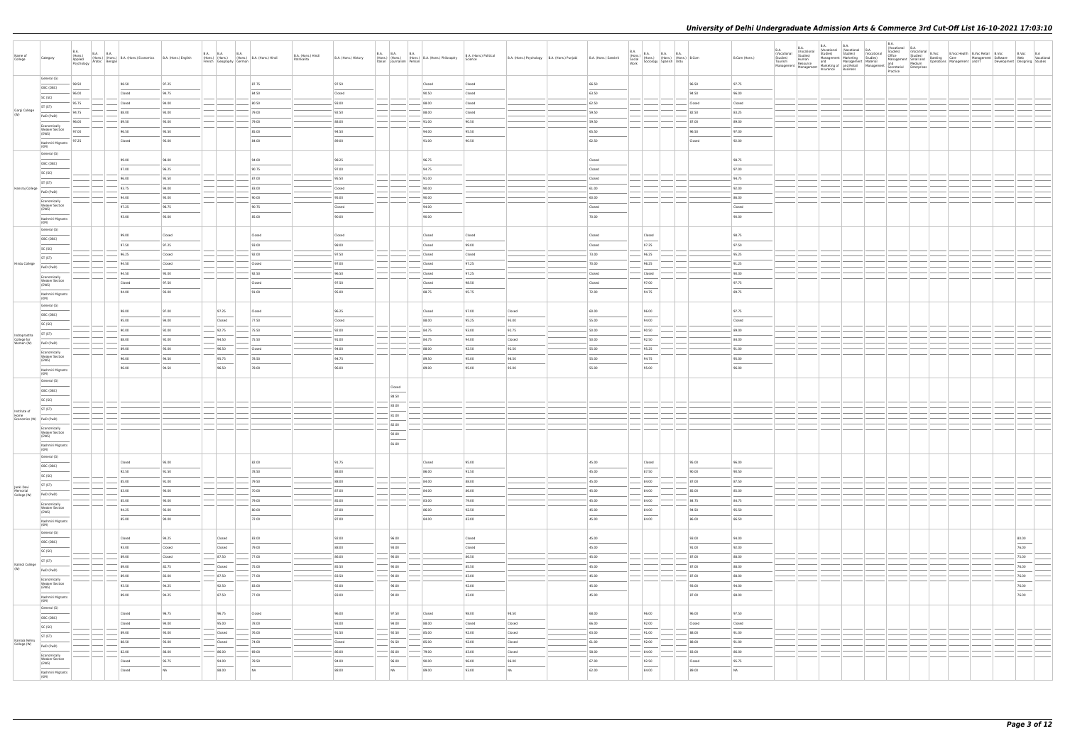| Name of<br>College          | Category                              | B.A.<br>(Hons.)<br>Applied | <b>B.A. B.A.</b> | (Hons.) (Hons.) (Hons.) B.A. (Hons.) Economics B.A. (Hons.) English<br>Applied Barabic Bengali Research Association |        | <b>B.A. B.A.</b><br>French Geography German | B.A.<br>(Hons.) (Hons.) (Hons.) B.A. (Hons.) Hindi | B.A. (Hons.) Hindi<br>Patrikarita | B.A. (Hons.) History | <b>B.A. B.A.</b> | <b>B.A.</b><br>Italian Journalism Persian | (Hons.) (Hons.) (Hons.) B.A. (Hons.) Philosophy | B.A. (Hons.) Political<br>Science | B.A. (Hons.) Psychology   B.A. (Hons.) Punjabi | B.A. (Hons.) Sanskrit                                                                                                                                                                                                                                                                                                                                                                                                                                                               | B.A. (Hons.) B.A. B.A. B.A. (Hons.) B.Com<br>Social (Hons.) (Hons.) (Hons.) B.Com<br>Work Sociology Spanish Urdu | B.Com (Hons.)    |  | <b>B.A.</b> |  |  |                                         |  |
|-----------------------------|---------------------------------------|----------------------------|------------------|---------------------------------------------------------------------------------------------------------------------|--------|---------------------------------------------|----------------------------------------------------|-----------------------------------|----------------------|------------------|-------------------------------------------|-------------------------------------------------|-----------------------------------|------------------------------------------------|-------------------------------------------------------------------------------------------------------------------------------------------------------------------------------------------------------------------------------------------------------------------------------------------------------------------------------------------------------------------------------------------------------------------------------------------------------------------------------------|------------------------------------------------------------------------------------------------------------------|------------------|--|-------------|--|--|-----------------------------------------|--|
|                             | General (G)                           | 98.50                      |                  | 98.50                                                                                                               | 97.25  |                                             | 87.75                                              |                                   | 97.50                |                  |                                           | Closed                                          | Closed                            |                                                | 66.50                                                                                                                                                                                                                                                                                                                                                                                                                                                                               |                                                                                                                  | 97.75<br>96.50   |  |             |  |  |                                         |  |
|                             | OBC (OBC)                             |                            |                  |                                                                                                                     |        |                                             |                                                    |                                   |                      |                  |                                           |                                                 |                                   |                                                |                                                                                                                                                                                                                                                                                                                                                                                                                                                                                     |                                                                                                                  |                  |  |             |  |  |                                         |  |
|                             | SC (SC)                               | 96.00                      |                  | Closed                                                                                                              | 94.75  |                                             | 84.50                                              |                                   | Closed               |                  |                                           | 90.50                                           | Closed                            |                                                | 63.50                                                                                                                                                                                                                                                                                                                                                                                                                                                                               |                                                                                                                  | 94.50<br>96.00   |  |             |  |  |                                         |  |
|                             | ST (ST)                               | 95.75                      |                  | Closed                                                                                                              | 94.00  |                                             | 80.50                                              |                                   | 93.00                |                  |                                           | 88.00                                           | Closed                            |                                                | 62.50                                                                                                                                                                                                                                                                                                                                                                                                                                                                               |                                                                                                                  | Closed<br>Closed |  |             |  |  |                                         |  |
| Gargi College<br>(W)        |                                       | 94.75                      |                  | 88.00                                                                                                               | 93.00  |                                             | 79.00                                              |                                   | 92.50                |                  |                                           | 88.00                                           | Closed                            |                                                | 59.50                                                                                                                                                                                                                                                                                                                                                                                                                                                                               |                                                                                                                  | 82.50<br>83.25   |  |             |  |  |                                         |  |
|                             | PwD (PwD)                             | 96.00                      |                  |                                                                                                                     |        |                                             |                                                    |                                   |                      |                  |                                           |                                                 |                                   |                                                |                                                                                                                                                                                                                                                                                                                                                                                                                                                                                     |                                                                                                                  | 89.00<br>87.00   |  |             |  |  |                                         |  |
|                             | Economically                          |                            |                  | 89.50                                                                                                               | 93.00  |                                             | 79.00                                              |                                   | 88.00                |                  |                                           | 91.00                                           | 90.50                             |                                                | 59.50                                                                                                                                                                                                                                                                                                                                                                                                                                                                               |                                                                                                                  |                  |  |             |  |  |                                         |  |
|                             | <b>Weaker Section</b><br>(EWS)        | 97.00                      |                  | 96.50                                                                                                               | 95.50  |                                             | 85.00                                              |                                   | 94.50                |                  |                                           | 94.00                                           | 95.50                             |                                                | 65.50                                                                                                                                                                                                                                                                                                                                                                                                                                                                               |                                                                                                                  | 96.50<br>97.00   |  |             |  |  |                                         |  |
|                             | Kashmiri Migrants<br>(KM)             | 97.25                      |                  | Closed                                                                                                              | 95.00  |                                             | 84.00                                              |                                   | 89.00                |                  |                                           | 91.00                                           | 90.50                             |                                                | 62.50                                                                                                                                                                                                                                                                                                                                                                                                                                                                               |                                                                                                                  | Closed<br>92.00  |  |             |  |  |                                         |  |
|                             | General (G)                           |                            |                  | 99.00                                                                                                               | 98.00  |                                             | 94.00                                              |                                   | 98.25                |                  |                                           | 96.75                                           |                                   |                                                | Closed                                                                                                                                                                                                                                                                                                                                                                                                                                                                              |                                                                                                                  | 98.75            |  |             |  |  |                                         |  |
|                             | OBC (OBC)                             |                            |                  | 97.00                                                                                                               | 96.25  |                                             | 90.75                                              |                                   | 97.00                |                  |                                           | 94.75                                           |                                   |                                                | Closed                                                                                                                                                                                                                                                                                                                                                                                                                                                                              |                                                                                                                  | 97.00            |  |             |  |  |                                         |  |
|                             | SC (SC)                               |                            |                  |                                                                                                                     |        |                                             |                                                    |                                   |                      |                  |                                           |                                                 |                                   |                                                |                                                                                                                                                                                                                                                                                                                                                                                                                                                                                     |                                                                                                                  |                  |  |             |  |  |                                         |  |
|                             | ST (ST)                               |                            |                  | 96.00                                                                                                               | 95.50  |                                             | 87.00                                              |                                   | 95.50                |                  |                                           | 91.00                                           |                                   |                                                | Closed                                                                                                                                                                                                                                                                                                                                                                                                                                                                              |                                                                                                                  | 94.75            |  |             |  |  |                                         |  |
| Hansraj College             |                                       |                            |                  | 93.75                                                                                                               | 94.00  |                                             | 83.00                                              |                                   | Closed               |                  |                                           | 90.00                                           |                                   |                                                | 61.00                                                                                                                                                                                                                                                                                                                                                                                                                                                                               |                                                                                                                  | 92.00            |  |             |  |  |                                         |  |
|                             | PwD (PwD)                             |                            |                  | 94.00                                                                                                               | 93.00  |                                             | 90.00                                              |                                   | 95.00                |                  |                                           | 90.00                                           |                                   |                                                | 60.00                                                                                                                                                                                                                                                                                                                                                                                                                                                                               |                                                                                                                  | 86.00            |  |             |  |  |                                         |  |
|                             | Economically<br><b>Weaker Section</b> |                            |                  |                                                                                                                     |        |                                             |                                                    |                                   |                      |                  |                                           |                                                 |                                   |                                                |                                                                                                                                                                                                                                                                                                                                                                                                                                                                                     |                                                                                                                  |                  |  |             |  |  |                                         |  |
|                             | (EWS)                                 |                            |                  | 97.25                                                                                                               | 96.75  |                                             | 90.75                                              |                                   | Closed               |                  |                                           | 94.00                                           |                                   |                                                | Closed                                                                                                                                                                                                                                                                                                                                                                                                                                                                              |                                                                                                                  | Closed           |  |             |  |  |                                         |  |
|                             | Kashmiri Migrants<br>(KM)             |                            |                  | 93.00                                                                                                               | 93.00  |                                             | 85.00                                              |                                   | 90.00                |                  |                                           | 90.00                                           |                                   |                                                | 70.00                                                                                                                                                                                                                                                                                                                                                                                                                                                                               |                                                                                                                  | 90.00            |  |             |  |  |                                         |  |
|                             | General (G)                           |                            |                  | 99.00                                                                                                               | Closed |                                             | Closed                                             |                                   | Closed               |                  |                                           | Closed                                          | Closed                            |                                                | Closed                                                                                                                                                                                                                                                                                                                                                                                                                                                                              | Closed                                                                                                           | 98.75            |  |             |  |  |                                         |  |
|                             | OBC (OBC)                             |                            |                  | 97.50                                                                                                               | 97.25  |                                             | 93.00                                              |                                   | 98.00                |                  |                                           | Closed                                          | 99.00                             |                                                | Closed                                                                                                                                                                                                                                                                                                                                                                                                                                                                              | 97.25                                                                                                            | 97.50            |  |             |  |  |                                         |  |
|                             | SC (SC)                               |                            |                  |                                                                                                                     |        |                                             |                                                    |                                   |                      |                  |                                           |                                                 |                                   |                                                |                                                                                                                                                                                                                                                                                                                                                                                                                                                                                     |                                                                                                                  |                  |  |             |  |  |                                         |  |
|                             | ST (ST)                               |                            |                  | 96.25                                                                                                               | Closed |                                             | 92.00                                              |                                   | 97.50                |                  |                                           | Closed                                          | Closed                            |                                                | 73.00                                                                                                                                                                                                                                                                                                                                                                                                                                                                               | 96.25                                                                                                            | 95.25            |  |             |  |  |                                         |  |
| Hindu College               |                                       |                            |                  | 94.50                                                                                                               | Closed |                                             | Closed                                             |                                   | 97.00                |                  |                                           | Closed                                          | 97.25                             |                                                | 70.00                                                                                                                                                                                                                                                                                                                                                                                                                                                                               | 96.25                                                                                                            | 91.25            |  |             |  |  |                                         |  |
|                             | PwD (PwD)                             |                            |                  | 94.50                                                                                                               | 95.00  |                                             | 92.50                                              |                                   | 96.50                |                  |                                           | Closed                                          | 97.25                             |                                                | Closed                                                                                                                                                                                                                                                                                                                                                                                                                                                                              | $-$ Closed                                                                                                       | 90.00            |  |             |  |  |                                         |  |
|                             | Economically<br><b>Weaker Section</b> |                            |                  |                                                                                                                     |        |                                             |                                                    |                                   |                      |                  |                                           |                                                 |                                   |                                                |                                                                                                                                                                                                                                                                                                                                                                                                                                                                                     |                                                                                                                  |                  |  |             |  |  |                                         |  |
|                             | (EWS)                                 |                            |                  | Closed                                                                                                              | 97.50  |                                             | Closed                                             |                                   | 97.50                |                  |                                           | Closed                                          | 98.50                             |                                                | Closed                                                                                                                                                                                                                                                                                                                                                                                                                                                                              | 97.00                                                                                                            | 97.75            |  |             |  |  |                                         |  |
|                             | Kashmiri Migrants<br>(KM)             |                            |                  | 94.00                                                                                                               | 93.00  |                                             | 91.00                                              |                                   | 95.00                |                  |                                           | 88.75                                           | 95.75                             |                                                | 72.00                                                                                                                                                                                                                                                                                                                                                                                                                                                                               | 94.75                                                                                                            | 89.75            |  |             |  |  |                                         |  |
|                             | General (G)<br>OBC (OBC)              |                            |                  | 98.00                                                                                                               | 97.00  | 97.25                                       | Closed                                             |                                   | 96.25                |                  |                                           | Closed                                          | 97.00                             | Closed                                         | 60.00                                                                                                                                                                                                                                                                                                                                                                                                                                                                               | 96.00                                                                                                            | 97.75            |  |             |  |  |                                         |  |
|                             |                                       |                            |                  | 95.00                                                                                                               | 94.00  | Closed                                      | 77.50                                              |                                   | Closed               |                  |                                           | 88.00                                           | 95.25                             | 95.00                                          | 55.00                                                                                                                                                                                                                                                                                                                                                                                                                                                                               | 94.00                                                                                                            | Closed           |  |             |  |  |                                         |  |
|                             | SC (SC)                               |                            |                  | 90.00                                                                                                               | 92.00  | 92.75                                       | 75.50                                              |                                   | 92.00                |                  |                                           | 84.75                                           | 93.00                             | 92.75                                          | 50.00                                                                                                                                                                                                                                                                                                                                                                                                                                                                               | $-90.50$                                                                                                         | 89.00            |  |             |  |  |                                         |  |
| Indraprastha                | ST (ST)                               |                            |                  |                                                                                                                     |        |                                             |                                                    |                                   |                      |                  |                                           |                                                 |                                   |                                                |                                                                                                                                                                                                                                                                                                                                                                                                                                                                                     |                                                                                                                  |                  |  |             |  |  |                                         |  |
| College for<br>Women (W)    | PwD (PwD)                             |                            |                  | 88.00                                                                                                               | 92.00  | 94.50                                       | 75.50                                              |                                   | 91.00                |                  |                                           | 84.75                                           | 94.00                             | Closed                                         | 50.00                                                                                                                                                                                                                                                                                                                                                                                                                                                                               | 92.50                                                                                                            | 84.00            |  |             |  |  |                                         |  |
|                             |                                       |                            |                  | 89.00                                                                                                               | 93.00  | 96.50                                       | Closed                                             |                                   | 94.00                |                  |                                           | 88.00                                           | 92.50                             | 92.50                                          | 55.00                                                                                                                                                                                                                                                                                                                                                                                                                                                                               | 95.25                                                                                                            | 91.00            |  |             |  |  |                                         |  |
|                             | Economically<br><b>Weaker Section</b> |                            |                  | 96.00                                                                                                               | 94.50  | 95.75                                       | 78.50                                              |                                   | 94.75                |                  |                                           | 89.50                                           | 95.00                             | 96.50                                          | 55.00                                                                                                                                                                                                                                                                                                                                                                                                                                                                               | 94.75                                                                                                            | 95.00            |  |             |  |  |                                         |  |
|                             | (EWS)                                 |                            |                  |                                                                                                                     |        |                                             |                                                    |                                   |                      |                  |                                           |                                                 |                                   |                                                |                                                                                                                                                                                                                                                                                                                                                                                                                                                                                     |                                                                                                                  |                  |  |             |  |  |                                         |  |
|                             | Kashmiri Migrants<br>(KM)             |                            |                  | 96.00                                                                                                               | 94.50  | 96.50                                       | 78.00                                              |                                   | 96.00                |                  |                                           | 89.00                                           | 95.00                             | 95.00                                          | 55.00                                                                                                                                                                                                                                                                                                                                                                                                                                                                               | 95.00                                                                                                            | 96.00            |  |             |  |  |                                         |  |
|                             | General (G)                           |                            |                  |                                                                                                                     |        |                                             |                                                    |                                   |                      |                  |                                           |                                                 |                                   |                                                |                                                                                                                                                                                                                                                                                                                                                                                                                                                                                     |                                                                                                                  |                  |  |             |  |  |                                         |  |
|                             |                                       |                            |                  |                                                                                                                     |        |                                             |                                                    |                                   |                      |                  | Closed                                    |                                                 |                                   |                                                |                                                                                                                                                                                                                                                                                                                                                                                                                                                                                     |                                                                                                                  |                  |  |             |  |  |                                         |  |
|                             | OBC (OBC)                             |                            |                  |                                                                                                                     |        |                                             |                                                    |                                   |                      |                  |                                           |                                                 |                                   |                                                |                                                                                                                                                                                                                                                                                                                                                                                                                                                                                     |                                                                                                                  |                  |  |             |  |  |                                         |  |
|                             | SC (SC)                               |                            |                  |                                                                                                                     |        |                                             |                                                    |                                   |                      |                  | 88.50                                     |                                                 |                                   |                                                |                                                                                                                                                                                                                                                                                                                                                                                                                                                                                     |                                                                                                                  |                  |  |             |  |  |                                         |  |
|                             | ST (ST)                               |                            |                  |                                                                                                                     |        |                                             |                                                    |                                   |                      |                  | 83.00                                     |                                                 |                                   |                                                |                                                                                                                                                                                                                                                                                                                                                                                                                                                                                     |                                                                                                                  |                  |  |             |  |  |                                         |  |
| Institute of<br>Home        |                                       |                            |                  |                                                                                                                     |        |                                             |                                                    |                                   |                      |                  | 81.00                                     |                                                 |                                   |                                                |                                                                                                                                                                                                                                                                                                                                                                                                                                                                                     |                                                                                                                  |                  |  |             |  |  |                                         |  |
| Economics (W) PwD (PwD)     |                                       |                            |                  |                                                                                                                     |        |                                             |                                                    |                                   |                      |                  |                                           |                                                 |                                   |                                                |                                                                                                                                                                                                                                                                                                                                                                                                                                                                                     |                                                                                                                  |                  |  |             |  |  |                                         |  |
|                             | Economically                          |                            |                  |                                                                                                                     |        |                                             |                                                    |                                   |                      |                  | 82.00                                     |                                                 |                                   |                                                |                                                                                                                                                                                                                                                                                                                                                                                                                                                                                     |                                                                                                                  |                  |  |             |  |  |                                         |  |
|                             | <b>Weaker Section</b><br>(EWS)        |                            |                  |                                                                                                                     |        |                                             |                                                    |                                   |                      |                  | 92.00<br>81.00                            |                                                 |                                   |                                                |                                                                                                                                                                                                                                                                                                                                                                                                                                                                                     |                                                                                                                  |                  |  |             |  |  |                                         |  |
|                             | Kashmiri Migrants<br>(KM)             |                            |                  |                                                                                                                     |        |                                             |                                                    |                                   |                      |                  |                                           |                                                 |                                   |                                                |                                                                                                                                                                                                                                                                                                                                                                                                                                                                                     |                                                                                                                  |                  |  |             |  |  |                                         |  |
|                             | General (G)                           |                            |                  |                                                                                                                     |        |                                             |                                                    |                                   |                      |                  |                                           |                                                 |                                   |                                                |                                                                                                                                                                                                                                                                                                                                                                                                                                                                                     |                                                                                                                  |                  |  |             |  |  |                                         |  |
|                             | OBC (OBC)                             |                            |                  | Closed                                                                                                              | 95.00  |                                             | 82.00                                              |                                   | 91.75                |                  |                                           | Closed                                          | 95.00                             |                                                | 45.00                                                                                                                                                                                                                                                                                                                                                                                                                                                                               | Closed<br>___                                                                                                    | 95.00<br>96.00   |  |             |  |  |                                         |  |
|                             | SC (SC)                               |                            |                  | 92.50                                                                                                               | 91.50  |                                             | 78.50                                              |                                   | 88.00                |                  |                                           | 86.00                                           | 91.50                             |                                                | 45.00                                                                                                                                                                                                                                                                                                                                                                                                                                                                               | 87.50                                                                                                            | 90.00<br>90.50   |  |             |  |  |                                         |  |
|                             |                                       |                            |                  | 85.00                                                                                                               | 91.00  |                                             | 79.50                                              |                                   | 88.00                |                  |                                           | 84.00                                           | 88.00                             |                                                | 45.00                                                                                                                                                                                                                                                                                                                                                                                                                                                                               | $- 84.00$                                                                                                        | 87.00<br>87.50   |  |             |  |  |                                         |  |
| Janki Devi                  | ST (ST)                               |                            |                  |                                                                                                                     |        |                                             |                                                    |                                   |                      |                  |                                           |                                                 |                                   |                                                |                                                                                                                                                                                                                                                                                                                                                                                                                                                                                     |                                                                                                                  |                  |  |             |  |  |                                         |  |
| Memorial<br>College (W)     | PwD (PwD)                             |                            |                  | 83.00                                                                                                               | 90.00  |                                             | 70.00                                              |                                   | 87.00                |                  |                                           | 84.00                                           | 86.00                             |                                                | 45.00                                                                                                                                                                                                                                                                                                                                                                                                                                                                               | 84.00                                                                                                            | 85.00<br>85.00   |  |             |  |  |                                         |  |
|                             | Economically                          |                            |                  | 85.00                                                                                                               | 90.00  |                                             | 79.00                                              |                                   | 85.00                |                  |                                           | 83.00                                           | 79.00                             |                                                | 45.00                                                                                                                                                                                                                                                                                                                                                                                                                                                                               | $- 84.00$                                                                                                        | 84.75<br>84.75   |  |             |  |  |                                         |  |
|                             | <b>Weaker Section</b><br>(EWS)        |                            |                  | 94.25                                                                                                               | 92.00  |                                             | 80.00                                              |                                   | 87.00                |                  |                                           | 86.00                                           | 92.50                             |                                                | 45.00                                                                                                                                                                                                                                                                                                                                                                                                                                                                               | 84.00                                                                                                            | 94.50<br>95.50   |  |             |  |  |                                         |  |
|                             | Kashmiri Migrants<br>(KM)             |                            |                  | 85.00                                                                                                               | 90.00  |                                             | 72.00                                              |                                   | 87.00                |                  |                                           | 84.00                                           | 83.00                             |                                                | 45.00                                                                                                                                                                                                                                                                                                                                                                                                                                                                               | $\frac{1}{2}$<br>84.00                                                                                           | 86.00<br>86.50   |  |             |  |  |                                         |  |
|                             | General (G)                           |                            |                  |                                                                                                                     |        |                                             |                                                    |                                   |                      |                  |                                           |                                                 |                                   |                                                |                                                                                                                                                                                                                                                                                                                                                                                                                                                                                     |                                                                                                                  |                  |  |             |  |  |                                         |  |
|                             |                                       |                            |                  | Closed                                                                                                              | 94.25  | Closed                                      | 83.00                                              |                                   | 92.00                |                  | 96.00                                     |                                                 | Closed                            |                                                | 45.00                                                                                                                                                                                                                                                                                                                                                                                                                                                                               |                                                                                                                  | 93.00<br>94.00   |  |             |  |  | 80.00                                   |  |
|                             | OBC (OBC)                             |                            |                  | 93.00                                                                                                               | Closed | Closed                                      | 79.00                                              |                                   | 88.00                |                  | 93.00                                     |                                                 | Closed                            |                                                | 45.00                                                                                                                                                                                                                                                                                                                                                                                                                                                                               |                                                                                                                  | 91.00<br>92.00   |  |             |  |  | 76.00                                   |  |
|                             | SC (SC)                               |                            |                  |                                                                                                                     |        |                                             |                                                    |                                   |                      |                  |                                           |                                                 |                                   |                                                |                                                                                                                                                                                                                                                                                                                                                                                                                                                                                     |                                                                                                                  |                  |  |             |  |  |                                         |  |
|                             | ST (ST)                               |                            |                  | 89.00                                                                                                               | Closed | 87.50                                       | 77.00                                              |                                   | 86.00                |                  | 90.00                                     |                                                 | 86.50                             |                                                | 45.00                                                                                                                                                                                                                                                                                                                                                                                                                                                                               |                                                                                                                  | 88.00<br>87.00   |  |             |  |  | 75.00                                   |  |
| Kalindi College<br>(W)      |                                       |                            |                  | 89.00                                                                                                               | 82.75  | Closed                                      | 75.00                                              |                                   | 85.50                |                  | 90.00                                     |                                                 | 85.50                             |                                                | 45.00                                                                                                                                                                                                                                                                                                                                                                                                                                                                               |                                                                                                                  | 87.00<br>88.00   |  |             |  |  | 76.00                                   |  |
|                             | PwD (PwD)                             |                            |                  | 89.00                                                                                                               | 83.00  | $-$ 87.50                                   | 77.00                                              |                                   | 83.50                |                  | 90.00                                     |                                                 | 83.00                             |                                                | 45.00                                                                                                                                                                                                                                                                                                                                                                                                                                                                               |                                                                                                                  | 87.00<br>88.00   |  |             |  |  | 76.00                                   |  |
|                             | Economically<br><b>Weaker Section</b> |                            |                  |                                                                                                                     |        |                                             |                                                    |                                   |                      |                  |                                           |                                                 |                                   |                                                |                                                                                                                                                                                                                                                                                                                                                                                                                                                                                     |                                                                                                                  |                  |  |             |  |  |                                         |  |
|                             | (EWS)                                 |                            |                  | 93.50                                                                                                               | 94.25  | 92.50                                       | 83.00                                              |                                   | 92.00                |                  | 96.00<br>$\overline{\phantom{a}}$         |                                                 | 92.00                             |                                                | 45.00<br>$\overbrace{\hspace{25mm}}^{}$                                                                                                                                                                                                                                                                                                                                                                                                                                             |                                                                                                                  | 93.00<br>94.00   |  |             |  |  | 76.00<br>$\overbrace{\hspace{25mm}}^{}$ |  |
|                             | Kashmiri Migrants<br>(KM)             |                            |                  | 89.00                                                                                                               | 94.25  | 87.50                                       | 77.00                                              |                                   | 83.00                |                  | 90.00                                     |                                                 | 83.00                             |                                                | 45.00                                                                                                                                                                                                                                                                                                                                                                                                                                                                               |                                                                                                                  | 87.00<br>88.00   |  |             |  |  | 76.00                                   |  |
|                             | General (G)<br>OBC (OBC)              |                            |                  | Closed                                                                                                              | 96.75  | 96.75                                       | Closed                                             |                                   | 96.00                |                  | 97.50                                     | Closed                                          | 98.00                             | 98.50                                          | 68.00                                                                                                                                                                                                                                                                                                                                                                                                                                                                               | 96.00                                                                                                            | 96.00<br>97.50   |  |             |  |  |                                         |  |
|                             |                                       |                            |                  | Closed                                                                                                              | 94.00  | 95.00                                       | 78.00                                              |                                   | 93.00                |                  | $\sim$<br>94.00                           | 88.00                                           | Closed                            | Closed                                         | 66.00                                                                                                                                                                                                                                                                                                                                                                                                                                                                               | $\sim$<br>92.00                                                                                                  | Closed<br>Closed |  |             |  |  |                                         |  |
|                             | SC (SC)                               |                            |                  |                                                                                                                     |        |                                             |                                                    |                                   |                      |                  |                                           |                                                 |                                   |                                                |                                                                                                                                                                                                                                                                                                                                                                                                                                                                                     |                                                                                                                  |                  |  |             |  |  |                                         |  |
|                             | ST (ST)                               |                            |                  | 89.00                                                                                                               | 93.00  | Closed                                      | 76.00                                              |                                   | 91.50                |                  | 92.50                                     | 85.00                                           | 92.00                             | Closed                                         | 63.00                                                                                                                                                                                                                                                                                                                                                                                                                                                                               | $-$ 91.00                                                                                                        | 88.00<br>91.00   |  |             |  |  |                                         |  |
| Kamala Nehru<br>College (W) |                                       |                            |                  | 88.50                                                                                                               | 93.00  | Closed                                      | 74.00                                              |                                   | Closed               |                  | 91.50                                     | 85.00                                           | 92.00                             | Closed                                         | 61.00                                                                                                                                                                                                                                                                                                                                                                                                                                                                               | 92.00                                                                                                            | 88.00<br>91.00   |  |             |  |  |                                         |  |
|                             | PwD (PwD)                             |                            |                  | 82.00                                                                                                               | 86.00  | 86.00                                       | 69.00                                              |                                   | 86.00                |                  | 85.00                                     | 79.00                                           | 83.00                             | Closed                                         | 58.00                                                                                                                                                                                                                                                                                                                                                                                                                                                                               | $-$ 84.00                                                                                                        | 83.00<br>86.00   |  |             |  |  |                                         |  |
|                             | Economically<br><b>Weaker Section</b> |                            |                  |                                                                                                                     |        |                                             |                                                    |                                   |                      |                  |                                           |                                                 |                                   |                                                |                                                                                                                                                                                                                                                                                                                                                                                                                                                                                     |                                                                                                                  |                  |  |             |  |  |                                         |  |
|                             | (EWS)                                 |                            |                  | Closed                                                                                                              | 95.75  | 94.00                                       | 78.50                                              |                                   | 94.00                |                  | 96.00                                     | 90.00                                           | 96.00                             | 96.00                                          | 67.00<br>$\frac{1}{2} \left( \frac{1}{2} \right) \left( \frac{1}{2} \right) \left( \frac{1}{2} \right) \left( \frac{1}{2} \right) \left( \frac{1}{2} \right) \left( \frac{1}{2} \right) \left( \frac{1}{2} \right) \left( \frac{1}{2} \right) \left( \frac{1}{2} \right) \left( \frac{1}{2} \right) \left( \frac{1}{2} \right) \left( \frac{1}{2} \right) \left( \frac{1}{2} \right) \left( \frac{1}{2} \right) \left( \frac{1}{2} \right) \left( \frac{1}{2} \right) \left( \frac$ | 92.50<br>$\sim$                                                                                                  | 95.75<br>Closed  |  |             |  |  |                                         |  |
|                             | Kashmiri Migrants                     |                            |                  | Closed                                                                                                              | NA     | 88.00                                       | NA                                                 |                                   | 88.00                |                  | NA                                        | 89.00                                           | 93.00                             | NA                                             | 62.00                                                                                                                                                                                                                                                                                                                                                                                                                                                                               | 84.00                                                                                                            | 89.00<br>NA      |  |             |  |  |                                         |  |
|                             | (KM)                                  |                            |                  |                                                                                                                     |        |                                             |                                                    |                                   |                      |                  |                                           |                                                 |                                   |                                                |                                                                                                                                                                                                                                                                                                                                                                                                                                                                                     |                                                                                                                  |                  |  |             |  |  |                                         |  |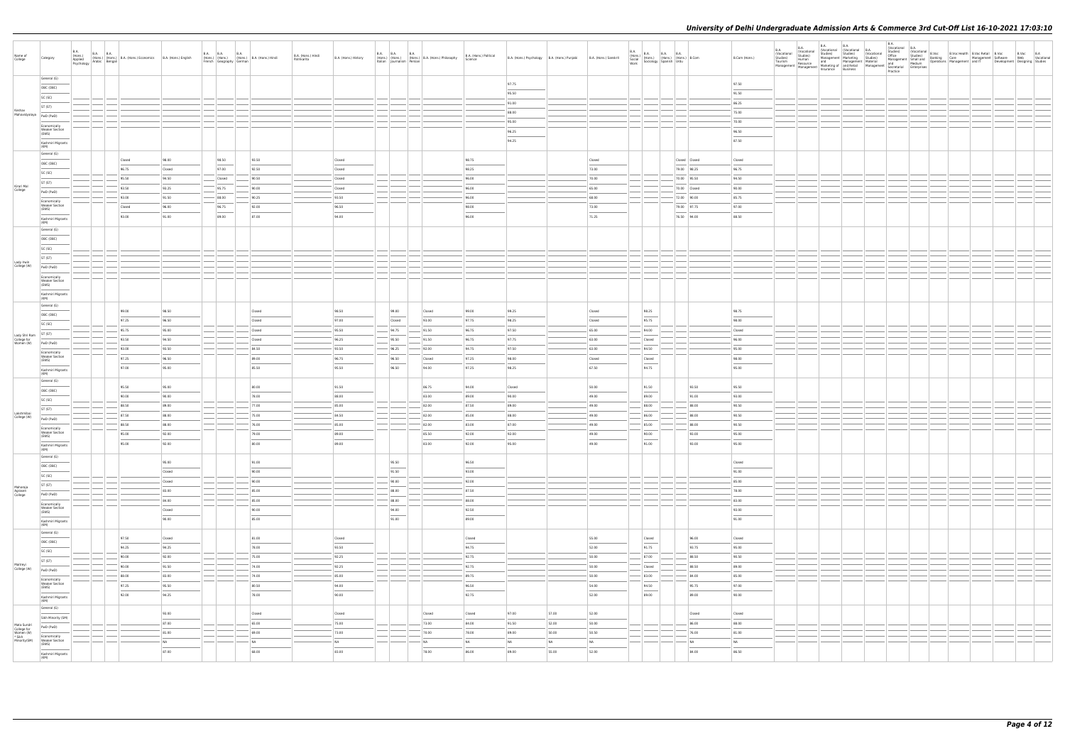|                                                    |                                                       |                                                 |        |                                                               |                  |                         |                                            |                    |                      |                                   |                                                 |                        |                                                |       |                       |                                                                                                                                                                                                                                                                                                                                                                                                                                             |               |                 | <b>B.A.</b> | <b>B.A.</b> |                                                              |  |  |  |
|----------------------------------------------------|-------------------------------------------------------|-------------------------------------------------|--------|---------------------------------------------------------------|------------------|-------------------------|--------------------------------------------|--------------------|----------------------|-----------------------------------|-------------------------------------------------|------------------------|------------------------------------------------|-------|-----------------------|---------------------------------------------------------------------------------------------------------------------------------------------------------------------------------------------------------------------------------------------------------------------------------------------------------------------------------------------------------------------------------------------------------------------------------------------|---------------|-----------------|-------------|-------------|--------------------------------------------------------------|--|--|--|
| Name of                                            |                                                       | B.A.                                            |        | B.A. B.A. (Hons.) B.A. (Hons.) Economics B.A. (Hons.) English | <b>B.A. B.A.</b> |                         | <b>B.A.</b>                                | B.A. (Hons.) Hindi |                      | <b>B.A. B.A.</b>                  | B.A.                                            | B.A. (Hons.) Political |                                                |       |                       |                                                                                                                                                                                                                                                                                                                                                                                                                                             |               |                 |             |             | B.A.<br>(Vocational B.A.<br>Studies) (Vocat<br>Office Studie |  |  |  |
| College                                            | Category                                              | (Hons.)<br>Applied<br>Psychology Arabic Bengali |        |                                                               |                  | French Geography German | (Hons.) (Hons.) (Hons.) B.A. (Hons.) Hindi | Patrikarita        | B.A. (Hons.) History | Italian Journalism Persian        | (Hons.) (Hons.) (Hons.) B.A. (Hons.) Philosophy | Science                | B.A. (Hons.) Psychology   B.A. (Hons.) Punjabi |       | B.A. (Hons.) Sanskrit | $\begin{array}{l l l} \text{B.A.} \\ \text{(Hons.)} \\ \text{Social} \\ \text{Sociol} \\ \text{Work} \end{array} \hspace{1mm} \begin{array}{l} \text{B.A.} \\ \text{(Hons.)} \\ \text{Storis.} \\ \text{J} \\ \text{S pairish} \end{array} \hspace{1mm} \begin{array}{l} \text{B.A.} \\ \text{Hons.)} \\ \text{(Hons.)} \\ \text{Urdu} \end{array} \hspace{1mm} \begin{array}{l} \text{B.A.} \\ \text{H, I} \\ \text{B. Comm.} \end{array}$ |               | B.Com (Hons.)   |             |             |                                                              |  |  |  |
|                                                    |                                                       |                                                 |        |                                                               |                  |                         |                                            |                    |                      |                                   |                                                 |                        |                                                |       |                       |                                                                                                                                                                                                                                                                                                                                                                                                                                             |               |                 |             |             |                                                              |  |  |  |
|                                                    | General (G)                                           |                                                 |        |                                                               |                  |                         |                                            |                    |                      |                                   |                                                 |                        | 97.75                                          |       |                       |                                                                                                                                                                                                                                                                                                                                                                                                                                             |               | 97.50           |             |             |                                                              |  |  |  |
|                                                    | OBC (OBC)                                             |                                                 |        |                                                               |                  |                         |                                            |                    |                      |                                   |                                                 |                        | 95.50                                          |       |                       |                                                                                                                                                                                                                                                                                                                                                                                                                                             |               | 91.50           |             |             |                                                              |  |  |  |
|                                                    | SC (SC)                                               |                                                 |        |                                                               |                  |                         |                                            |                    |                      |                                   |                                                 |                        | 91.00                                          |       |                       |                                                                                                                                                                                                                                                                                                                                                                                                                                             |               | 86.25           |             |             |                                                              |  |  |  |
| Keshav                                             | ST (ST)                                               |                                                 |        |                                                               |                  |                         |                                            |                    |                      |                                   |                                                 |                        |                                                |       |                       |                                                                                                                                                                                                                                                                                                                                                                                                                                             |               |                 |             |             |                                                              |  |  |  |
| Mahavidyalaya                                      | PwD (PwD)                                             |                                                 |        |                                                               |                  |                         |                                            |                    |                      |                                   |                                                 |                        | 88.00                                          |       |                       |                                                                                                                                                                                                                                                                                                                                                                                                                                             |               | 75.00           |             |             |                                                              |  |  |  |
|                                                    | Economically<br><b>Weaker Section</b>                 |                                                 |        |                                                               |                  |                         |                                            |                    |                      |                                   |                                                 |                        | 95.00                                          |       |                       |                                                                                                                                                                                                                                                                                                                                                                                                                                             |               | 70.00           |             |             |                                                              |  |  |  |
|                                                    | (EWS)                                                 |                                                 |        |                                                               |                  |                         |                                            |                    |                      |                                   |                                                 |                        | 96.25                                          |       |                       |                                                                                                                                                                                                                                                                                                                                                                                                                                             |               | 96.50           |             |             |                                                              |  |  |  |
|                                                    | Kashmiri Migrants<br>(KM)                             |                                                 |        |                                                               |                  |                         |                                            |                    |                      |                                   |                                                 |                        | 94.25                                          |       |                       |                                                                                                                                                                                                                                                                                                                                                                                                                                             |               | 87.50           |             |             |                                                              |  |  |  |
|                                                    | General (G)                                           |                                                 |        |                                                               |                  |                         |                                            |                    |                      |                                   |                                                 |                        |                                                |       |                       |                                                                                                                                                                                                                                                                                                                                                                                                                                             |               |                 |             |             |                                                              |  |  |  |
|                                                    | OBC (OBC)                                             |                                                 | Closed | 98.00                                                         |                  | 98.50                   | 93.50                                      |                    | Closed               |                                   |                                                 | 98.75                  |                                                |       | Closed                |                                                                                                                                                                                                                                                                                                                                                                                                                                             | Closed Closed | Closed          |             |             |                                                              |  |  |  |
|                                                    | SC (SC)                                               |                                                 | 96.75  | Closed                                                        |                  | 97.00                   | 92.50                                      |                    | Closed               |                                   |                                                 | 98.25                  |                                                |       | 73.00                 |                                                                                                                                                                                                                                                                                                                                                                                                                                             | 79.00 98.25   | 96.75           |             |             |                                                              |  |  |  |
|                                                    | ST (ST)                                               |                                                 | 95.50  | 94.50                                                         |                  | Closed                  | 90.50                                      |                    | Closed               |                                   |                                                 | 96.00                  |                                                |       | 70.00                 |                                                                                                                                                                                                                                                                                                                                                                                                                                             | 70.00 95.50   | 94.50           |             |             |                                                              |  |  |  |
| Kirori Mal<br>College                              | PwD (PwD)                                             |                                                 | 93.50  | 93.25                                                         |                  | 95.75                   | 90.00                                      |                    | Closed               |                                   |                                                 | 96.00                  |                                                |       | 65.00                 |                                                                                                                                                                                                                                                                                                                                                                                                                                             | 70.00 Closed  | 90.00           |             |             |                                                              |  |  |  |
|                                                    |                                                       |                                                 | 93.00  | 91.50                                                         |                  | 88.00                   | 90.25                                      |                    | 93.50                |                                   |                                                 | 96.00                  |                                                |       | 68.00                 |                                                                                                                                                                                                                                                                                                                                                                                                                                             | 72.00 90.00   | 85.75           |             |             |                                                              |  |  |  |
|                                                    | Economically<br><b>Weaker Section</b><br>(EWS)        |                                                 | Closed | 96.00                                                         |                  | 96.75                   | 92.00                                      |                    | 96.50                |                                   |                                                 | 98.00                  |                                                |       | 73.00                 |                                                                                                                                                                                                                                                                                                                                                                                                                                             | 79.00 97.75   | 97.00           |             |             |                                                              |  |  |  |
|                                                    | Kashmiri Migrants                                     |                                                 | 93.00  | 91.00                                                         |                  | 89.00                   | 87.00                                      |                    | 94.00                |                                   |                                                 | 96.00                  |                                                |       | 71.25                 |                                                                                                                                                                                                                                                                                                                                                                                                                                             | 76.50 94.00   | 88.50           |             |             |                                                              |  |  |  |
|                                                    | (KM)                                                  |                                                 |        |                                                               |                  |                         |                                            |                    |                      |                                   |                                                 |                        |                                                |       |                       |                                                                                                                                                                                                                                                                                                                                                                                                                                             |               |                 |             |             |                                                              |  |  |  |
|                                                    | General (G)                                           |                                                 |        |                                                               |                  |                         |                                            |                    |                      |                                   |                                                 |                        |                                                |       |                       |                                                                                                                                                                                                                                                                                                                                                                                                                                             |               |                 |             |             |                                                              |  |  |  |
|                                                    | OBC (OBC)                                             |                                                 |        |                                                               |                  |                         |                                            |                    |                      |                                   |                                                 |                        |                                                |       |                       |                                                                                                                                                                                                                                                                                                                                                                                                                                             |               |                 |             |             |                                                              |  |  |  |
|                                                    | SC (SC)                                               |                                                 |        |                                                               |                  |                         |                                            |                    |                      |                                   |                                                 |                        |                                                |       |                       |                                                                                                                                                                                                                                                                                                                                                                                                                                             |               |                 |             |             |                                                              |  |  |  |
| Lady Irwin<br>College (W)                          | ST (ST)                                               |                                                 |        |                                                               |                  |                         |                                            |                    |                      |                                   |                                                 |                        |                                                |       |                       |                                                                                                                                                                                                                                                                                                                                                                                                                                             |               |                 |             |             |                                                              |  |  |  |
|                                                    | PwD (PwD)                                             |                                                 |        |                                                               |                  |                         |                                            |                    |                      |                                   |                                                 |                        |                                                |       |                       |                                                                                                                                                                                                                                                                                                                                                                                                                                             |               |                 |             |             |                                                              |  |  |  |
|                                                    | Economically<br><b>Weaker Section</b>                 |                                                 |        |                                                               |                  |                         |                                            |                    |                      |                                   |                                                 |                        |                                                |       |                       |                                                                                                                                                                                                                                                                                                                                                                                                                                             |               |                 |             |             |                                                              |  |  |  |
|                                                    | (EWS)                                                 |                                                 |        |                                                               |                  |                         |                                            |                    |                      |                                   |                                                 |                        |                                                |       |                       |                                                                                                                                                                                                                                                                                                                                                                                                                                             |               |                 |             |             |                                                              |  |  |  |
|                                                    | Kashmiri Migrants<br>(KM)                             |                                                 |        |                                                               |                  |                         |                                            |                    |                      |                                   |                                                 |                        |                                                |       |                       |                                                                                                                                                                                                                                                                                                                                                                                                                                             |               |                 |             |             |                                                              |  |  |  |
|                                                    | General (G)                                           |                                                 |        |                                                               |                  |                         |                                            |                    |                      |                                   |                                                 |                        |                                                |       |                       |                                                                                                                                                                                                                                                                                                                                                                                                                                             |               |                 |             |             |                                                              |  |  |  |
|                                                    | OBC (OBC)                                             |                                                 | 99.00  | 98.50                                                         |                  |                         | Closed                                     |                    | 98.50                | 99.00                             | Closed                                          | 99.00                  | 99.25                                          |       | Closed                | 98.25                                                                                                                                                                                                                                                                                                                                                                                                                                       |               | 98.75           |             |             |                                                              |  |  |  |
|                                                    | SC (SC)                                               |                                                 | 97.25  | 96.50                                                         |                  |                         | Closed                                     |                    | 97.00                | Closed                            | 93.00                                           | 97.75                  | 98.25                                          |       | Closed                | 95.75                                                                                                                                                                                                                                                                                                                                                                                                                                       |               | 98.00           |             |             |                                                              |  |  |  |
|                                                    | ST (ST)                                               |                                                 | 95.75  | 95.00                                                         |                  |                         | Closed                                     |                    | 95.50                | 94.75                             | 91.50                                           | 96.75                  | 97.50                                          |       | 65.00                 | 94.00                                                                                                                                                                                                                                                                                                                                                                                                                                       |               | Closed          |             |             |                                                              |  |  |  |
| Lady Shri Ram<br>College for<br>Women (W)          | PwD (PwD)                                             |                                                 | 93.50  | 94.50                                                         |                  |                         | Closed                                     |                    | 96.25                | 95.50                             | 91.50                                           | 96.75                  | 97.75                                          |       | 63.00                 | Closed                                                                                                                                                                                                                                                                                                                                                                                                                                      |               | 96.00           |             |             |                                                              |  |  |  |
|                                                    | Economically                                          |                                                 | 93.00  | 93.50                                                         |                  |                         | 84.50                                      |                    | 93.50                | 96.25                             | 92.00                                           | 94.75                  | 97.50                                          |       | 63.00                 | $-$ 94.50                                                                                                                                                                                                                                                                                                                                                                                                                                   |               | 95.00           |             |             |                                                              |  |  |  |
|                                                    | <b>Weaker Section</b><br>(EWS)                        |                                                 | 97.25  | 96.50                                                         |                  |                         | 89.00                                      |                    | 96.75                | 96.50                             | Closed                                          | 97.25                  | 98.00                                          |       | Closed                | Closed                                                                                                                                                                                                                                                                                                                                                                                                                                      |               | 98.00           |             |             |                                                              |  |  |  |
|                                                    | Kashmiri Migrants                                     |                                                 | 97.00  | 95.00                                                         |                  |                         | 85.50                                      |                    | 95.50                | 96.50                             | 94.00                                           | 97.25                  | 98.25                                          |       | 67.50                 | 94.75                                                                                                                                                                                                                                                                                                                                                                                                                                       |               | 95.00           |             |             |                                                              |  |  |  |
|                                                    | (KM)<br>General (G)                                   |                                                 |        |                                                               |                  |                         |                                            |                    |                      |                                   |                                                 |                        |                                                |       |                       |                                                                                                                                                                                                                                                                                                                                                                                                                                             |               |                 |             |             |                                                              |  |  |  |
|                                                    | OBC (OBC)                                             |                                                 | 95.50  | 95.00                                                         |                  |                         | 80.00                                      |                    | 91.50                |                                   | 86.75                                           | 94.00                  | Closed                                         |       | 50.00                 | 91.50                                                                                                                                                                                                                                                                                                                                                                                                                                       | 93.50         | 95.50           |             |             |                                                              |  |  |  |
|                                                    | SC (SC)                                               |                                                 | 90.00  | 90.00                                                         |                  |                         | 78.00                                      |                    | 88.00                |                                   | 83.00                                           | 89.00                  | 90.00                                          |       | 49.00                 | 89.00                                                                                                                                                                                                                                                                                                                                                                                                                                       | 91.00         | 93.00           |             |             |                                                              |  |  |  |
|                                                    |                                                       |                                                 | 88.50  | 89.00                                                         |                  |                         | 77.00                                      |                    | 85.00                |                                   | 82.00                                           | 87.50                  | 89.00                                          |       | 49.00                 | 88.00                                                                                                                                                                                                                                                                                                                                                                                                                                       | 88.00         | 90.50           |             |             |                                                              |  |  |  |
| Lakshmibai<br>College (W)                          | ST (ST)                                               |                                                 | 87.50  | 88.00                                                         |                  |                         | 75.00                                      |                    | 84.50                |                                   | 82.00                                           | 85.00                  | 88.00                                          |       | 49.00                 | 86.00                                                                                                                                                                                                                                                                                                                                                                                                                                       | 88.00         | 90.50           |             |             |                                                              |  |  |  |
|                                                    | PwD (PwD)                                             |                                                 | 88.50  | 88.00                                                         |                  |                         | 76.00                                      |                    | 85.00                |                                   | 82.00                                           | 83.00                  | 87.00                                          |       | 49.00                 | $-85.00$                                                                                                                                                                                                                                                                                                                                                                                                                                    | 88.00         | 90.50           |             |             |                                                              |  |  |  |
|                                                    | Economically<br><b>Weaker Section</b><br>(EWS)        |                                                 | 95.00  | 92.00                                                         |                  |                         | 79.00                                      |                    | 89.00                |                                   | 85.50                                           | 92.00                  | 92.00                                          |       | 49.00                 | 90.00                                                                                                                                                                                                                                                                                                                                                                                                                                       | 93.00         | 95.00           |             |             |                                                              |  |  |  |
|                                                    | Kashmiri Migrants                                     |                                                 | 95.00  | 92.00                                                         |                  |                         | 80.00                                      |                    | 89.00                |                                   | 83.00                                           | 92.00                  | 95.00                                          |       | 49.00                 | 91.00                                                                                                                                                                                                                                                                                                                                                                                                                                       | 93.00         | 95.00           |             |             |                                                              |  |  |  |
|                                                    | (KM)                                                  |                                                 |        |                                                               |                  |                         |                                            |                    |                      |                                   |                                                 |                        |                                                |       |                       |                                                                                                                                                                                                                                                                                                                                                                                                                                             |               |                 |             |             |                                                              |  |  |  |
|                                                    | General (G)                                           |                                                 |        | 95.00                                                         |                  |                         | 91.00                                      |                    |                      | 95.50                             |                                                 | 96.50                  |                                                |       |                       |                                                                                                                                                                                                                                                                                                                                                                                                                                             |               | Closed          |             |             |                                                              |  |  |  |
|                                                    | OBC (OBC)                                             |                                                 |        | Closed                                                        |                  |                         | 90.00                                      |                    |                      | $\overline{\phantom{a}}$<br>91.50 |                                                 | 93.00                  |                                                |       |                       |                                                                                                                                                                                                                                                                                                                                                                                                                                             |               | 91.00           |             |             |                                                              |  |  |  |
|                                                    | SC (SC)                                               |                                                 |        | Closed                                                        |                  |                         | 90.00                                      |                    |                      | 90.00                             |                                                 | 92.00                  |                                                |       |                       |                                                                                                                                                                                                                                                                                                                                                                                                                                             |               | 85.00           |             |             |                                                              |  |  |  |
| Maharaja                                           | ST (ST)                                               |                                                 |        | 83.00                                                         |                  |                         | 85.00                                      |                    |                      | 88.00                             |                                                 | 87.50                  |                                                |       |                       |                                                                                                                                                                                                                                                                                                                                                                                                                                             |               | 78.00           |             |             |                                                              |  |  |  |
| Agrasen<br>College                                 | PwD (PwD)                                             |                                                 |        | 84.00                                                         |                  |                         | 85.00                                      |                    |                      | 88.00                             |                                                 | 88.00                  |                                                |       |                       |                                                                                                                                                                                                                                                                                                                                                                                                                                             |               | $-83.00$        |             |             |                                                              |  |  |  |
|                                                    | Economically<br><b>Weaker Section</b>                 |                                                 |        | Closed                                                        |                  |                         | 90.00                                      |                    |                      | 94.00                             |                                                 | 92.50                  |                                                |       |                       |                                                                                                                                                                                                                                                                                                                                                                                                                                             |               | 93.00           |             |             |                                                              |  |  |  |
|                                                    | (EWS)                                                 |                                                 |        | 90.00                                                         |                  |                         | 85.00                                      |                    |                      | $\sim$<br>91.00                   |                                                 | $\sim$<br>89.00        |                                                |       |                       |                                                                                                                                                                                                                                                                                                                                                                                                                                             |               | $\sim$<br>91.00 |             |             |                                                              |  |  |  |
|                                                    | Kashmiri Migrants<br>(KM)                             |                                                 |        |                                                               |                  |                         |                                            |                    |                      |                                   |                                                 |                        |                                                |       |                       |                                                                                                                                                                                                                                                                                                                                                                                                                                             |               |                 |             |             |                                                              |  |  |  |
|                                                    | General (G)                                           |                                                 |        |                                                               |                  |                         |                                            |                    |                      |                                   |                                                 |                        |                                                |       |                       |                                                                                                                                                                                                                                                                                                                                                                                                                                             |               |                 |             |             |                                                              |  |  |  |
|                                                    | OBC (OBC)                                             |                                                 | 97.50  | Closed                                                        |                  |                         | 81.00                                      |                    | Closed               |                                   |                                                 | Closed                 |                                                |       | 55.00                 | Closed                                                                                                                                                                                                                                                                                                                                                                                                                                      | 96.00         | Closed          |             |             |                                                              |  |  |  |
|                                                    | SC (SC)                                               |                                                 | 94.25  | 94.25                                                         |                  |                         | 78.00                                      |                    | 93.50                |                                   |                                                 | 94.75                  |                                                |       | 52.00                 | 91.75                                                                                                                                                                                                                                                                                                                                                                                                                                       | 93.75         | 95.00           |             |             |                                                              |  |  |  |
| Maitreyi                                           | ST (ST)                                               |                                                 | 90.00  | 92.00                                                         |                  |                         | 75.00                                      |                    | 92.25                |                                   |                                                 | 92.75                  |                                                |       | 50.00                 | $-$ 87.00                                                                                                                                                                                                                                                                                                                                                                                                                                   | 88.50         | 90.50           |             |             |                                                              |  |  |  |
| College (W)                                        | PwD (PwD)                                             |                                                 | 90.00  | 91.50                                                         |                  |                         | 74.00                                      |                    | 92.25                |                                   |                                                 | 92.75                  |                                                |       | 50.00                 | Closed                                                                                                                                                                                                                                                                                                                                                                                                                                      | 88.50         | 89.00           |             |             |                                                              |  |  |  |
|                                                    | Economically                                          |                                                 | 88.00  | 83.00                                                         |                  |                         | 74.00                                      |                    | 85.00                |                                   |                                                 | 89.75                  |                                                |       | 50.00                 | 83.00                                                                                                                                                                                                                                                                                                                                                                                                                                       | 84.00         | 85.00           |             |             |                                                              |  |  |  |
|                                                    | <b>Weaker Section</b><br>(EWS)                        |                                                 | 97.25  | 95.50                                                         |                  |                         | 80.50                                      |                    | 94.00                |                                   |                                                 | 96.50                  |                                                |       | 54.00                 | 94.50                                                                                                                                                                                                                                                                                                                                                                                                                                       | 95.75         | 97.00           |             |             |                                                              |  |  |  |
|                                                    | $\overline{\phantom{a}}$<br>Kashmiri Migrants<br>(KM) |                                                 | 92.00  | 94.25                                                         |                  |                         | 78.00                                      |                    | 90.00                |                                   |                                                 | 92.75                  |                                                |       | 52.00                 | 89.00                                                                                                                                                                                                                                                                                                                                                                                                                                       | 89.00         | 90.00           |             |             |                                                              |  |  |  |
|                                                    | General (G)                                           |                                                 |        |                                                               |                  |                         |                                            |                    |                      |                                   |                                                 |                        |                                                |       |                       |                                                                                                                                                                                                                                                                                                                                                                                                                                             |               |                 |             |             |                                                              |  |  |  |
|                                                    | Sikh Minority (SM)                                    |                                                 |        | 93.00                                                         |                  |                         | Closed                                     |                    | Closed               |                                   | Closed                                          | Closed                 | 97.00                                          | 57.00 | 52.00                 |                                                                                                                                                                                                                                                                                                                                                                                                                                             | Closed        | Closed          |             |             |                                                              |  |  |  |
| Mata Sundri                                        | PwD (PwD)                                             |                                                 |        | 87.00                                                         |                  |                         | 65.00                                      |                    | 75.00                |                                   | 73.00                                           | 84.00                  | 91.50                                          | 52.00 | 50.00                 |                                                                                                                                                                                                                                                                                                                                                                                                                                             | 86.00         | 88.00           |             |             |                                                              |  |  |  |
| College for<br>Women (W)<br>* Sikh<br>Minority(SM) | Economically                                          |                                                 |        | 81.00                                                         |                  |                         | 69.00                                      |                    | 73.00                |                                   | 70.00                                           | 78.00                  | 89.00                                          | 50.00 | 50.50                 |                                                                                                                                                                                                                                                                                                                                                                                                                                             | 76.00         | 81.00           |             |             |                                                              |  |  |  |
|                                                    | Weaker Section<br>(EWS)                               |                                                 |        | NA                                                            |                  |                         | NA                                         |                    | N <sub>A</sub>       |                                   | NA                                              | NA                     | NA                                             | NA    | NA                    |                                                                                                                                                                                                                                                                                                                                                                                                                                             | NA            | NA              |             |             |                                                              |  |  |  |
|                                                    | Kashmiri Migrants                                     |                                                 |        | 87.00                                                         |                  |                         | $\overline{\phantom{a}}$<br>68.00          |                    | 83.00                |                                   | 78.00                                           | 86.00                  | 89.00                                          | 55.00 | 52.00                 |                                                                                                                                                                                                                                                                                                                                                                                                                                             | 84.00         | 86.50           |             |             |                                                              |  |  |  |
|                                                    | (KM)                                                  |                                                 |        |                                                               |                  |                         |                                            |                    |                      |                                   |                                                 |                        |                                                |       |                       |                                                                                                                                                                                                                                                                                                                                                                                                                                             |               |                 |             |             |                                                              |  |  |  |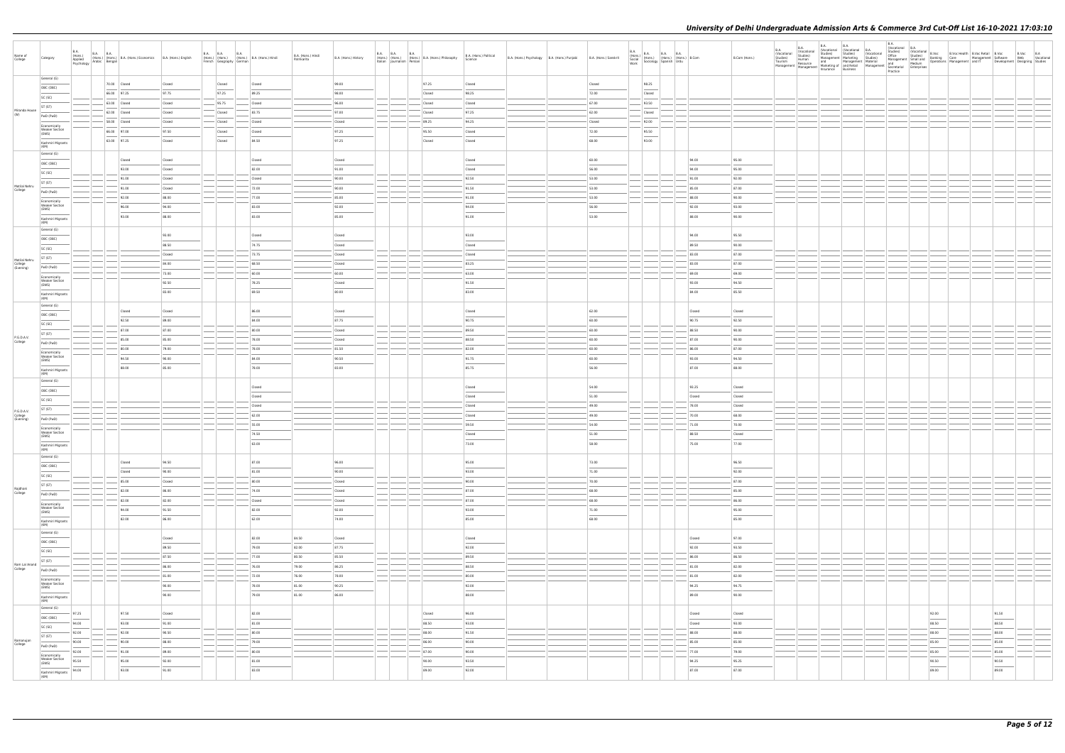| Name of<br>College       | B.A.<br>Category                               |       | <b>B.A. B.A.</b><br>(Hons.) (Hons.) (Hons.) B.A. (Hons.) Economics<br>Applied (Hons.) (Hons.) B.A. (Hons.) Economics<br>Psychology Arabic Bengali |                 | <b>B.A. B.A.</b><br>French Geography German | <b>B.A.</b><br>(Hons.) (Hons.) (Hons.) B.A. (Hons.) Hindi | B.A. (Hons.) Hindi<br>Patrikarita | B.A. (Hons.) History | <b>B.A. B.A.</b> | B.A.<br>Italian Journalism Persian | (Hons.) (Hons.) (Hons.) B.A. (Hons.) Philosophy | B.A. (Hons.) Political<br>Science                                                                                                                                                                                                                                                                                                                                                                                                                                                   | B.A. (Hons.) Psychology B.A. (Hons.) Punjabi | B.A. (Hons.) Sanskrit | B.A. | B.A. (Hons.) B.A. B.A. B.A. (Hons.) B.Com<br>Social (Hons.) (Hons.) (Hons.) B.Com<br>Work Sociology Spanish Urdu |                | B.Com (Hons.)   | <b>B.A.</b> | <b>B.A.</b><br><b>B.A.</b><br>Studies) Studies) Human Management Marketing Studies) (Vocational Studies) (Vocational B.Voc<br>Tourism Human Management Marketing Studies) Management Small and Banking Care Management Software Web Vocational<br>Management Manag | B.A.<br>(Vocational (Vocational B.A.<br>Studies) Studies) (Vocat | <b>B.A.</b><br>(Vocational B.A. |                                   |  |                 |  |
|--------------------------|------------------------------------------------|-------|---------------------------------------------------------------------------------------------------------------------------------------------------|-----------------|---------------------------------------------|-----------------------------------------------------------|-----------------------------------|----------------------|------------------|------------------------------------|-------------------------------------------------|-------------------------------------------------------------------------------------------------------------------------------------------------------------------------------------------------------------------------------------------------------------------------------------------------------------------------------------------------------------------------------------------------------------------------------------------------------------------------------------|----------------------------------------------|-----------------------|------|------------------------------------------------------------------------------------------------------------------|----------------|-----------------|-------------|--------------------------------------------------------------------------------------------------------------------------------------------------------------------------------------------------------------------------------------------------------------------|------------------------------------------------------------------|---------------------------------|-----------------------------------|--|-----------------|--|
|                          | General (G)                                    |       | 70.00 Closed                                                                                                                                      | Closed          | Closed                                      | Closed                                                    |                                   | 99.00                |                  |                                    | 97.25                                           | Closed                                                                                                                                                                                                                                                                                                                                                                                                                                                                              |                                              | Closed                |      | 98.25                                                                                                            |                |                 |             |                                                                                                                                                                                                                                                                    |                                                                  |                                 |                                   |  |                 |  |
|                          | OBC (OBC)<br>SC (SC)                           |       | 66.00 97.25                                                                                                                                       | 97.75           | 97.25                                       | 89.25                                                     |                                   | 98.00                |                  |                                    | Closed                                          | 98.25                                                                                                                                                                                                                                                                                                                                                                                                                                                                               |                                              | 72.00                 |      | Closed                                                                                                           |                |                 |             |                                                                                                                                                                                                                                                                    |                                                                  |                                 |                                   |  |                 |  |
|                          | ST (ST)                                        |       | 63.00 Closed                                                                                                                                      | Closed          | 95.75                                       | <b>Closed</b>                                             |                                   | 96.00                |                  |                                    | Closed                                          | Closed                                                                                                                                                                                                                                                                                                                                                                                                                                                                              |                                              | 67.00                 |      | $-$ 93.50                                                                                                        |                |                 |             |                                                                                                                                                                                                                                                                    |                                                                  |                                 |                                   |  |                 |  |
| Miranda House<br>(W)     | PwD (PwD)                                      |       | 62.00 Closed                                                                                                                                      | Closed          | Closed                                      | 83.75                                                     |                                   | 97.00                |                  |                                    | Closed                                          | 97.25                                                                                                                                                                                                                                                                                                                                                                                                                                                                               |                                              | 62.00                 |      | Closed                                                                                                           |                |                 |             |                                                                                                                                                                                                                                                                    |                                                                  |                                 |                                   |  |                 |  |
|                          | Economically                                   |       | 58.00 Closed                                                                                                                                      | Closed          | Closed                                      | Closed                                                    |                                   | Closed               |                  |                                    | 89.25                                           | 94.25                                                                                                                                                                                                                                                                                                                                                                                                                                                                               |                                              | Closed                |      | $-92.00$                                                                                                         |                |                 |             |                                                                                                                                                                                                                                                                    |                                                                  |                                 |                                   |  |                 |  |
|                          | <b>Weaker Section</b><br>(EWS)                 |       | 66.00 97.00                                                                                                                                       | 97.50           | Closed                                      | Closed                                                    |                                   | 97.25                |                  |                                    | 95.50                                           | Closed                                                                                                                                                                                                                                                                                                                                                                                                                                                                              |                                              | 72.00                 |      | 95.50                                                                                                            |                |                 |             |                                                                                                                                                                                                                                                                    |                                                                  |                                 |                                   |  |                 |  |
|                          | Kashmiri Migrants<br>(KM)                      |       | 63.00 97.25                                                                                                                                       | Closed          | Closed                                      | 84.50                                                     |                                   | 97.25                |                  |                                    | Closed                                          | Closed                                                                                                                                                                                                                                                                                                                                                                                                                                                                              |                                              | 68.00                 |      | 93.00                                                                                                            |                |                 |             |                                                                                                                                                                                                                                                                    |                                                                  |                                 |                                   |  |                 |  |
|                          | General (G)                                    |       | Closed                                                                                                                                            | Closed          |                                             | Closed                                                    |                                   | Closed               |                  |                                    |                                                 | Closed                                                                                                                                                                                                                                                                                                                                                                                                                                                                              |                                              | 60.00                 |      |                                                                                                                  | 94.00          | 95.00           |             |                                                                                                                                                                                                                                                                    |                                                                  |                                 |                                   |  |                 |  |
|                          | OBC (OBC)                                      |       | 93.00                                                                                                                                             | Closed          |                                             | 82.00                                                     |                                   | 91.00                |                  |                                    |                                                 | Closed                                                                                                                                                                                                                                                                                                                                                                                                                                                                              |                                              | 56.00                 |      |                                                                                                                  | 94.00          | 95.00           |             |                                                                                                                                                                                                                                                                    |                                                                  |                                 |                                   |  |                 |  |
|                          | SC (SC)                                        |       | 91.00                                                                                                                                             | Closed          |                                             | Closed                                                    |                                   | 90.00                |                  |                                    |                                                 | 92.50                                                                                                                                                                                                                                                                                                                                                                                                                                                                               |                                              | 53.00                 |      |                                                                                                                  | 91.00          | 92.00           |             |                                                                                                                                                                                                                                                                    |                                                                  |                                 |                                   |  |                 |  |
| Motilal Nehru<br>College | ST (ST)<br>PwD (PwD)                           |       | 91.00                                                                                                                                             | Closed          |                                             | 72.00                                                     |                                   | 90.00                |                  |                                    |                                                 | 91.50                                                                                                                                                                                                                                                                                                                                                                                                                                                                               |                                              | 53.00                 |      |                                                                                                                  | 85.00          | 87.00           |             |                                                                                                                                                                                                                                                                    |                                                                  |                                 |                                   |  |                 |  |
|                          | Economically                                   |       | 92.00                                                                                                                                             | 88.00           |                                             | 77.00                                                     |                                   | 85.00                |                  |                                    |                                                 | 91.00                                                                                                                                                                                                                                                                                                                                                                                                                                                                               |                                              | 53.00                 |      |                                                                                                                  | 88.00          | 90.00           |             |                                                                                                                                                                                                                                                                    |                                                                  |                                 |                                   |  |                 |  |
|                          | <b>Weaker Section</b><br>(EWS)                 |       | 96.00                                                                                                                                             | 94.00           |                                             | 83.00                                                     |                                   | 92.00                |                  |                                    |                                                 | 94.00                                                                                                                                                                                                                                                                                                                                                                                                                                                                               |                                              | 56.00                 |      |                                                                                                                  | 92.00          | 93.00           |             |                                                                                                                                                                                                                                                                    |                                                                  |                                 |                                   |  |                 |  |
|                          | Kashmiri Migrants<br>(KM)                      |       | 93.00                                                                                                                                             | 88.00           |                                             | 83.00                                                     |                                   | 85.00                |                  |                                    |                                                 | 91.00                                                                                                                                                                                                                                                                                                                                                                                                                                                                               |                                              | 53.00                 |      |                                                                                                                  | 88.00          | 90.00           |             |                                                                                                                                                                                                                                                                    |                                                                  |                                 |                                   |  |                 |  |
|                          | General (G)                                    |       |                                                                                                                                                   |                 |                                             |                                                           |                                   |                      |                  |                                    |                                                 |                                                                                                                                                                                                                                                                                                                                                                                                                                                                                     |                                              |                       |      |                                                                                                                  |                |                 |             |                                                                                                                                                                                                                                                                    |                                                                  |                                 |                                   |  |                 |  |
|                          | OBC (OBC)                                      |       |                                                                                                                                                   | 93.00           |                                             | Closed                                                    |                                   | Closed               |                  |                                    |                                                 | 93.00                                                                                                                                                                                                                                                                                                                                                                                                                                                                               |                                              |                       |      |                                                                                                                  | 94.00          | 95.50           |             |                                                                                                                                                                                                                                                                    |                                                                  |                                 |                                   |  |                 |  |
|                          | SC (SC)                                        |       |                                                                                                                                                   | 88.50<br>Closed |                                             | 74.75<br>73.75                                            |                                   | Closed<br>Closed     |                  |                                    |                                                 | Closed<br>Closed                                                                                                                                                                                                                                                                                                                                                                                                                                                                    |                                              |                       |      |                                                                                                                  | 89.50<br>83.00 | 90.00<br>87.00  |             |                                                                                                                                                                                                                                                                    |                                                                  |                                 |                                   |  |                 |  |
| Motilal Nehru            | ST (ST)                                        |       |                                                                                                                                                   | 84.00           |                                             | 68.50                                                     |                                   | Closed               |                  |                                    |                                                 | 83.25                                                                                                                                                                                                                                                                                                                                                                                                                                                                               |                                              |                       |      |                                                                                                                  | 83.00          | 87.00           |             |                                                                                                                                                                                                                                                                    |                                                                  |                                 |                                   |  |                 |  |
| College<br>(Evening)     | PwD (PwD)                                      |       |                                                                                                                                                   | $-73.00$        |                                             | 60.00                                                     |                                   | 60.00                |                  |                                    |                                                 | 63.00                                                                                                                                                                                                                                                                                                                                                                                                                                                                               |                                              |                       |      |                                                                                                                  | 69.00          | 69.00           |             |                                                                                                                                                                                                                                                                    |                                                                  |                                 |                                   |  |                 |  |
|                          | Economically<br><b>Weaker Section</b><br>(EWS) |       |                                                                                                                                                   | 92.50           |                                             | 78.25                                                     |                                   | Closed               |                  |                                    |                                                 | 91.50                                                                                                                                                                                                                                                                                                                                                                                                                                                                               |                                              |                       |      |                                                                                                                  | 93.00          | 94.50           |             |                                                                                                                                                                                                                                                                    |                                                                  |                                 |                                   |  |                 |  |
|                          | Kashmiri Migrants                              |       |                                                                                                                                                   | 83.00           |                                             | 69.50                                                     |                                   | 80.00                |                  |                                    |                                                 | 83.00                                                                                                                                                                                                                                                                                                                                                                                                                                                                               |                                              |                       |      |                                                                                                                  | 84.00          | 85.50           |             |                                                                                                                                                                                                                                                                    |                                                                  |                                 |                                   |  |                 |  |
|                          | (KM)<br>General (G)                            |       |                                                                                                                                                   |                 |                                             |                                                           |                                   |                      |                  |                                    |                                                 |                                                                                                                                                                                                                                                                                                                                                                                                                                                                                     |                                              |                       |      |                                                                                                                  |                |                 |             |                                                                                                                                                                                                                                                                    |                                                                  |                                 |                                   |  |                 |  |
|                          | OBC (OBC)                                      |       | Closed                                                                                                                                            | Closed          |                                             | 86.00                                                     |                                   | Closed               |                  |                                    |                                                 | Closed                                                                                                                                                                                                                                                                                                                                                                                                                                                                              |                                              | 62.00                 |      |                                                                                                                  | Closed         | Closed          |             |                                                                                                                                                                                                                                                                    |                                                                  |                                 |                                   |  |                 |  |
|                          | SC (SC)                                        |       | 92.50                                                                                                                                             | 89.00           |                                             | 84.00                                                     |                                   | 87.75                |                  |                                    |                                                 | 90.75                                                                                                                                                                                                                                                                                                                                                                                                                                                                               |                                              | 60.00                 |      |                                                                                                                  | 90.75          | 92.50           |             |                                                                                                                                                                                                                                                                    |                                                                  |                                 |                                   |  |                 |  |
| P.G.D.A.V.               | ST (ST)                                        |       | 87.00                                                                                                                                             | 87.00           |                                             | 80.00                                                     |                                   | Closed               |                  |                                    |                                                 | 89.50                                                                                                                                                                                                                                                                                                                                                                                                                                                                               |                                              | 60.00                 |      |                                                                                                                  | 88.50<br>87.00 | 90.00           |             |                                                                                                                                                                                                                                                                    |                                                                  |                                 |                                   |  |                 |  |
| College                  | PwD (PwD)                                      |       | 85.00<br>80.00                                                                                                                                    | 85.00<br>79.00  |                                             | 78.00<br>78.00                                            |                                   | Closed<br>81.50      |                  |                                    |                                                 | 88.50<br>82.00                                                                                                                                                                                                                                                                                                                                                                                                                                                                      |                                              | 60.00<br>60.00        |      |                                                                                                                  | 86.00          | 90.00<br>87.00  |             |                                                                                                                                                                                                                                                                    |                                                                  |                                 |                                   |  |                 |  |
|                          | Economically<br><b>Weaker Section</b>          |       | 94.50                                                                                                                                             | 90.00           |                                             | 84.00                                                     |                                   | 90.50                |                  |                                    |                                                 | 91.75                                                                                                                                                                                                                                                                                                                                                                                                                                                                               |                                              | 60.00                 |      |                                                                                                                  | 93.00          | 94.50           |             |                                                                                                                                                                                                                                                                    |                                                                  |                                 |                                   |  |                 |  |
|                          | (EWS)<br>Kashmiri Migrants                     |       | 88.00                                                                                                                                             | 85.00           |                                             | 78.00                                                     |                                   | 83.00                |                  |                                    |                                                 | 85.75                                                                                                                                                                                                                                                                                                                                                                                                                                                                               |                                              | 56.00                 |      |                                                                                                                  | 87.00          | 88.00           |             |                                                                                                                                                                                                                                                                    |                                                                  |                                 |                                   |  |                 |  |
|                          | (KM)<br>General (G)                            |       |                                                                                                                                                   |                 |                                             |                                                           |                                   |                      |                  |                                    |                                                 |                                                                                                                                                                                                                                                                                                                                                                                                                                                                                     |                                              |                       |      |                                                                                                                  |                |                 |             |                                                                                                                                                                                                                                                                    |                                                                  |                                 |                                   |  |                 |  |
|                          | OBC (OBC)                                      |       |                                                                                                                                                   |                 |                                             | Closed                                                    |                                   |                      |                  |                                    |                                                 | Closed                                                                                                                                                                                                                                                                                                                                                                                                                                                                              |                                              | 54.00                 |      |                                                                                                                  | 93.25          | Closed          |             |                                                                                                                                                                                                                                                                    |                                                                  |                                 |                                   |  |                 |  |
|                          | SC (SC)                                        |       |                                                                                                                                                   |                 |                                             | Closed                                                    |                                   |                      |                  |                                    |                                                 | Closed                                                                                                                                                                                                                                                                                                                                                                                                                                                                              |                                              | 51.00                 |      |                                                                                                                  | Closed         | Closed          |             |                                                                                                                                                                                                                                                                    |                                                                  |                                 |                                   |  |                 |  |
| P.G.D.A.V.               | ST (ST)                                        |       |                                                                                                                                                   |                 |                                             | Closed                                                    |                                   |                      |                  |                                    |                                                 | Closed                                                                                                                                                                                                                                                                                                                                                                                                                                                                              |                                              | 49.00                 |      |                                                                                                                  | 78.00          | Closed          |             |                                                                                                                                                                                                                                                                    |                                                                  |                                 |                                   |  |                 |  |
| College<br>(Evening)     | PwD (PwD)                                      |       |                                                                                                                                                   |                 |                                             | 62.00                                                     |                                   |                      |                  |                                    |                                                 | Closed                                                                                                                                                                                                                                                                                                                                                                                                                                                                              |                                              | 49.00                 |      |                                                                                                                  | 70.00          | 68.00           |             |                                                                                                                                                                                                                                                                    |                                                                  |                                 |                                   |  |                 |  |
|                          | Economically<br><b>Weaker Section</b>          |       |                                                                                                                                                   |                 |                                             | 55.00<br>74.50                                            |                                   |                      |                  |                                    |                                                 | 59.50<br>Closed                                                                                                                                                                                                                                                                                                                                                                                                                                                                     |                                              | 54.00<br>51.00        |      |                                                                                                                  | 71.00<br>88.50 | 70.00<br>Closed |             |                                                                                                                                                                                                                                                                    |                                                                  |                                 |                                   |  |                 |  |
|                          | (EWS)                                          |       |                                                                                                                                                   |                 |                                             | 63.00                                                     |                                   |                      |                  |                                    |                                                 | 73.00                                                                                                                                                                                                                                                                                                                                                                                                                                                                               |                                              | 58.00                 |      |                                                                                                                  | 75.00          | 77.00           |             |                                                                                                                                                                                                                                                                    |                                                                  |                                 |                                   |  |                 |  |
|                          | Kashmiri Migrants<br>(KM)                      |       |                                                                                                                                                   |                 |                                             |                                                           |                                   |                      |                  |                                    |                                                 |                                                                                                                                                                                                                                                                                                                                                                                                                                                                                     |                                              |                       |      |                                                                                                                  |                |                 |             |                                                                                                                                                                                                                                                                    |                                                                  |                                 |                                   |  |                 |  |
|                          | General (G)<br>OBC (OBC)                       |       | Closed                                                                                                                                            | 94.50           |                                             | 87.00                                                     |                                   | 96.00                |                  |                                    |                                                 | 95.00                                                                                                                                                                                                                                                                                                                                                                                                                                                                               |                                              | 73.00                 |      |                                                                                                                  |                | 96.50           |             |                                                                                                                                                                                                                                                                    |                                                                  |                                 |                                   |  |                 |  |
|                          | SC (SC)                                        |       | Closed                                                                                                                                            | 90.00           |                                             | 81.00                                                     |                                   | 90.00                |                  |                                    |                                                 | 93.00                                                                                                                                                                                                                                                                                                                                                                                                                                                                               |                                              | 71.00                 |      |                                                                                                                  |                | 92.00           |             |                                                                                                                                                                                                                                                                    |                                                                  |                                 |                                   |  |                 |  |
|                          | ST (ST)                                        |       | 85.00                                                                                                                                             | Closed          |                                             | 80.00                                                     |                                   | Closed               |                  | <u> — Lendra</u>                   |                                                 | 90.00                                                                                                                                                                                                                                                                                                                                                                                                                                                                               |                                              | 70.00                 |      |                                                                                                                  |                | 87.00           |             |                                                                                                                                                                                                                                                                    |                                                                  |                                 |                                   |  |                 |  |
| Rajdhani<br>College      | PwD (PwD)                                      |       | 82.00                                                                                                                                             | 86.00           |                                             | 74.00                                                     |                                   | Closed               |                  |                                    |                                                 | 87.00                                                                                                                                                                                                                                                                                                                                                                                                                                                                               |                                              | 68.00                 |      |                                                                                                                  |                | 85.00           |             |                                                                                                                                                                                                                                                                    |                                                                  |                                 |                                   |  |                 |  |
|                          | Economically<br><b>Weaker Section</b>          |       | 82.00                                                                                                                                             | 82.00           |                                             | Closed                                                    |                                   | Closed               |                  |                                    |                                                 | 87.00                                                                                                                                                                                                                                                                                                                                                                                                                                                                               |                                              | 68.00                 |      |                                                                                                                  |                | 86.00           |             |                                                                                                                                                                                                                                                                    |                                                                  |                                 |                                   |  |                 |  |
|                          | (EWS)                                          |       | 94.00<br>82.00                                                                                                                                    | 91.50<br>86.00  |                                             | 82.00<br>62.00                                            |                                   | 92.00<br>74.00       |                  |                                    |                                                 | 93.00<br>85.00                                                                                                                                                                                                                                                                                                                                                                                                                                                                      |                                              | 71.00<br>68.00        |      |                                                                                                                  |                | 95.00<br>85.00  |             |                                                                                                                                                                                                                                                                    |                                                                  |                                 |                                   |  |                 |  |
|                          | Kashmiri Migrants<br>(KM)                      |       |                                                                                                                                                   |                 |                                             |                                                           |                                   |                      |                  |                                    |                                                 |                                                                                                                                                                                                                                                                                                                                                                                                                                                                                     |                                              |                       |      |                                                                                                                  |                |                 |             |                                                                                                                                                                                                                                                                    |                                                                  |                                 |                                   |  |                 |  |
|                          | General (G)                                    |       |                                                                                                                                                   | Closed          |                                             | 82.00                                                     | 84.50                             | Closed               |                  |                                    |                                                 | Closed                                                                                                                                                                                                                                                                                                                                                                                                                                                                              |                                              |                       |      |                                                                                                                  | Closed         | 97.00           |             |                                                                                                                                                                                                                                                                    |                                                                  |                                 |                                   |  |                 |  |
|                          | OBC (OBC)<br>SC (SC)                           |       |                                                                                                                                                   | 89.50           |                                             | 79.00                                                     | 82.00                             | 87.75                |                  |                                    |                                                 | $\frac{1}{2} \left( \frac{1}{2} \right) \left( \frac{1}{2} \right) \left( \frac{1}{2} \right) \left( \frac{1}{2} \right) \left( \frac{1}{2} \right) \left( \frac{1}{2} \right) \left( \frac{1}{2} \right) \left( \frac{1}{2} \right) \left( \frac{1}{2} \right) \left( \frac{1}{2} \right) \left( \frac{1}{2} \right) \left( \frac{1}{2} \right) \left( \frac{1}{2} \right) \left( \frac{1}{2} \right) \left( \frac{1}{2} \right) \left( \frac{1}{2} \right) \left( \frac$<br>92.00 |                                              |                       |      |                                                                                                                  | 92.00          | 93.50           |             |                                                                                                                                                                                                                                                                    |                                                                  |                                 |                                   |  |                 |  |
|                          | ST (ST)                                        |       |                                                                                                                                                   | $- 87.50$       |                                             | $- 77.00$                                                 | 80.50                             | 85.50                |                  |                                    |                                                 | 89.50                                                                                                                                                                                                                                                                                                                                                                                                                                                                               |                                              |                       |      |                                                                                                                  | 86.00          | 86.50           |             |                                                                                                                                                                                                                                                                    |                                                                  |                                 |                                   |  |                 |  |
| Ram Lal Anand<br>College | PwD (PwD)                                      |       |                                                                                                                                                   | 86.00           |                                             | 76.00                                                     | 79.00                             | 86.25                |                  |                                    |                                                 | 88.50                                                                                                                                                                                                                                                                                                                                                                                                                                                                               |                                              |                       |      |                                                                                                                  | 81.00          | 82.00           |             |                                                                                                                                                                                                                                                                    |                                                                  |                                 |                                   |  |                 |  |
|                          | Economically                                   |       |                                                                                                                                                   | 81.00           |                                             | 72.00                                                     | 76.00                             | 78.00                |                  |                                    |                                                 | 80.00                                                                                                                                                                                                                                                                                                                                                                                                                                                                               |                                              |                       |      |                                                                                                                  | 81.00          | 82.00           |             |                                                                                                                                                                                                                                                                    |                                                                  |                                 |                                   |  |                 |  |
|                          | <b>Weaker Section</b><br>(EWS)                 |       |                                                                                                                                                   | 90.00           |                                             | 78.00                                                     | 81.00                             | 90.25                |                  |                                    |                                                 | 92.00                                                                                                                                                                                                                                                                                                                                                                                                                                                                               |                                              |                       |      |                                                                                                                  | 94.25          | 94.75           |             |                                                                                                                                                                                                                                                                    |                                                                  |                                 |                                   |  |                 |  |
|                          | Kashmiri Migrants<br>(KM)                      |       |                                                                                                                                                   | 90.00           |                                             | 79.00                                                     | 81.00                             | 86.00                |                  |                                    |                                                 | 88.00                                                                                                                                                                                                                                                                                                                                                                                                                                                                               |                                              |                       |      |                                                                                                                  | 89.00          | 90.00           |             |                                                                                                                                                                                                                                                                    |                                                                  |                                 |                                   |  |                 |  |
|                          | General (G)                                    | 97.25 | 97.50                                                                                                                                             | Closed          |                                             | 82.00                                                     |                                   |                      |                  |                                    | Closed                                          | 96.00                                                                                                                                                                                                                                                                                                                                                                                                                                                                               |                                              |                       |      |                                                                                                                  | Closed         | Closed          |             |                                                                                                                                                                                                                                                                    |                                                                  |                                 | 92.00                             |  | 91.50           |  |
|                          | OBC (OBC)                                      | 94.00 | 93.00                                                                                                                                             | 91.00           |                                             | $\sim$<br>81.00                                           |                                   |                      |                  |                                    | 88.50                                           | 93.00                                                                                                                                                                                                                                                                                                                                                                                                                                                                               |                                              |                       |      |                                                                                                                  | Closed         | 93.00           |             |                                                                                                                                                                                                                                                                    |                                                                  |                                 | $\overline{\phantom{a}}$<br>88.50 |  | $\sim$<br>88.50 |  |
|                          | SC (SC)                                        | 92.00 | 92.00                                                                                                                                             | 90.50           |                                             | 80.00                                                     |                                   |                      |                  |                                    | 88.00                                           | 91.50                                                                                                                                                                                                                                                                                                                                                                                                                                                                               |                                              |                       |      |                                                                                                                  | 88.00          | 88.00           |             |                                                                                                                                                                                                                                                                    |                                                                  |                                 | 88.00                             |  | 88.00           |  |
| Ramanujan<br>College     | ST (ST)                                        | 90.00 | 90.00                                                                                                                                             | 88.00           |                                             | 79.00                                                     |                                   |                      |                  |                                    | 86.00                                           | 90.00                                                                                                                                                                                                                                                                                                                                                                                                                                                                               |                                              |                       |      |                                                                                                                  | 85.00          | 85.00           |             |                                                                                                                                                                                                                                                                    |                                                                  |                                 | 85.00                             |  | 85.00           |  |
|                          | PwD (PwD)<br>Economically                      | 92.00 | 91.00                                                                                                                                             | 89.00           |                                             | 80.00                                                     |                                   |                      |                  |                                    | 87.00                                           | 90.00                                                                                                                                                                                                                                                                                                                                                                                                                                                                               |                                              |                       |      |                                                                                                                  | 77.00          | 79.00           |             |                                                                                                                                                                                                                                                                    |                                                                  |                                 | 85.00                             |  | 85.00           |  |
|                          | <b>Weaker Section</b><br>(EWS)                 | 95.50 | 95.00                                                                                                                                             | 92.00           |                                             | 81.00                                                     |                                   |                      |                  |                                    | 90.00                                           | 93.50                                                                                                                                                                                                                                                                                                                                                                                                                                                                               |                                              |                       |      |                                                                                                                  | 94.25          | 95.25           |             |                                                                                                                                                                                                                                                                    |                                                                  |                                 | 90.50                             |  | 90.50           |  |
|                          | Kashmiri Migrants<br>(KM)                      | 94.00 | 93.00                                                                                                                                             | 91.00           |                                             | 83.00                                                     |                                   |                      |                  |                                    | 89.00                                           | 92.00                                                                                                                                                                                                                                                                                                                                                                                                                                                                               |                                              |                       |      |                                                                                                                  | 87.00          | 87.00           |             |                                                                                                                                                                                                                                                                    |                                                                  |                                 | 89.00                             |  | 89.00           |  |
|                          |                                                |       |                                                                                                                                                   |                 |                                             |                                                           |                                   |                      |                  |                                    |                                                 |                                                                                                                                                                                                                                                                                                                                                                                                                                                                                     |                                              |                       |      |                                                                                                                  |                |                 |             |                                                                                                                                                                                                                                                                    |                                                                  |                                 |                                   |  |                 |  |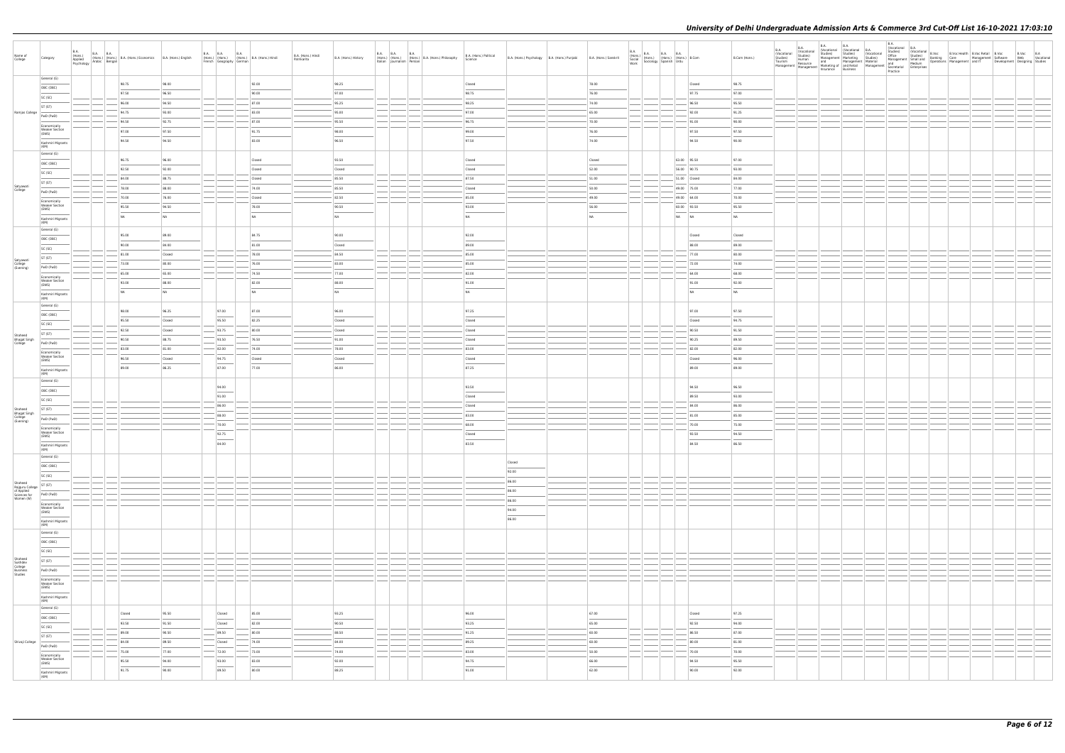| Name of<br>College                                   | Category                                                                                                                                                                                                                                                                                                                                                                                                                                                                                                | B.A.<br>(Hons.)<br>Applied | <b>B.A. B.A.</b> | (Hons.) (Hons.) (Hons.) B.A. (Hons.) Economics B.A. (Hons.) English<br>Applied Barabic Bengali Research Association |        | <b>B.A. B.A.</b><br>French Geography German | B.A.<br>(Hons.) (Hons.) (Hons.) B.A. (Hons.) Hindi | B.A. (Hons.) Hindi<br>Patrikarita | B.A. (Hons.) History | <b>B.A. B.A.</b><br>Italian Journalism Persian | <b>B.A.</b><br>(Hons.) (Hons.) (Hons.) B.A. (Hons.) Philosophy | Science                  | B.A. (Hons.) Political | B.A. (Hons.) Psychology   B.A. (Hons.) Punjabi | B.A. (Hons.) Sanskrit | B.A. (Hons.) B.A. B.A. B.A. (Hons.) B.Com<br>Social (Hons.) (Hons.) (Hons.) B.Com<br>Work Sociology Spanish Urdu |              | B.Com (Hons.) | <b>B.A.</b> | B.A. | <b>B.A.</b> |  |  |  |
|------------------------------------------------------|---------------------------------------------------------------------------------------------------------------------------------------------------------------------------------------------------------------------------------------------------------------------------------------------------------------------------------------------------------------------------------------------------------------------------------------------------------------------------------------------------------|----------------------------|------------------|---------------------------------------------------------------------------------------------------------------------|--------|---------------------------------------------|----------------------------------------------------|-----------------------------------|----------------------|------------------------------------------------|----------------------------------------------------------------|--------------------------|------------------------|------------------------------------------------|-----------------------|------------------------------------------------------------------------------------------------------------------|--------------|---------------|-------------|------|-------------|--|--|--|
|                                                      | General (G)                                                                                                                                                                                                                                                                                                                                                                                                                                                                                             |                            |                  |                                                                                                                     |        |                                             |                                                    |                                   |                      |                                                |                                                                |                          |                        |                                                |                       |                                                                                                                  |              |               |             |      |             |  |  |  |
|                                                      | OBC (OBC)                                                                                                                                                                                                                                                                                                                                                                                                                                                                                               |                            |                  | 98.75                                                                                                               | 98.00  |                                             | 92.00                                              |                                   | 98.25                |                                                |                                                                | Closed                   |                        |                                                | 78.00                 |                                                                                                                  | Closed       | 98.75         |             |      |             |  |  |  |
|                                                      | SC (SC)                                                                                                                                                                                                                                                                                                                                                                                                                                                                                                 |                            |                  | 97.50                                                                                                               | 96.50  |                                             | 90.00                                              |                                   | 97.00                |                                                |                                                                | 98.75                    |                        |                                                | 76.00                 |                                                                                                                  | 97.75        | 97.00         |             |      |             |  |  |  |
|                                                      |                                                                                                                                                                                                                                                                                                                                                                                                                                                                                                         |                            |                  | 96.00                                                                                                               | 94.50  |                                             | 87.00                                              |                                   | 95.25                |                                                |                                                                | 98.25                    |                        |                                                | 74.00                 |                                                                                                                  | 96.50        | 95.50         |             |      |             |  |  |  |
|                                                      | ST (ST)                                                                                                                                                                                                                                                                                                                                                                                                                                                                                                 |                            |                  |                                                                                                                     |        |                                             |                                                    |                                   |                      |                                                |                                                                |                          |                        |                                                |                       |                                                                                                                  |              |               |             |      |             |  |  |  |
| Ramjas College                                       | PwD (PwD)                                                                                                                                                                                                                                                                                                                                                                                                                                                                                               |                            |                  | 94.75                                                                                                               | 93.00  |                                             | 83.00                                              |                                   | 95.00                |                                                |                                                                | 97.00                    |                        |                                                | 65.00                 |                                                                                                                  | 92.00        | 91.25         |             |      |             |  |  |  |
|                                                      |                                                                                                                                                                                                                                                                                                                                                                                                                                                                                                         |                            |                  | 94.50                                                                                                               | 92.75  |                                             | 87.00                                              |                                   | 95.50                |                                                |                                                                | 96.75                    |                        |                                                | 70.00                 |                                                                                                                  | 91.00        | 90.00         |             |      |             |  |  |  |
|                                                      | Economically<br><b>Weaker Section</b>                                                                                                                                                                                                                                                                                                                                                                                                                                                                   |                            |                  | 97.00                                                                                                               | 97.50  |                                             | 91.75                                              |                                   | 98.00                |                                                |                                                                | 99.00                    |                        |                                                | 76.00                 |                                                                                                                  | 97.50        | 97.50         |             |      |             |  |  |  |
|                                                      | (EWS)<br>Kashmiri Migrants                                                                                                                                                                                                                                                                                                                                                                                                                                                                              |                            |                  | 94.50                                                                                                               | 94.50  |                                             | 83.00                                              |                                   | 96.50                |                                                |                                                                | 97.50                    |                        |                                                | 74.00                 |                                                                                                                  | 94.50        | 90.00         |             |      |             |  |  |  |
|                                                      | (KM)<br>General (G)                                                                                                                                                                                                                                                                                                                                                                                                                                                                                     |                            |                  |                                                                                                                     |        |                                             |                                                    |                                   |                      |                                                |                                                                |                          |                        |                                                |                       |                                                                                                                  |              |               |             |      |             |  |  |  |
|                                                      |                                                                                                                                                                                                                                                                                                                                                                                                                                                                                                         |                            |                  | 96.75                                                                                                               | 96.00  |                                             | Closed                                             |                                   | 93.50                |                                                |                                                                | Closed                   |                        |                                                | Closed                |                                                                                                                  | 63.00 95.50  | 97.00         |             |      |             |  |  |  |
|                                                      | OBC (OBC)                                                                                                                                                                                                                                                                                                                                                                                                                                                                                               |                            |                  | 92.50                                                                                                               | 92.00  |                                             | Closed                                             |                                   | Closed               |                                                |                                                                | Closed                   |                        |                                                | 52.00                 |                                                                                                                  | 56.00 90.75  | 93.00         |             |      |             |  |  |  |
|                                                      | SC (SC)                                                                                                                                                                                                                                                                                                                                                                                                                                                                                                 |                            |                  |                                                                                                                     |        |                                             |                                                    |                                   |                      |                                                |                                                                |                          |                        |                                                |                       |                                                                                                                  |              |               |             |      |             |  |  |  |
|                                                      | ST (ST)                                                                                                                                                                                                                                                                                                                                                                                                                                                                                                 |                            |                  | 84.00                                                                                                               | 88.75  |                                             | Closed                                             |                                   | 85.50                |                                                |                                                                | 87.50                    |                        |                                                | 51.00                 |                                                                                                                  | 51.00 Closed | 84.00         |             |      |             |  |  |  |
| Satyawati<br>College                                 |                                                                                                                                                                                                                                                                                                                                                                                                                                                                                                         |                            |                  | 78.00                                                                                                               | 88.00  |                                             | 74.00                                              |                                   | 85.50                |                                                |                                                                | Closed                   |                        |                                                | 50.00                 |                                                                                                                  | 49.00 75.00  | 77.00         |             |      |             |  |  |  |
|                                                      | PwD (PwD)                                                                                                                                                                                                                                                                                                                                                                                                                                                                                               |                            |                  | 70.00                                                                                                               | 76.00  |                                             | Closed                                             |                                   | 82.50                |                                                |                                                                | 85.00                    |                        |                                                | 49.00                 |                                                                                                                  | 49.00 64.00  | 70.00         |             |      |             |  |  |  |
|                                                      | Economically                                                                                                                                                                                                                                                                                                                                                                                                                                                                                            |                            |                  |                                                                                                                     |        |                                             |                                                    |                                   |                      |                                                |                                                                |                          |                        |                                                |                       |                                                                                                                  |              |               |             |      |             |  |  |  |
|                                                      | <b>Weaker Section</b><br>(EWS)                                                                                                                                                                                                                                                                                                                                                                                                                                                                          |                            |                  | 95.50                                                                                                               | 94.50  |                                             | 78.00                                              |                                   | 90.50                |                                                |                                                                | 93.00                    |                        |                                                | 56.00                 |                                                                                                                  | 60.00 93.50  | 95.50         |             |      |             |  |  |  |
|                                                      | Kashmiri Migrants                                                                                                                                                                                                                                                                                                                                                                                                                                                                                       |                            |                  | NA                                                                                                                  | NA     |                                             | NA                                                 |                                   | N <sub>A</sub>       |                                                |                                                                | NA                       |                        |                                                | NA                    |                                                                                                                  | NA NA        | <b>NA</b>     |             |      |             |  |  |  |
|                                                      | (KM)<br>General (G)                                                                                                                                                                                                                                                                                                                                                                                                                                                                                     |                            |                  |                                                                                                                     |        |                                             |                                                    |                                   |                      |                                                |                                                                |                          |                        |                                                |                       |                                                                                                                  |              |               |             |      |             |  |  |  |
|                                                      |                                                                                                                                                                                                                                                                                                                                                                                                                                                                                                         |                            |                  | 95.00                                                                                                               | 89.00  |                                             | 84.75                                              |                                   | 90.00                |                                                |                                                                | 92.00                    |                        |                                                |                       |                                                                                                                  | Closed       | Closed        |             |      |             |  |  |  |
|                                                      | OBC (OBC)                                                                                                                                                                                                                                                                                                                                                                                                                                                                                               |                            |                  | 90.00                                                                                                               | 84.00  |                                             | 81.00                                              |                                   | Closed               |                                                |                                                                | 89.00                    |                        |                                                |                       |                                                                                                                  | 88.00        | 89.00         |             |      |             |  |  |  |
|                                                      | SC (SC)                                                                                                                                                                                                                                                                                                                                                                                                                                                                                                 |                            |                  |                                                                                                                     |        |                                             |                                                    |                                   |                      |                                                |                                                                |                          |                        |                                                |                       |                                                                                                                  |              |               |             |      |             |  |  |  |
|                                                      | ST (ST)                                                                                                                                                                                                                                                                                                                                                                                                                                                                                                 |                            |                  | 81.00                                                                                                               | Closed |                                             | 78.00                                              |                                   | 84.50                |                                                |                                                                | 85.00                    |                        |                                                |                       |                                                                                                                  | 77.00        | 80.00         |             |      |             |  |  |  |
| Satyawati<br>College<br>(Evening)                    |                                                                                                                                                                                                                                                                                                                                                                                                                                                                                                         |                            |                  | 73.00                                                                                                               | 80.00  |                                             | 76.00                                              |                                   | 83.00                |                                                |                                                                | 85.00                    |                        |                                                |                       |                                                                                                                  | 72.00        | 74.00         |             |      |             |  |  |  |
|                                                      | PwD (PwD)                                                                                                                                                                                                                                                                                                                                                                                                                                                                                               |                            |                  | 65.00                                                                                                               | 65.00  |                                             | 74.50                                              |                                   | 77.00                |                                                |                                                                | 82.00                    |                        |                                                |                       |                                                                                                                  | 64.00        | 68.00         |             |      |             |  |  |  |
|                                                      | Economically<br><b>Weaker Section</b>                                                                                                                                                                                                                                                                                                                                                                                                                                                                   |                            |                  | 93.00                                                                                                               | 88.00  |                                             | 82.00                                              |                                   | 88.00                |                                                |                                                                | 91.00                    |                        |                                                |                       |                                                                                                                  | 91.00        | 92.00         |             |      |             |  |  |  |
|                                                      | (EWS)                                                                                                                                                                                                                                                                                                                                                                                                                                                                                                   |                            |                  |                                                                                                                     |        |                                             |                                                    |                                   |                      |                                                |                                                                |                          |                        |                                                |                       |                                                                                                                  |              |               |             |      |             |  |  |  |
|                                                      | Kashmiri Migrants<br>(KM)                                                                                                                                                                                                                                                                                                                                                                                                                                                                               |                            |                  | NA                                                                                                                  | NA     |                                             | NA                                                 |                                   | <b>NA</b>            |                                                |                                                                | <b>NA</b>                |                        |                                                |                       |                                                                                                                  | <b>NA</b>    | NA            |             |      |             |  |  |  |
|                                                      | General (G)                                                                                                                                                                                                                                                                                                                                                                                                                                                                                             |                            |                  |                                                                                                                     |        |                                             |                                                    |                                   |                      |                                                |                                                                |                          |                        |                                                |                       |                                                                                                                  |              |               |             |      |             |  |  |  |
|                                                      | OBC (OBC)                                                                                                                                                                                                                                                                                                                                                                                                                                                                                               |                            |                  | 98.00                                                                                                               | 96.25  | 97.00                                       | 87.00                                              |                                   | 96.00                |                                                |                                                                | 97.25                    |                        |                                                |                       |                                                                                                                  | 97.00        | 97.50         |             |      |             |  |  |  |
|                                                      | SC (SC)                                                                                                                                                                                                                                                                                                                                                                                                                                                                                                 |                            |                  | 95.50                                                                                                               | Closed | 95.50                                       | 82.25                                              |                                   | Closed               |                                                |                                                                | Closed                   |                        |                                                |                       |                                                                                                                  | Closed       | 94.75         |             |      |             |  |  |  |
|                                                      |                                                                                                                                                                                                                                                                                                                                                                                                                                                                                                         |                            |                  | 92.50                                                                                                               | Closed | 93.75                                       | 80.00                                              |                                   | Closed               |                                                |                                                                | Closed                   |                        |                                                |                       |                                                                                                                  | 90.50        | 91.50         |             |      |             |  |  |  |
| Shaheed<br><b>Bhagat Singh</b>                       | ST (ST)                                                                                                                                                                                                                                                                                                                                                                                                                                                                                                 |                            |                  | 90.50                                                                                                               | 88.75  | 93.50                                       | 76.50                                              |                                   | 91.00                |                                                |                                                                | Closed                   |                        |                                                |                       |                                                                                                                  | 90.25        | 89.50         |             |      |             |  |  |  |
| College                                              | PwD (PwD)                                                                                                                                                                                                                                                                                                                                                                                                                                                                                               |                            |                  |                                                                                                                     |        |                                             |                                                    |                                   |                      |                                                |                                                                |                          |                        |                                                |                       |                                                                                                                  |              |               |             |      |             |  |  |  |
|                                                      | Economically                                                                                                                                                                                                                                                                                                                                                                                                                                                                                            |                            |                  | 83.00                                                                                                               | 81.00  | 82.00                                       | 74.00                                              |                                   | 78.00                |                                                |                                                                | 83.00                    |                        |                                                |                       |                                                                                                                  | 82.00        | 82.00         |             |      |             |  |  |  |
|                                                      | <b>Weaker Section</b><br>(EWS)                                                                                                                                                                                                                                                                                                                                                                                                                                                                          |                            |                  | 96.50                                                                                                               | Closed | 94.75                                       | Closed                                             |                                   | Closed               |                                                |                                                                | Closed                   |                        |                                                |                       |                                                                                                                  | Closed       | 96.00         |             |      |             |  |  |  |
|                                                      |                                                                                                                                                                                                                                                                                                                                                                                                                                                                                                         |                            |                  | 89.00                                                                                                               | 86.25  | 87.00                                       | 77.00                                              |                                   | 86.00                |                                                |                                                                | 87.25                    |                        |                                                |                       |                                                                                                                  | 89.00        | 89.00         |             |      |             |  |  |  |
|                                                      | Kashmiri Migrants<br>(KM)                                                                                                                                                                                                                                                                                                                                                                                                                                                                               |                            |                  |                                                                                                                     |        |                                             |                                                    |                                   |                      |                                                |                                                                |                          |                        |                                                |                       |                                                                                                                  |              |               |             |      |             |  |  |  |
|                                                      | General (G)                                                                                                                                                                                                                                                                                                                                                                                                                                                                                             |                            |                  |                                                                                                                     |        |                                             |                                                    |                                   |                      |                                                |                                                                |                          |                        |                                                |                       |                                                                                                                  |              |               |             |      |             |  |  |  |
|                                                      | OBC (OBC)                                                                                                                                                                                                                                                                                                                                                                                                                                                                                               |                            |                  |                                                                                                                     |        | 94.00                                       |                                                    |                                   |                      |                                                |                                                                | 93.50                    |                        |                                                |                       |                                                                                                                  | 94.50        | 96.50         |             |      |             |  |  |  |
|                                                      |                                                                                                                                                                                                                                                                                                                                                                                                                                                                                                         |                            |                  |                                                                                                                     |        | 91.00                                       |                                                    |                                   |                      |                                                |                                                                | Closed                   |                        |                                                |                       |                                                                                                                  | 89.50        | 93.00         |             |      |             |  |  |  |
|                                                      | SC (SC)                                                                                                                                                                                                                                                                                                                                                                                                                                                                                                 |                            |                  |                                                                                                                     |        | 86.00                                       |                                                    |                                   |                      |                                                |                                                                | Closed                   |                        |                                                |                       |                                                                                                                  | 84.00        | 86.00         |             |      |             |  |  |  |
| Shaheed<br>Bhagat Singh                              | ST (ST)                                                                                                                                                                                                                                                                                                                                                                                                                                                                                                 |                            |                  |                                                                                                                     |        |                                             |                                                    |                                   |                      |                                                |                                                                |                          |                        |                                                |                       |                                                                                                                  |              |               |             |      |             |  |  |  |
| College<br>(Evening)                                 | PwD (PwD)                                                                                                                                                                                                                                                                                                                                                                                                                                                                                               |                            |                  |                                                                                                                     |        | 88.00                                       |                                                    |                                   |                      |                                                |                                                                | 83.00                    |                        |                                                |                       |                                                                                                                  | 81.00        | 85.00         |             |      |             |  |  |  |
|                                                      | Economically                                                                                                                                                                                                                                                                                                                                                                                                                                                                                            |                            |                  |                                                                                                                     |        | 70.00                                       |                                                    |                                   |                      |                                                |                                                                | 68.00                    |                        |                                                |                       |                                                                                                                  | 70.00        | 75.00         |             |      |             |  |  |  |
|                                                      | <b>Weaker Section</b><br>(EWS)                                                                                                                                                                                                                                                                                                                                                                                                                                                                          |                            |                  |                                                                                                                     |        | 92.75                                       |                                                    |                                   |                      |                                                |                                                                | Closed                   |                        |                                                |                       |                                                                                                                  | 93.50        | 94.50         |             |      |             |  |  |  |
|                                                      | Kashmiri Migrants                                                                                                                                                                                                                                                                                                                                                                                                                                                                                       |                            |                  |                                                                                                                     |        | 84.00                                       |                                                    |                                   |                      |                                                |                                                                | 83.50                    |                        |                                                |                       |                                                                                                                  | 84.50        | 86.50         |             |      |             |  |  |  |
|                                                      | (KM)                                                                                                                                                                                                                                                                                                                                                                                                                                                                                                    |                            |                  |                                                                                                                     |        |                                             |                                                    |                                   |                      |                                                |                                                                |                          |                        |                                                |                       |                                                                                                                  |              |               |             |      |             |  |  |  |
|                                                      | General (G)                                                                                                                                                                                                                                                                                                                                                                                                                                                                                             |                            |                  |                                                                                                                     |        |                                             |                                                    |                                   |                      |                                                |                                                                |                          |                        | Closed                                         |                       |                                                                                                                  |              |               |             |      |             |  |  |  |
|                                                      | OBC (OBC)                                                                                                                                                                                                                                                                                                                                                                                                                                                                                               |                            |                  |                                                                                                                     |        |                                             |                                                    |                                   |                      |                                                |                                                                |                          |                        | $\frac{1}{2}$                                  |                       |                                                                                                                  |              |               |             |      |             |  |  |  |
|                                                      | SC (SC)                                                                                                                                                                                                                                                                                                                                                                                                                                                                                                 |                            |                  |                                                                                                                     |        |                                             |                                                    |                                   |                      |                                                |                                                                |                          |                        | 92.00                                          |                       |                                                                                                                  |              |               |             |      |             |  |  |  |
| Shaheed<br>Rajguru College                           | ST (ST)                                                                                                                                                                                                                                                                                                                                                                                                                                                                                                 |                            |                  |                                                                                                                     |        |                                             |                                                    |                                   |                      |                                                |                                                                |                          |                        | 86.00                                          |                       |                                                                                                                  |              |               |             |      |             |  |  |  |
| of Applied<br>Sciences for                           |                                                                                                                                                                                                                                                                                                                                                                                                                                                                                                         |                            |                  |                                                                                                                     |        |                                             |                                                    |                                   |                      |                                                |                                                                |                          |                        | 86.00                                          |                       |                                                                                                                  |              |               |             |      |             |  |  |  |
| Women (W)                                            | PwD (PwD)                                                                                                                                                                                                                                                                                                                                                                                                                                                                                               |                            |                  |                                                                                                                     |        |                                             |                                                    |                                   |                      |                                                |                                                                |                          |                        | 86.00                                          |                       |                                                                                                                  |              |               |             |      |             |  |  |  |
|                                                      | Economically                                                                                                                                                                                                                                                                                                                                                                                                                                                                                            |                            |                  |                                                                                                                     |        |                                             |                                                    |                                   |                      |                                                |                                                                |                          |                        |                                                |                       |                                                                                                                  |              |               |             |      |             |  |  |  |
|                                                      | <b>Weaker Section</b><br>(EWS)                                                                                                                                                                                                                                                                                                                                                                                                                                                                          |                            |                  |                                                                                                                     |        |                                             |                                                    |                                   |                      |                                                |                                                                |                          |                        | 94.00<br>$\overline{\phantom{m}}$              |                       |                                                                                                                  |              |               |             |      |             |  |  |  |
|                                                      | $\frac{1}{2} \left( \frac{1}{2} \right) \left( \frac{1}{2} \right) \left( \frac{1}{2} \right) \left( \frac{1}{2} \right) \left( \frac{1}{2} \right) \left( \frac{1}{2} \right) \left( \frac{1}{2} \right) \left( \frac{1}{2} \right) \left( \frac{1}{2} \right) \left( \frac{1}{2} \right) \left( \frac{1}{2} \right) \left( \frac{1}{2} \right) \left( \frac{1}{2} \right) \left( \frac{1}{2} \right) \left( \frac{1}{2} \right) \left( \frac{1}{2} \right) \left( \frac$<br>Kashmiri Migrants<br>(KM) |                            |                  |                                                                                                                     |        |                                             |                                                    |                                   |                      |                                                |                                                                |                          |                        | 86.00                                          |                       |                                                                                                                  |              |               |             |      |             |  |  |  |
|                                                      | General (G)                                                                                                                                                                                                                                                                                                                                                                                                                                                                                             |                            |                  |                                                                                                                     |        |                                             |                                                    |                                   |                      |                                                |                                                                |                          |                        |                                                |                       |                                                                                                                  |              |               |             |      |             |  |  |  |
|                                                      |                                                                                                                                                                                                                                                                                                                                                                                                                                                                                                         |                            |                  |                                                                                                                     |        |                                             |                                                    |                                   |                      |                                                |                                                                |                          |                        |                                                |                       |                                                                                                                  |              |               |             |      |             |  |  |  |
|                                                      | OBC (OBC)                                                                                                                                                                                                                                                                                                                                                                                                                                                                                               |                            |                  |                                                                                                                     |        |                                             |                                                    |                                   |                      |                                                |                                                                |                          |                        |                                                |                       |                                                                                                                  |              |               |             |      |             |  |  |  |
|                                                      | SC (SC)                                                                                                                                                                                                                                                                                                                                                                                                                                                                                                 |                            |                  |                                                                                                                     |        |                                             |                                                    |                                   |                      |                                                |                                                                |                          |                        |                                                |                       |                                                                                                                  |              |               |             |      |             |  |  |  |
|                                                      | ST (ST)                                                                                                                                                                                                                                                                                                                                                                                                                                                                                                 |                            | $ -$             |                                                                                                                     |        |                                             |                                                    |                                   |                      |                                                |                                                                |                          |                        |                                                |                       |                                                                                                                  |              |               |             |      |             |  |  |  |
| Shaheed<br>Sukhdev<br>College<br>Business<br>Studies | PwD (PwD)                                                                                                                                                                                                                                                                                                                                                                                                                                                                                               |                            |                  |                                                                                                                     |        |                                             |                                                    |                                   |                      |                                                |                                                                |                          |                        |                                                |                       |                                                                                                                  |              |               |             |      |             |  |  |  |
|                                                      |                                                                                                                                                                                                                                                                                                                                                                                                                                                                                                         |                            |                  |                                                                                                                     |        |                                             |                                                    |                                   |                      |                                                |                                                                |                          |                        |                                                |                       |                                                                                                                  |              |               |             |      |             |  |  |  |
|                                                      | Economically<br><b>Weaker Section</b>                                                                                                                                                                                                                                                                                                                                                                                                                                                                   |                            |                  |                                                                                                                     |        |                                             |                                                    |                                   |                      |                                                |                                                                |                          |                        |                                                |                       |                                                                                                                  |              |               |             |      |             |  |  |  |
|                                                      | (EWS)<br>$\overline{\phantom{a}}$                                                                                                                                                                                                                                                                                                                                                                                                                                                                       |                            |                  |                                                                                                                     |        |                                             |                                                    |                                   |                      |                                                |                                                                |                          |                        |                                                |                       |                                                                                                                  |              |               |             |      |             |  |  |  |
|                                                      | Kashmiri Migrants<br>(KM)                                                                                                                                                                                                                                                                                                                                                                                                                                                                               |                            |                  |                                                                                                                     |        |                                             |                                                    |                                   |                      |                                                |                                                                |                          |                        |                                                |                       |                                                                                                                  |              |               |             |      |             |  |  |  |
|                                                      | General (G)                                                                                                                                                                                                                                                                                                                                                                                                                                                                                             |                            |                  | Closed                                                                                                              | 95.50  | Closed                                      | 85.00                                              |                                   | 93.25                |                                                |                                                                | 96.00                    |                        |                                                | 67.00                 |                                                                                                                  | Closed       | 97.25         |             |      |             |  |  |  |
|                                                      | OBC (OBC)                                                                                                                                                                                                                                                                                                                                                                                                                                                                                               |                            |                  | 93.50                                                                                                               | 91.50  | $\frac{1}{2}$<br>Closed                     | $\overline{\phantom{a}}$<br>82.00                  |                                   | 90.50                |                                                |                                                                | 93.25                    |                        |                                                | 65.00                 |                                                                                                                  | 92.50        | 94.00         |             |      |             |  |  |  |
|                                                      | SC (SC)                                                                                                                                                                                                                                                                                                                                                                                                                                                                                                 |                            |                  |                                                                                                                     |        |                                             |                                                    |                                   |                      |                                                |                                                                |                          |                        |                                                |                       |                                                                                                                  |              |               |             |      |             |  |  |  |
|                                                      | ST (ST)                                                                                                                                                                                                                                                                                                                                                                                                                                                                                                 |                            |                  | 89.00                                                                                                               | 90.50  | 89.50                                       | 80.00                                              |                                   | 88.50                |                                                |                                                                | 91.25                    |                        |                                                | 60.00                 |                                                                                                                  | 86.50        | 87.00         |             |      |             |  |  |  |
| Shivaji College                                      | PwD (PwD)                                                                                                                                                                                                                                                                                                                                                                                                                                                                                               |                            |                  | 84.00                                                                                                               | 89.50  | Closed                                      | 74.00                                              |                                   | 84.00                |                                                |                                                                | 89.25                    |                        |                                                | 60.00                 |                                                                                                                  | 80.00        | 81.00         |             |      |             |  |  |  |
|                                                      |                                                                                                                                                                                                                                                                                                                                                                                                                                                                                                         |                            |                  | 75.00                                                                                                               | 77.00  | $- 72.00$                                   | $- 73.00$                                          |                                   | 74.00                |                                                |                                                                | 83.00                    |                        |                                                | 50.00                 |                                                                                                                  | 70.00        | 70.00         |             |      |             |  |  |  |
|                                                      | Economically<br><b>Weaker Section</b>                                                                                                                                                                                                                                                                                                                                                                                                                                                                   |                            |                  | 95.50                                                                                                               | 94.00  | 93.00                                       | 83.00                                              |                                   | 92.00                |                                                |                                                                | 94.75                    |                        |                                                | 66.00                 |                                                                                                                  | 94.50        | 95.50         |             |      |             |  |  |  |
|                                                      | (EWS)                                                                                                                                                                                                                                                                                                                                                                                                                                                                                                   |                            |                  |                                                                                                                     |        |                                             | $\sim$                                             |                                   |                      |                                                |                                                                | $\overline{\phantom{a}}$ |                        |                                                | $\sim$                |                                                                                                                  |              |               |             |      |             |  |  |  |
|                                                      | Kashmiri Migrants<br>(KM)                                                                                                                                                                                                                                                                                                                                                                                                                                                                               |                            |                  | 91.75                                                                                                               | 90.00  | 89.50                                       | 80.00                                              |                                   | 88.25                |                                                |                                                                | 91.00                    |                        |                                                | 62.00                 |                                                                                                                  | 90.00        | 92.00         |             |      |             |  |  |  |
|                                                      |                                                                                                                                                                                                                                                                                                                                                                                                                                                                                                         |                            |                  |                                                                                                                     |        |                                             |                                                    |                                   |                      |                                                |                                                                |                          |                        |                                                |                       |                                                                                                                  |              |               |             |      |             |  |  |  |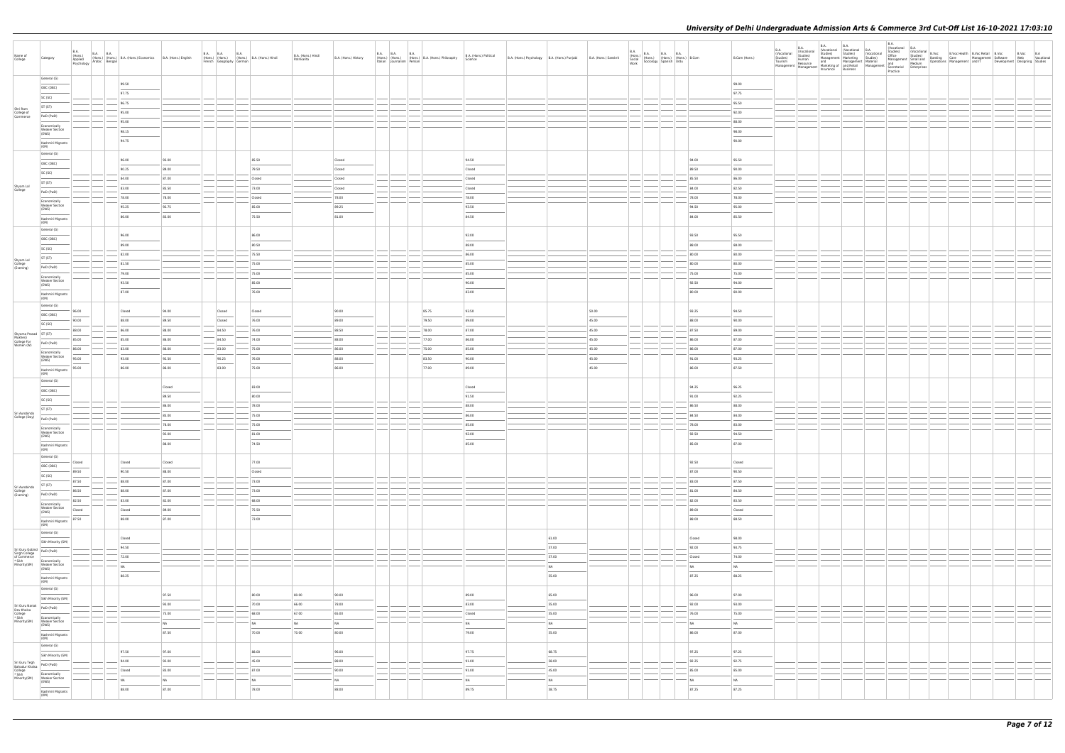| Name of<br>College                                                | Category                                                                                                                                                                                                                                                                                                                                                                                                                                                                                                | B.A.<br>(Hons.)<br>Applied | B.A. (Hons.) B.A. B.A. (Hons.) B.A. (Hons.) Economics B.A. (Hons.) English Psychology Arabic Bengali |                |                          | French Geography German |               | B.A. B.A. B.A. B.A. B.A. (Hons.) Hindi | B.A. (Hons.) Hindi<br>Patrikarita | B.A. (Hons.) History | Italian Journalism Persian | B.A. B.A. B.A. B.A. (Hons.) B.A. (Hons.) Philosophy | B.A. (Hons.) Political<br>Science                                                                                                                                                                                                                                                                                                                                                                                                                                                       | B.A. (Hons.) Psychology   B.A. (Hons.) Punjabi   B.A. (Hons.) Sanskrit |           |                | $\begin{array}{l l l} \text{B.A.} \\ \text{(Hons.)} \\ \text{Social} \\ \text{Sociol} \\ \text{Work} \end{array} \hspace{1mm} \begin{array}{l} \text{B.A.} \\ \text{(Hons.)} \\ \text{Storis.} \\ \text{J} \\ \text{S pairish} \end{array} \hspace{1mm} \begin{array}{l} \text{B.A.} \\ \text{Hons.)} \\ \text{(Hons.)} \\ \text{Urdu} \end{array} \hspace{1mm} \begin{array}{l} \text{B.A.} \\ \text{H, I} \\ \text{B. Comm.} \end{array}$ |                | B.Com (Hons.)  | <b>B.A.</b><br>B.A. | <b>B.A.</b> | <b>B.A.</b><br>(Vocational B.A.<br>Practice |  | B.A. B.A. (Weatlonal (Vocational Studies)<br>(Vocational Studies) (Vocational (Vocational Studies) (Vocational Studies)<br>Studies) Studies (Vocational Studies) (Vocational Studies) (Vocational B.Voc<br>Studies) Management Marke |  |  |
|-------------------------------------------------------------------|---------------------------------------------------------------------------------------------------------------------------------------------------------------------------------------------------------------------------------------------------------------------------------------------------------------------------------------------------------------------------------------------------------------------------------------------------------------------------------------------------------|----------------------------|------------------------------------------------------------------------------------------------------|----------------|--------------------------|-------------------------|---------------|----------------------------------------|-----------------------------------|----------------------|----------------------------|-----------------------------------------------------|-----------------------------------------------------------------------------------------------------------------------------------------------------------------------------------------------------------------------------------------------------------------------------------------------------------------------------------------------------------------------------------------------------------------------------------------------------------------------------------------|------------------------------------------------------------------------|-----------|----------------|---------------------------------------------------------------------------------------------------------------------------------------------------------------------------------------------------------------------------------------------------------------------------------------------------------------------------------------------------------------------------------------------------------------------------------------------|----------------|----------------|---------------------|-------------|---------------------------------------------|--|--------------------------------------------------------------------------------------------------------------------------------------------------------------------------------------------------------------------------------------|--|--|
|                                                                   | General (G)                                                                                                                                                                                                                                                                                                                                                                                                                                                                                             |                            | 99.50                                                                                                |                |                          |                         |               |                                        |                                   |                      |                            |                                                     |                                                                                                                                                                                                                                                                                                                                                                                                                                                                                         |                                                                        |           |                |                                                                                                                                                                                                                                                                                                                                                                                                                                             |                | 99.00          |                     |             |                                             |  |                                                                                                                                                                                                                                      |  |  |
|                                                                   | OBC (OBC)                                                                                                                                                                                                                                                                                                                                                                                                                                                                                               |                            | 97.75                                                                                                |                |                          |                         |               |                                        |                                   |                      |                            |                                                     |                                                                                                                                                                                                                                                                                                                                                                                                                                                                                         |                                                                        |           |                |                                                                                                                                                                                                                                                                                                                                                                                                                                             |                | 97.75          |                     |             |                                             |  |                                                                                                                                                                                                                                      |  |  |
|                                                                   | SC (SC)                                                                                                                                                                                                                                                                                                                                                                                                                                                                                                 |                            | 96.75                                                                                                |                |                          |                         |               |                                        |                                   |                      |                            |                                                     |                                                                                                                                                                                                                                                                                                                                                                                                                                                                                         |                                                                        |           |                |                                                                                                                                                                                                                                                                                                                                                                                                                                             |                | 95.50          |                     |             |                                             |  |                                                                                                                                                                                                                                      |  |  |
| Shri Ram<br>College of<br>Commerce                                | ST (ST)                                                                                                                                                                                                                                                                                                                                                                                                                                                                                                 |                            | 95.00                                                                                                |                |                          |                         |               |                                        |                                   |                      |                            |                                                     |                                                                                                                                                                                                                                                                                                                                                                                                                                                                                         |                                                                        |           |                |                                                                                                                                                                                                                                                                                                                                                                                                                                             |                | 92.00          |                     |             |                                             |  |                                                                                                                                                                                                                                      |  |  |
|                                                                   | PwD (PwD)                                                                                                                                                                                                                                                                                                                                                                                                                                                                                               |                            | 95.00                                                                                                |                |                          |                         |               |                                        |                                   |                      |                            |                                                     |                                                                                                                                                                                                                                                                                                                                                                                                                                                                                         |                                                                        |           |                |                                                                                                                                                                                                                                                                                                                                                                                                                                             |                | 88.00          |                     |             |                                             |  |                                                                                                                                                                                                                                      |  |  |
|                                                                   | Economically<br><b>Weaker Section</b>                                                                                                                                                                                                                                                                                                                                                                                                                                                                   |                            | 98.15                                                                                                |                |                          |                         |               |                                        |                                   |                      |                            |                                                     |                                                                                                                                                                                                                                                                                                                                                                                                                                                                                         |                                                                        |           |                |                                                                                                                                                                                                                                                                                                                                                                                                                                             |                | 98.00          |                     |             |                                             |  |                                                                                                                                                                                                                                      |  |  |
|                                                                   | (EWS)                                                                                                                                                                                                                                                                                                                                                                                                                                                                                                   |                            | 94.75                                                                                                |                |                          |                         |               |                                        |                                   |                      |                            |                                                     |                                                                                                                                                                                                                                                                                                                                                                                                                                                                                         |                                                                        |           |                |                                                                                                                                                                                                                                                                                                                                                                                                                                             |                | 90.00          |                     |             |                                             |  |                                                                                                                                                                                                                                      |  |  |
|                                                                   | Kashmiri Migrants<br>(KM)                                                                                                                                                                                                                                                                                                                                                                                                                                                                               |                            |                                                                                                      |                |                          |                         |               |                                        |                                   |                      |                            |                                                     |                                                                                                                                                                                                                                                                                                                                                                                                                                                                                         |                                                                        |           |                |                                                                                                                                                                                                                                                                                                                                                                                                                                             |                |                |                     |             |                                             |  |                                                                                                                                                                                                                                      |  |  |
|                                                                   | General (G)                                                                                                                                                                                                                                                                                                                                                                                                                                                                                             |                            | 96.00                                                                                                | 93.00          |                          |                         |               | 85.50                                  |                                   | Closed               |                            |                                                     | 94.50                                                                                                                                                                                                                                                                                                                                                                                                                                                                                   |                                                                        |           |                |                                                                                                                                                                                                                                                                                                                                                                                                                                             | 94.00          | 95.50          |                     |             |                                             |  |                                                                                                                                                                                                                                      |  |  |
|                                                                   | OBC (OBC)                                                                                                                                                                                                                                                                                                                                                                                                                                                                                               |                            | 90.25                                                                                                | 89.00          |                          |                         |               | 79.50                                  |                                   | Closed               |                            |                                                     | Closed                                                                                                                                                                                                                                                                                                                                                                                                                                                                                  |                                                                        |           |                |                                                                                                                                                                                                                                                                                                                                                                                                                                             | 89.50          | 90.00          |                     |             |                                             |  |                                                                                                                                                                                                                                      |  |  |
|                                                                   | SC (SC)                                                                                                                                                                                                                                                                                                                                                                                                                                                                                                 |                            | 84.00                                                                                                | 87.00          |                          |                         |               | Closed                                 |                                   | Closed               |                            |                                                     | Closed                                                                                                                                                                                                                                                                                                                                                                                                                                                                                  |                                                                        |           |                |                                                                                                                                                                                                                                                                                                                                                                                                                                             | 85.50          | 86.00          |                     |             |                                             |  |                                                                                                                                                                                                                                      |  |  |
| Shyam Lal<br>College                                              | ST (ST)                                                                                                                                                                                                                                                                                                                                                                                                                                                                                                 |                            | 83.00                                                                                                | 85.50          |                          |                         |               | 73.00                                  |                                   | Closed               |                            |                                                     | Closed                                                                                                                                                                                                                                                                                                                                                                                                                                                                                  |                                                                        |           |                |                                                                                                                                                                                                                                                                                                                                                                                                                                             | 84.00          | 82.50          |                     |             |                                             |  |                                                                                                                                                                                                                                      |  |  |
|                                                                   | PwD (PwD)                                                                                                                                                                                                                                                                                                                                                                                                                                                                                               |                            | 78.00                                                                                                | 78.00          |                          |                         |               | Closed                                 |                                   | 78.00                |                            |                                                     | 78.00                                                                                                                                                                                                                                                                                                                                                                                                                                                                                   |                                                                        |           |                |                                                                                                                                                                                                                                                                                                                                                                                                                                             | 78.00          | 78.00          |                     |             |                                             |  |                                                                                                                                                                                                                                      |  |  |
|                                                                   | Economically<br><b>Weaker Section</b><br>(EWS)                                                                                                                                                                                                                                                                                                                                                                                                                                                          |                            | 95.25                                                                                                | 92.75          |                          |                         |               | 85.00                                  |                                   | 89.25                |                            |                                                     | 93.50                                                                                                                                                                                                                                                                                                                                                                                                                                                                                   |                                                                        |           |                |                                                                                                                                                                                                                                                                                                                                                                                                                                             | 94.50          | 95.00          |                     |             |                                             |  |                                                                                                                                                                                                                                      |  |  |
|                                                                   | Kashmiri Migrants                                                                                                                                                                                                                                                                                                                                                                                                                                                                                       |                            | 86.00                                                                                                | 83.00          |                          |                         |               | 75.50                                  |                                   | 81.00                |                            |                                                     | 84.50                                                                                                                                                                                                                                                                                                                                                                                                                                                                                   |                                                                        |           |                |                                                                                                                                                                                                                                                                                                                                                                                                                                             | 84.00          | 85.50          |                     |             |                                             |  |                                                                                                                                                                                                                                      |  |  |
|                                                                   | (KM)                                                                                                                                                                                                                                                                                                                                                                                                                                                                                                    |                            |                                                                                                      |                |                          |                         |               |                                        |                                   |                      |                            |                                                     |                                                                                                                                                                                                                                                                                                                                                                                                                                                                                         |                                                                        |           |                |                                                                                                                                                                                                                                                                                                                                                                                                                                             |                |                |                     |             |                                             |  |                                                                                                                                                                                                                                      |  |  |
|                                                                   | General (G)<br>OBC (OBC)                                                                                                                                                                                                                                                                                                                                                                                                                                                                                |                            | 96.00                                                                                                |                |                          |                         |               | 86.00                                  |                                   |                      |                            |                                                     | 92.00                                                                                                                                                                                                                                                                                                                                                                                                                                                                                   |                                                                        |           |                |                                                                                                                                                                                                                                                                                                                                                                                                                                             | 93.50          | 95.50          |                     |             |                                             |  |                                                                                                                                                                                                                                      |  |  |
|                                                                   | SC (SC)                                                                                                                                                                                                                                                                                                                                                                                                                                                                                                 |                            | 89.00                                                                                                |                |                          |                         |               | 80.50                                  |                                   |                      |                            |                                                     | 88.00                                                                                                                                                                                                                                                                                                                                                                                                                                                                                   |                                                                        |           |                |                                                                                                                                                                                                                                                                                                                                                                                                                                             | 88.00          | 88.00          |                     |             |                                             |  |                                                                                                                                                                                                                                      |  |  |
|                                                                   | ST (ST)                                                                                                                                                                                                                                                                                                                                                                                                                                                                                                 |                            | 82.00                                                                                                |                |                          |                         |               | 75.50                                  |                                   |                      |                            |                                                     | 86.00                                                                                                                                                                                                                                                                                                                                                                                                                                                                                   |                                                                        |           |                |                                                                                                                                                                                                                                                                                                                                                                                                                                             | 80.00          | 80.00          |                     |             |                                             |  |                                                                                                                                                                                                                                      |  |  |
| Shyam Lal<br>College<br>(Evening)                                 | PwD (PwD)                                                                                                                                                                                                                                                                                                                                                                                                                                                                                               |                            | 81.50                                                                                                |                |                          |                         |               | 75.00                                  |                                   |                      |                            |                                                     | 85.00                                                                                                                                                                                                                                                                                                                                                                                                                                                                                   |                                                                        |           |                |                                                                                                                                                                                                                                                                                                                                                                                                                                             | 80.00          | 80.00          |                     |             |                                             |  |                                                                                                                                                                                                                                      |  |  |
|                                                                   | Economically                                                                                                                                                                                                                                                                                                                                                                                                                                                                                            |                            | 79.00                                                                                                |                |                          |                         |               | 75.00                                  |                                   |                      |                            |                                                     | 85.00                                                                                                                                                                                                                                                                                                                                                                                                                                                                                   |                                                                        |           |                |                                                                                                                                                                                                                                                                                                                                                                                                                                             | 75.00          | 75.00          |                     |             |                                             |  |                                                                                                                                                                                                                                      |  |  |
|                                                                   | <b>Weaker Section</b><br>(EWS)                                                                                                                                                                                                                                                                                                                                                                                                                                                                          |                            | 93.50                                                                                                |                |                          |                         |               | 85.00                                  |                                   |                      |                            |                                                     | 90.00                                                                                                                                                                                                                                                                                                                                                                                                                                                                                   |                                                                        |           |                |                                                                                                                                                                                                                                                                                                                                                                                                                                             | 92.50          | 94.00          |                     |             |                                             |  |                                                                                                                                                                                                                                      |  |  |
|                                                                   | $\frac{1}{2} \left( \frac{1}{2} \right) \left( \frac{1}{2} \right) \left( \frac{1}{2} \right) \left( \frac{1}{2} \right) \left( \frac{1}{2} \right) \left( \frac{1}{2} \right) \left( \frac{1}{2} \right) \left( \frac{1}{2} \right) \left( \frac{1}{2} \right) \left( \frac{1}{2} \right) \left( \frac{1}{2} \right) \left( \frac{1}{2} \right) \left( \frac{1}{2} \right) \left( \frac{1}{2} \right) \left( \frac{1}{2} \right) \left( \frac{1}{2} \right) \left( \frac$<br>Kashmiri Migrants<br>(KM) |                            | 87.00                                                                                                |                |                          |                         |               | 76.00                                  |                                   |                      |                            |                                                     | 83.00                                                                                                                                                                                                                                                                                                                                                                                                                                                                                   |                                                                        |           |                |                                                                                                                                                                                                                                                                                                                                                                                                                                             | 80.00          | 80.00          |                     |             |                                             |  |                                                                                                                                                                                                                                      |  |  |
|                                                                   | General (G)                                                                                                                                                                                                                                                                                                                                                                                                                                                                                             |                            |                                                                                                      |                |                          |                         |               |                                        |                                   |                      |                            |                                                     |                                                                                                                                                                                                                                                                                                                                                                                                                                                                                         |                                                                        |           |                |                                                                                                                                                                                                                                                                                                                                                                                                                                             |                |                |                     |             |                                             |  |                                                                                                                                                                                                                                      |  |  |
|                                                                   | OBC (OBC)                                                                                                                                                                                                                                                                                                                                                                                                                                                                                               | 96.00                      | Closed                                                                                               | 94.00          |                          | Closed                  |               | Closed                                 |                                   | 90.00                |                            | 85.75                                               | 93.50                                                                                                                                                                                                                                                                                                                                                                                                                                                                                   |                                                                        |           | 50.00          |                                                                                                                                                                                                                                                                                                                                                                                                                                             | 93.25          | 94.50          |                     |             |                                             |  |                                                                                                                                                                                                                                      |  |  |
|                                                                   | SC (SC)                                                                                                                                                                                                                                                                                                                                                                                                                                                                                                 | 90.00                      | 88.00                                                                                                | 89.50          |                          | Closed                  |               | 76.00                                  |                                   | 89.00                |                            | 79.50                                               | 89.00                                                                                                                                                                                                                                                                                                                                                                                                                                                                                   |                                                                        |           | 45.00          |                                                                                                                                                                                                                                                                                                                                                                                                                                             | 88.00          | 90.00          |                     |             |                                             |  |                                                                                                                                                                                                                                      |  |  |
| Shyama Prasad<br>Mukherji<br>College For<br>Women (W)<br>PWD (Pw  |                                                                                                                                                                                                                                                                                                                                                                                                                                                                                                         | 88.00                      | 86.00<br>85.00                                                                                       | 88.00          |                          | 84.50<br>84.50          |               | 76.00                                  |                                   | 88.50<br>88.00       |                            | 78.00<br>77.00                                      | 87.00<br>86.00                                                                                                                                                                                                                                                                                                                                                                                                                                                                          |                                                                        |           | 45.00<br>45.00 |                                                                                                                                                                                                                                                                                                                                                                                                                                             | 87.50<br>86.00 | 89.00<br>87.00 |                     |             |                                             |  |                                                                                                                                                                                                                                      |  |  |
|                                                                   | PwD (PwD)                                                                                                                                                                                                                                                                                                                                                                                                                                                                                               | 85.00<br>86.00             | 83.00                                                                                                | 86.00<br>86.00 |                          | 83.00                   |               | 74.00<br>75.00                         |                                   | 86.00                |                            | 75.00                                               | 85.00                                                                                                                                                                                                                                                                                                                                                                                                                                                                                   |                                                                        |           | 45.00          |                                                                                                                                                                                                                                                                                                                                                                                                                                             | 86.00          | 87.00          |                     |             |                                             |  |                                                                                                                                                                                                                                      |  |  |
|                                                                   | Economically<br><b>Weaker Section</b>                                                                                                                                                                                                                                                                                                                                                                                                                                                                   | 95.00                      | 93.00                                                                                                | 92.50          |                          | 90.25                   |               | 76.00                                  |                                   | 88.00                |                            | 83.50                                               | 90.00                                                                                                                                                                                                                                                                                                                                                                                                                                                                                   |                                                                        |           | 45.00          |                                                                                                                                                                                                                                                                                                                                                                                                                                             | 91.00          | 93.25          |                     |             |                                             |  |                                                                                                                                                                                                                                      |  |  |
|                                                                   | (EWS)<br>$\overline{\phantom{a}}$<br>Kashmiri Migrants                                                                                                                                                                                                                                                                                                                                                                                                                                                  | 95.00                      | 86.00                                                                                                | 86.00          |                          | 83.00                   |               | 75.00                                  |                                   | 86.00                |                            | 77.00                                               | 89.00                                                                                                                                                                                                                                                                                                                                                                                                                                                                                   |                                                                        |           | 45.00          |                                                                                                                                                                                                                                                                                                                                                                                                                                             | 86.00          | 87.50          |                     |             |                                             |  |                                                                                                                                                                                                                                      |  |  |
|                                                                   | (KM)                                                                                                                                                                                                                                                                                                                                                                                                                                                                                                    |                            |                                                                                                      |                |                          |                         |               |                                        |                                   |                      |                            |                                                     |                                                                                                                                                                                                                                                                                                                                                                                                                                                                                         |                                                                        |           |                |                                                                                                                                                                                                                                                                                                                                                                                                                                             |                |                |                     |             |                                             |  |                                                                                                                                                                                                                                      |  |  |
|                                                                   | General (G)<br>OBC (OBC)                                                                                                                                                                                                                                                                                                                                                                                                                                                                                |                            |                                                                                                      | Closed         |                          |                         |               | 83.00                                  |                                   |                      |                            |                                                     | Closed                                                                                                                                                                                                                                                                                                                                                                                                                                                                                  |                                                                        |           |                |                                                                                                                                                                                                                                                                                                                                                                                                                                             | 94.25          | 96.25          |                     |             |                                             |  |                                                                                                                                                                                                                                      |  |  |
|                                                                   | SC (SC)                                                                                                                                                                                                                                                                                                                                                                                                                                                                                                 |                            |                                                                                                      | 89.50          |                          |                         |               | 80.00                                  |                                   |                      |                            |                                                     | 91.50                                                                                                                                                                                                                                                                                                                                                                                                                                                                                   |                                                                        |           |                |                                                                                                                                                                                                                                                                                                                                                                                                                                             | 91.00          | 92.25          |                     |             |                                             |  |                                                                                                                                                                                                                                      |  |  |
|                                                                   | ST (ST)                                                                                                                                                                                                                                                                                                                                                                                                                                                                                                 |                            |                                                                                                      | 86.00          |                          |                         |               | 78.00                                  |                                   |                      |                            |                                                     | 88.00                                                                                                                                                                                                                                                                                                                                                                                                                                                                                   |                                                                        |           |                |                                                                                                                                                                                                                                                                                                                                                                                                                                             | 86.50          | 88.00          |                     |             |                                             |  |                                                                                                                                                                                                                                      |  |  |
| Sri Aurobindo<br>College (Day)   PwD (PwD)                        |                                                                                                                                                                                                                                                                                                                                                                                                                                                                                                         |                            |                                                                                                      | 85.00          |                          |                         |               | 75.00                                  |                                   |                      |                            |                                                     | 86.00                                                                                                                                                                                                                                                                                                                                                                                                                                                                                   |                                                                        |           |                |                                                                                                                                                                                                                                                                                                                                                                                                                                             | 84.50          | 84.00          |                     |             |                                             |  |                                                                                                                                                                                                                                      |  |  |
|                                                                   | Economically                                                                                                                                                                                                                                                                                                                                                                                                                                                                                            |                            |                                                                                                      | 78.00          |                          |                         |               | 75.00                                  |                                   |                      |                            |                                                     | 85.00                                                                                                                                                                                                                                                                                                                                                                                                                                                                                   |                                                                        |           |                |                                                                                                                                                                                                                                                                                                                                                                                                                                             | 78.00          | 83.00          |                     |             |                                             |  |                                                                                                                                                                                                                                      |  |  |
|                                                                   | <b>Weaker Section</b><br>(EWS)                                                                                                                                                                                                                                                                                                                                                                                                                                                                          |                            |                                                                                                      | 92.00          |                          |                         |               | 81.00                                  |                                   |                      |                            |                                                     | 92.00                                                                                                                                                                                                                                                                                                                                                                                                                                                                                   |                                                                        |           |                |                                                                                                                                                                                                                                                                                                                                                                                                                                             | 92.50          | 94.50          |                     |             |                                             |  |                                                                                                                                                                                                                                      |  |  |
|                                                                   | Kashmiri Migrants<br>(KM)                                                                                                                                                                                                                                                                                                                                                                                                                                                                               |                            |                                                                                                      | 88.00          |                          |                         |               | 74.50                                  |                                   |                      |                            |                                                     | 85.00                                                                                                                                                                                                                                                                                                                                                                                                                                                                                   |                                                                        |           |                |                                                                                                                                                                                                                                                                                                                                                                                                                                             | 85.00          | 87.00          |                     |             |                                             |  |                                                                                                                                                                                                                                      |  |  |
|                                                                   | General (G)                                                                                                                                                                                                                                                                                                                                                                                                                                                                                             |                            |                                                                                                      |                |                          |                         |               |                                        |                                   |                      |                            |                                                     |                                                                                                                                                                                                                                                                                                                                                                                                                                                                                         |                                                                        |           |                |                                                                                                                                                                                                                                                                                                                                                                                                                                             |                |                |                     |             |                                             |  |                                                                                                                                                                                                                                      |  |  |
|                                                                   | OBC (OBC)                                                                                                                                                                                                                                                                                                                                                                                                                                                                                               | Closed                     | Closed                                                                                               | Closed         |                          |                         |               | 77.00                                  |                                   |                      |                            |                                                     |                                                                                                                                                                                                                                                                                                                                                                                                                                                                                         |                                                                        |           |                |                                                                                                                                                                                                                                                                                                                                                                                                                                             | 92.50          | Closed         |                     |             |                                             |  |                                                                                                                                                                                                                                      |  |  |
|                                                                   | SC (SC)                                                                                                                                                                                                                                                                                                                                                                                                                                                                                                 | 89.50                      | 90.50                                                                                                | 88.00          |                          |                         |               | Closed                                 |                                   |                      |                            |                                                     |                                                                                                                                                                                                                                                                                                                                                                                                                                                                                         |                                                                        |           |                |                                                                                                                                                                                                                                                                                                                                                                                                                                             | 87.00          | 90.50          |                     |             |                                             |  |                                                                                                                                                                                                                                      |  |  |
| Sri Aurobindo                                                     | ST (ST)                                                                                                                                                                                                                                                                                                                                                                                                                                                                                                 | 87.50                      | 88.00                                                                                                | 87.00          | $\overline{\phantom{0}}$ |                         |               | 73.00                                  |                                   |                      |                            |                                                     |                                                                                                                                                                                                                                                                                                                                                                                                                                                                                         |                                                                        |           |                |                                                                                                                                                                                                                                                                                                                                                                                                                                             | 83.00          | 87.50          |                     |             |                                             |  |                                                                                                                                                                                                                                      |  |  |
| College<br>(Evening)                                              | PwD (PwD)                                                                                                                                                                                                                                                                                                                                                                                                                                                                                               | 86.50<br>82.50             | 88.00<br>83.00                                                                                       | 87.00<br>82.00 |                          |                         |               | 73.00<br>68.00                         |                                   |                      |                            |                                                     |                                                                                                                                                                                                                                                                                                                                                                                                                                                                                         |                                                                        |           |                |                                                                                                                                                                                                                                                                                                                                                                                                                                             | 81.00<br>82.00 | 84.50<br>83.50 |                     |             |                                             |  |                                                                                                                                                                                                                                      |  |  |
|                                                                   | Economically<br><b>Weaker Section</b>                                                                                                                                                                                                                                                                                                                                                                                                                                                                   | Closed                     | Closed                                                                                               | 89.00          |                          |                         |               | 75.50                                  |                                   |                      |                            |                                                     |                                                                                                                                                                                                                                                                                                                                                                                                                                                                                         |                                                                        |           |                |                                                                                                                                                                                                                                                                                                                                                                                                                                             | 89.00          | Closed         |                     |             |                                             |  |                                                                                                                                                                                                                                      |  |  |
|                                                                   | (EWS)                                                                                                                                                                                                                                                                                                                                                                                                                                                                                                   | 87.50                      | 88.00                                                                                                | 87.00          |                          |                         |               | 73.00                                  |                                   |                      |                            |                                                     |                                                                                                                                                                                                                                                                                                                                                                                                                                                                                         |                                                                        |           |                |                                                                                                                                                                                                                                                                                                                                                                                                                                             | 88.00          | 88.50          |                     |             |                                             |  |                                                                                                                                                                                                                                      |  |  |
|                                                                   | Kashmiri Migrants<br>(KM)                                                                                                                                                                                                                                                                                                                                                                                                                                                                               |                            |                                                                                                      |                |                          |                         |               |                                        |                                   |                      |                            |                                                     |                                                                                                                                                                                                                                                                                                                                                                                                                                                                                         |                                                                        |           |                |                                                                                                                                                                                                                                                                                                                                                                                                                                             |                |                |                     |             |                                             |  |                                                                                                                                                                                                                                      |  |  |
|                                                                   | General (G)                                                                                                                                                                                                                                                                                                                                                                                                                                                                                             |                            | Closed                                                                                               |                |                          |                         |               |                                        |                                   |                      |                            |                                                     |                                                                                                                                                                                                                                                                                                                                                                                                                                                                                         |                                                                        | 61.00     |                |                                                                                                                                                                                                                                                                                                                                                                                                                                             | Closed         | 98.00          |                     |             |                                             |  |                                                                                                                                                                                                                                      |  |  |
| Sri Guru Gobind                                                   | Sikh Minority (SM)                                                                                                                                                                                                                                                                                                                                                                                                                                                                                      |                            | 94.50                                                                                                |                |                          |                         |               |                                        |                                   |                      |                            |                                                     |                                                                                                                                                                                                                                                                                                                                                                                                                                                                                         |                                                                        | 57.00     |                |                                                                                                                                                                                                                                                                                                                                                                                                                                             | 92.00          | 93.75          |                     |             |                                             |  |                                                                                                                                                                                                                                      |  |  |
|                                                                   | PwD (PwD)                                                                                                                                                                                                                                                                                                                                                                                                                                                                                               |                            | 72.00                                                                                                |                |                          |                         |               |                                        |                                   |                      |                            |                                                     |                                                                                                                                                                                                                                                                                                                                                                                                                                                                                         |                                                                        | 57.00     |                |                                                                                                                                                                                                                                                                                                                                                                                                                                             | Closed         | 74.00          |                     |             |                                             |  |                                                                                                                                                                                                                                      |  |  |
|                                                                   | Singh College<br>of Commerce<br>* Sikh<br>Minority(SM)<br>(EWS)<br>Weaker Section<br>(EWS)                                                                                                                                                                                                                                                                                                                                                                                                              |                            | <b>NA</b>                                                                                            |                |                          |                         |               |                                        |                                   |                      |                            |                                                     |                                                                                                                                                                                                                                                                                                                                                                                                                                                                                         |                                                                        | NA        |                |                                                                                                                                                                                                                                                                                                                                                                                                                                             | <b>NA</b>      | <b>NA</b>      |                     |             |                                             |  |                                                                                                                                                                                                                                      |  |  |
|                                                                   | Kashmiri Migrants                                                                                                                                                                                                                                                                                                                                                                                                                                                                                       |                            | 88.25                                                                                                |                |                          |                         |               |                                        |                                   |                      |                            |                                                     |                                                                                                                                                                                                                                                                                                                                                                                                                                                                                         |                                                                        | 55.00     |                |                                                                                                                                                                                                                                                                                                                                                                                                                                             | 87.25          | 88.25          |                     |             |                                             |  |                                                                                                                                                                                                                                      |  |  |
|                                                                   | (KM)<br>General (G)                                                                                                                                                                                                                                                                                                                                                                                                                                                                                     |                            |                                                                                                      |                |                          |                         |               |                                        |                                   |                      |                            |                                                     |                                                                                                                                                                                                                                                                                                                                                                                                                                                                                         |                                                                        |           |                |                                                                                                                                                                                                                                                                                                                                                                                                                                             |                |                |                     |             |                                             |  |                                                                                                                                                                                                                                      |  |  |
|                                                                   | Sikh Minority (SM)                                                                                                                                                                                                                                                                                                                                                                                                                                                                                      |                            |                                                                                                      | 97.50          |                          |                         |               | 80.00                                  | 80.00                             | 90.00                |                            |                                                     | 89.00                                                                                                                                                                                                                                                                                                                                                                                                                                                                                   |                                                                        | 65.00     |                |                                                                                                                                                                                                                                                                                                                                                                                                                                             | 96.00          | 97.00          |                     |             |                                             |  |                                                                                                                                                                                                                                      |  |  |
| Sri Guru Nanak<br>Dev Khalsa<br>College<br>* Sikh<br>Economically |                                                                                                                                                                                                                                                                                                                                                                                                                                                                                                         |                            |                                                                                                      | 93.00          |                          |                         |               | 70.00                                  | 66.00                             | 78.00                |                            |                                                     | 83.00                                                                                                                                                                                                                                                                                                                                                                                                                                                                                   |                                                                        | 55.00     |                |                                                                                                                                                                                                                                                                                                                                                                                                                                             | 92.00          | 93.00          |                     |             |                                             |  |                                                                                                                                                                                                                                      |  |  |
| Minority(SM)                                                      | Economically<br><b>Weaker Section</b>                                                                                                                                                                                                                                                                                                                                                                                                                                                                   |                            |                                                                                                      | 75.00          |                          |                         |               | 68.00                                  | 67.00                             | 65.00                |                            |                                                     | Closed                                                                                                                                                                                                                                                                                                                                                                                                                                                                                  |                                                                        | 55.00     |                |                                                                                                                                                                                                                                                                                                                                                                                                                                             | 76.00          | 75.00          |                     |             |                                             |  |                                                                                                                                                                                                                                      |  |  |
|                                                                   | (EWS)<br>$\sim$                                                                                                                                                                                                                                                                                                                                                                                                                                                                                         |                            |                                                                                                      | <b>NA</b>      |                          |                         | NA.           |                                        | NA                                | <b>NA</b>            |                            |                                                     | <b>NA</b>                                                                                                                                                                                                                                                                                                                                                                                                                                                                               |                                                                        | <b>NA</b> |                |                                                                                                                                                                                                                                                                                                                                                                                                                                             | <b>NA</b>      | NA             |                     |             |                                             |  |                                                                                                                                                                                                                                      |  |  |
|                                                                   | Kashmiri Migrants<br>(KM)                                                                                                                                                                                                                                                                                                                                                                                                                                                                               |                            |                                                                                                      | 87.50          |                          |                         |               | 70.00                                  | 70.00                             | 80.00                |                            |                                                     | 79.00                                                                                                                                                                                                                                                                                                                                                                                                                                                                                   |                                                                        | 55.00     |                |                                                                                                                                                                                                                                                                                                                                                                                                                                             | 86.00          | 87.00          |                     |             |                                             |  |                                                                                                                                                                                                                                      |  |  |
|                                                                   | General (G)                                                                                                                                                                                                                                                                                                                                                                                                                                                                                             |                            | 97.50                                                                                                | 97.00          |                          |                         |               | 88.00                                  |                                   | 96.00                |                            |                                                     | 97.75                                                                                                                                                                                                                                                                                                                                                                                                                                                                                   |                                                                        | 68.75     |                |                                                                                                                                                                                                                                                                                                                                                                                                                                             | 97.25          | 97.25          |                     |             |                                             |  |                                                                                                                                                                                                                                      |  |  |
| Sri Guru Tegh                                                     | Sikh Minority (SM)                                                                                                                                                                                                                                                                                                                                                                                                                                                                                      |                            | 94.00                                                                                                | 92.00          |                          |                         |               | 45.00                                  |                                   | 88.00                |                            |                                                     | 91.00                                                                                                                                                                                                                                                                                                                                                                                                                                                                                   |                                                                        | 58.00     |                |                                                                                                                                                                                                                                                                                                                                                                                                                                             | 92.25          | 92.75          |                     |             |                                             |  |                                                                                                                                                                                                                                      |  |  |
| Bahadur Khalsa<br>College<br>* Sikh                               | PwD (PwD)                                                                                                                                                                                                                                                                                                                                                                                                                                                                                               |                            | Closed                                                                                               | 83.00          |                          |                         |               | 87.00                                  |                                   | 90.00                |                            |                                                     | 91.00                                                                                                                                                                                                                                                                                                                                                                                                                                                                                   |                                                                        | 45.00     |                |                                                                                                                                                                                                                                                                                                                                                                                                                                             | 85.00          | 85.00          |                     |             |                                             |  |                                                                                                                                                                                                                                      |  |  |
| Minority(SM)                                                      | Economically<br><b>Weaker Section</b><br>(EWS)                                                                                                                                                                                                                                                                                                                                                                                                                                                          |                            | NA                                                                                                   | NA             |                          |                         | NA            |                                        |                                   | N <sub>A</sub>       |                            |                                                     | $\frac{1}{2} \left( \frac{1}{2} \right) \left( \frac{1}{2} \right) \left( \frac{1}{2} \right) \left( \frac{1}{2} \right) \left( \frac{1}{2} \right) \left( \frac{1}{2} \right) \left( \frac{1}{2} \right) \left( \frac{1}{2} \right) \left( \frac{1}{2} \right) \left( \frac{1}{2} \right) \left( \frac{1}{2} \right) \left( \frac{1}{2} \right) \left( \frac{1}{2} \right) \left( \frac{1}{2} \right) \left( \frac{1}{2} \right) \left( \frac{1}{2} \right) \left( \frac$<br><b>NA</b> |                                                                        | NA        |                |                                                                                                                                                                                                                                                                                                                                                                                                                                             | NA             | NA             |                     |             |                                             |  |                                                                                                                                                                                                                                      |  |  |
|                                                                   | Kashmiri Migrants                                                                                                                                                                                                                                                                                                                                                                                                                                                                                       |                            | 88.00                                                                                                | 87.00          |                          |                         | $\frac{1}{2}$ | 78.00                                  |                                   | 88.00                |                            |                                                     | 89.75                                                                                                                                                                                                                                                                                                                                                                                                                                                                                   |                                                                        | 58.75     |                |                                                                                                                                                                                                                                                                                                                                                                                                                                             | 87.25          | 87.25          |                     |             |                                             |  |                                                                                                                                                                                                                                      |  |  |
|                                                                   | (KM)                                                                                                                                                                                                                                                                                                                                                                                                                                                                                                    |                            |                                                                                                      |                |                          |                         |               |                                        |                                   |                      |                            |                                                     |                                                                                                                                                                                                                                                                                                                                                                                                                                                                                         |                                                                        |           |                |                                                                                                                                                                                                                                                                                                                                                                                                                                             |                |                |                     |             |                                             |  |                                                                                                                                                                                                                                      |  |  |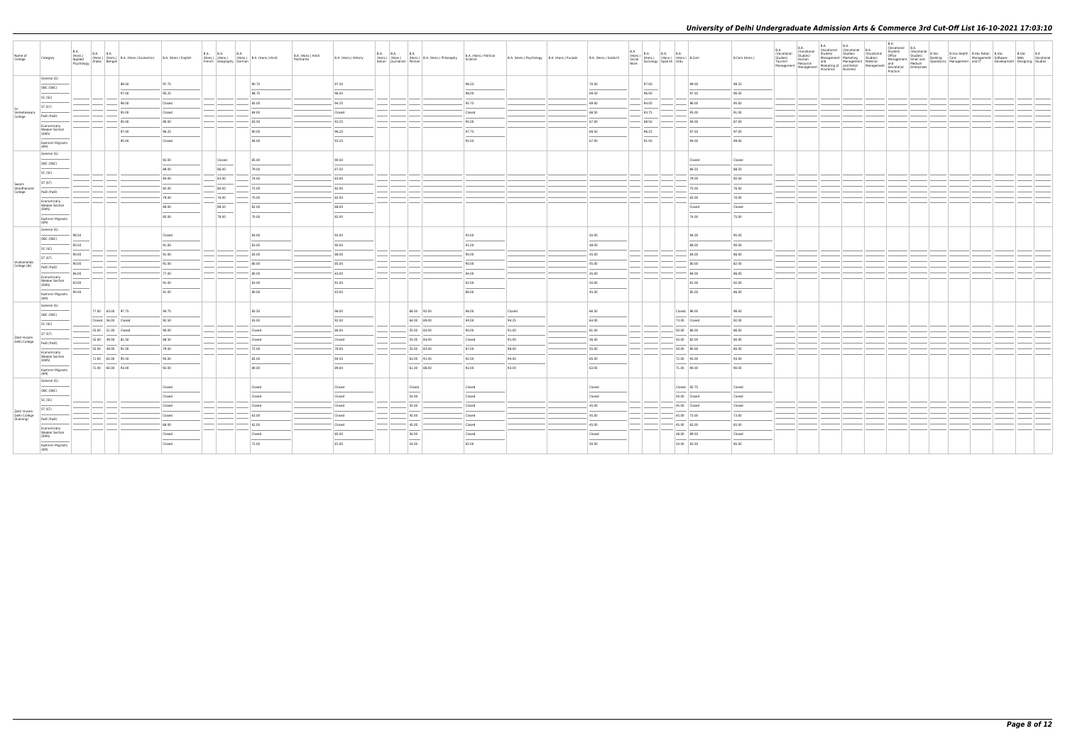|                                            |                                                | B.A.<br>(Hons.)                      | <b>B.A. B.A.</b> |                                                             |                 | <b>B.A. B.A.</b>                                                      | <b>B.A.</b> |                |                                   |                      | B.A. B.A. B.A.                                                                |                                   |                                                |                       |                                                                                                                                                                                                                                                                                                                                                                                                                                        |  |                |                | B.A.<br><b>B.A.</b><br>(Vocational | B.A.<br><b>B.A.</b><br>(Vocational (Vocational B.A.<br>Studies) Studies) (Vocat | <b>B.A.</b><br>(Vocational B.A.<br>(Vocational                                                                                                                                                                                       |                                                                                                                                                                                                |  | B.Voc B.A                                       |
|--------------------------------------------|------------------------------------------------|--------------------------------------|------------------|-------------------------------------------------------------|-----------------|-----------------------------------------------------------------------|-------------|----------------|-----------------------------------|----------------------|-------------------------------------------------------------------------------|-----------------------------------|------------------------------------------------|-----------------------|----------------------------------------------------------------------------------------------------------------------------------------------------------------------------------------------------------------------------------------------------------------------------------------------------------------------------------------------------------------------------------------------------------------------------------------|--|----------------|----------------|------------------------------------|---------------------------------------------------------------------------------|--------------------------------------------------------------------------------------------------------------------------------------------------------------------------------------------------------------------------------------|------------------------------------------------------------------------------------------------------------------------------------------------------------------------------------------------|--|-------------------------------------------------|
| Name of<br>College                         | Category                                       | Applied<br>Psychology Arabic Bengali |                  | (Hons.) (Hons.) B.A. (Hons.) Economics B.A. (Hons.) English |                 | (Hons.) (Hons.) (Hons.) B.A. (Hons.) Hindi<br>French Geography German |             |                | B.A. (Hons.) Hindi<br>Patrikarita | B.A. (Hons.) History | (Hons.) (Hons.) (Hons.) B.A. (Hons.) Philosophy<br>Italian Journalism Persian | B.A. (Hons.) Political<br>Science | B.A. (Hons.) Psychology   B.A. (Hons.) Punjabi | B.A. (Hons.) Sanskrit | $\begin{array}{l} \text{B.A.} \\ \text{(Hons.)} \\ \text{Social} \\ \text{Social} \\ \text{Work} \\ \end{array} \hspace{1mm} \begin{array}{l} \text{B.A.} \\ \text{(Hons.)} \\ \text{(Hons.)} \\ \text{(Hons.)} \\ \text{Spanish} \\ \end{array} \hspace{1mm} \begin{array}{l} \text{B.A.} \\ \text{B.A.} \\ \text{(Hons.)} \\ \text{Urdu} \\ \end{array} \hspace{1mm} \begin{array}{l} \text{B.A.} \\ \text{B. Comm.} \\ \end{array}$ |  |                | B.Com (Hons.)  | (Vocational<br>Studies)<br>Human   |                                                                                 | Vocational Lywaxurum Studies)<br>Studies) Management Marketing Studies)<br>Tourism Human and Management Material Management Material Management Studies)<br>Tourism Hesource Marketing of and Retail Management Secretarial Enterpri | Vucucuisum<br>Office Studies)<br>Office Studies Banking Care Management Software<br>Management Small and Danking Care Management Software<br>and Medium Operations Management and IT Developme |  | Web Vocational<br>Development Designing Studies |
|                                            | General (G)                                    |                                      |                  | 98.50                                                       | 97.75           |                                                                       |             |                |                                   | 97.50                |                                                                               |                                   |                                                | 70.00                 |                                                                                                                                                                                                                                                                                                                                                                                                                                        |  | 99.00          | 98.25          |                                    |                                                                                 |                                                                                                                                                                                                                                      |                                                                                                                                                                                                |  |                                                 |
|                                            | OBC (OBC)                                      |                                      |                  | 97.00                                                       | 95.25           |                                                                       |             | 90.75<br>88.75 |                                   | 96.50                |                                                                               | 98.25<br>98.00                    |                                                | 69.50                 | 97.00<br>96.00                                                                                                                                                                                                                                                                                                                                                                                                                         |  | 97.50          | 96.50          |                                    |                                                                                 |                                                                                                                                                                                                                                      |                                                                                                                                                                                                |  |                                                 |
|                                            | SC (SC)                                        |                                      |                  | 96.00                                                       |                 |                                                                       |             | 85.00          |                                   | 94.25                |                                                                               | 95.75                             |                                                | 69.00                 | 94.00                                                                                                                                                                                                                                                                                                                                                                                                                                  |  |                | 95.00          |                                    |                                                                                 |                                                                                                                                                                                                                                      |                                                                                                                                                                                                |  |                                                 |
|                                            | ST (ST)                                        |                                      |                  |                                                             | Closed          |                                                                       |             |                |                                   |                      |                                                                               |                                   |                                                |                       |                                                                                                                                                                                                                                                                                                                                                                                                                                        |  | 96.00          |                |                                    |                                                                                 |                                                                                                                                                                                                                                      |                                                                                                                                                                                                |  |                                                 |
| Venketeswara<br>College                    | PwD (PwD)                                      |                                      |                  | 95.00<br>95.00                                              | Closed<br>90.00 |                                                                       |             | 84.00<br>83.50 |                                   | Closed<br>93.25      |                                                                               | Closed<br>95.00                   |                                                | 68.50<br>67.00        | 93.75<br>88.50                                                                                                                                                                                                                                                                                                                                                                                                                         |  | 95.00<br>94.00 | 91.00<br>87.00 |                                    |                                                                                 |                                                                                                                                                                                                                                      |                                                                                                                                                                                                |  |                                                 |
|                                            | Economically<br><b>Weaker Section</b>          |                                      |                  | 97.00                                                       | 96.25           |                                                                       |             | 90.00          |                                   | 96.25                |                                                                               | 97.75                             |                                                | 69.50                 | 96.25                                                                                                                                                                                                                                                                                                                                                                                                                                  |  | 97.50          | 97.00          |                                    |                                                                                 |                                                                                                                                                                                                                                      |                                                                                                                                                                                                |  |                                                 |
|                                            | (EWS)                                          |                                      |                  | 95.00                                                       | Closed          |                                                                       |             | 84.00          |                                   | 93.25                |                                                                               | 95.50                             |                                                | 67.00                 | 91.00                                                                                                                                                                                                                                                                                                                                                                                                                                  |  | 94.00          | 89.00          |                                    |                                                                                 |                                                                                                                                                                                                                                      |                                                                                                                                                                                                |  |                                                 |
|                                            | Kashmiri Migrants<br>(KM)                      |                                      |                  |                                                             |                 |                                                                       |             |                |                                   |                      |                                                                               |                                   |                                                |                       |                                                                                                                                                                                                                                                                                                                                                                                                                                        |  |                |                |                                    |                                                                                 |                                                                                                                                                                                                                                      |                                                                                                                                                                                                |  |                                                 |
|                                            | General (G)                                    |                                      |                  |                                                             | 92.00           | Closed                                                                |             | 85.00          |                                   | 90.50                |                                                                               |                                   |                                                |                       |                                                                                                                                                                                                                                                                                                                                                                                                                                        |  | Closed         | Closed         |                                    |                                                                                 |                                                                                                                                                                                                                                      |                                                                                                                                                                                                |  |                                                 |
|                                            | OBC (OBC)                                      |                                      |                  |                                                             | 89.00           | 86.00                                                                 |             | 79.00          |                                   | 87.50                |                                                                               |                                   |                                                |                       |                                                                                                                                                                                                                                                                                                                                                                                                                                        |  | 86.50          | 88.50          |                                    |                                                                                 |                                                                                                                                                                                                                                      |                                                                                                                                                                                                |  |                                                 |
|                                            | SC (SC)                                        |                                      |                  |                                                             | 84.00           | $- 83.00$                                                             |             | 74.00          |                                   | 83.00                |                                                                               |                                   |                                                |                       |                                                                                                                                                                                                                                                                                                                                                                                                                                        |  | 79.00          | 82.00          |                                    |                                                                                 |                                                                                                                                                                                                                                      |                                                                                                                                                                                                |  |                                                 |
| Swami<br>Shardhanand                       | ST (ST)                                        |                                      |                  |                                                             | 82.00           | 80.00                                                                 |             | 72.00          |                                   | 82.00                |                                                                               |                                   |                                                |                       |                                                                                                                                                                                                                                                                                                                                                                                                                                        |  | 75.00          | 76.00          |                                    |                                                                                 |                                                                                                                                                                                                                                      |                                                                                                                                                                                                |  |                                                 |
| College                                    | PwD (PwD)                                      |                                      |                  |                                                             | 79.00           | 76.00                                                                 |             | 70.00          |                                   | 82.00                |                                                                               |                                   |                                                |                       |                                                                                                                                                                                                                                                                                                                                                                                                                                        |  | 65.00          | 70.00          |                                    |                                                                                 |                                                                                                                                                                                                                                      |                                                                                                                                                                                                |  |                                                 |
|                                            | Economically<br><b>Weaker Section</b>          |                                      |                  |                                                             | 89.00           | 88.50                                                                 |             | 82.00          |                                   | 88.00                |                                                                               |                                   |                                                |                       |                                                                                                                                                                                                                                                                                                                                                                                                                                        |  | Closed         | Closed         |                                    |                                                                                 |                                                                                                                                                                                                                                      |                                                                                                                                                                                                |  |                                                 |
|                                            | (EWS)                                          |                                      |                  |                                                             | 85.00           | 78.00                                                                 |             | 70.00          |                                   | 82.00                |                                                                               |                                   |                                                |                       |                                                                                                                                                                                                                                                                                                                                                                                                                                        |  | 74.00          | 75.00          |                                    |                                                                                 |                                                                                                                                                                                                                                      |                                                                                                                                                                                                |  |                                                 |
|                                            | Kashmiri Migrants<br>(KM)                      |                                      |                  |                                                             |                 |                                                                       |             |                |                                   |                      |                                                                               |                                   |                                                |                       |                                                                                                                                                                                                                                                                                                                                                                                                                                        |  |                |                |                                    |                                                                                 |                                                                                                                                                                                                                                      |                                                                                                                                                                                                |  |                                                 |
|                                            | General (G)                                    | 96.50                                |                  |                                                             | Closed          |                                                                       |             | 84.00          |                                   | 92.00                |                                                                               | 93.00                             |                                                | 50.00                 |                                                                                                                                                                                                                                                                                                                                                                                                                                        |  | 94.00          | 95.00          |                                    |                                                                                 |                                                                                                                                                                                                                                      |                                                                                                                                                                                                |  |                                                 |
|                                            | OBC (OBC)                                      | 90.50                                |                  |                                                             | 91.00           |                                                                       |             | 83.00          |                                   | 90.00                |                                                                               | 91.00                             |                                                | 48.00                 |                                                                                                                                                                                                                                                                                                                                                                                                                                        |  | 88.00          | 90.00          |                                    |                                                                                 |                                                                                                                                                                                                                                      |                                                                                                                                                                                                |  |                                                 |
|                                            | SC (SC)                                        | 90.00                                |                  |                                                             | 91.00           |                                                                       |             | 83.00          |                                   | 88.00                |                                                                               | 90.00                             |                                                | 45.00                 |                                                                                                                                                                                                                                                                                                                                                                                                                                        |  | 84.00          | 86.00          |                                    |                                                                                 |                                                                                                                                                                                                                                      |                                                                                                                                                                                                |  |                                                 |
| Vivekananda                                | ST (ST)                                        | 90.00                                |                  |                                                             | 91.00           |                                                                       |             | 80.00          |                                   | 85.00                |                                                                               | 90.00                             |                                                | 45.00                 |                                                                                                                                                                                                                                                                                                                                                                                                                                        |  | 80.00          | 82.00          |                                    |                                                                                 |                                                                                                                                                                                                                                      |                                                                                                                                                                                                |  |                                                 |
| College (W)                                | PwD (PwD)                                      | 86.00                                |                  |                                                             | 77.00           |                                                                       |             | 80.00          |                                   | 83.00                |                                                                               | 84.00                             |                                                | 45.00                 |                                                                                                                                                                                                                                                                                                                                                                                                                                        |  | 84.00          | 86.00          |                                    |                                                                                 |                                                                                                                                                                                                                                      |                                                                                                                                                                                                |  |                                                 |
|                                            | Economically<br>Weaker Section<br>(EWS)        | 93.00                                |                  |                                                             | 91.00           |                                                                       |             | 83.00          |                                   | 91.00                |                                                                               | 92.00                             |                                                | 50.00                 |                                                                                                                                                                                                                                                                                                                                                                                                                                        |  | 91.00          | 92.00          |                                    |                                                                                 |                                                                                                                                                                                                                                      |                                                                                                                                                                                                |  |                                                 |
|                                            | Kashmiri Migrants                              | 90.00                                |                  |                                                             | 91.00           |                                                                       |             | 80.00          |                                   | 83.00                |                                                                               | 86.00                             |                                                | 45.00                 |                                                                                                                                                                                                                                                                                                                                                                                                                                        |  | 85.00          | 86.00          |                                    |                                                                                 |                                                                                                                                                                                                                                      |                                                                                                                                                                                                |  |                                                 |
|                                            | (KM)                                           |                                      |                  |                                                             |                 |                                                                       |             |                |                                   |                      |                                                                               |                                   |                                                |                       |                                                                                                                                                                                                                                                                                                                                                                                                                                        |  |                |                |                                    |                                                                                 |                                                                                                                                                                                                                                      |                                                                                                                                                                                                |  |                                                 |
|                                            | General (G)                                    |                                      |                  | 77.00 63.00 97.75                                           | 94.75           |                                                                       |             | 85.50          |                                   | 96.00                | 66.50 92.00                                                                   | 96.00                             | Closed                                         | 66.50                 |                                                                                                                                                                                                                                                                                                                                                                                                                                        |  | Closed 96.00   | 96.00          |                                    |                                                                                 |                                                                                                                                                                                                                                      |                                                                                                                                                                                                |  |                                                 |
|                                            | OBC (OBC)                                      |                                      |                  | Closed 56.00 Closed                                         | 92.50           |                                                                       |             | 83.00          |                                   | 92.00                | 64.00 89.00                                                                   | 94.00                             | 94.25                                          | 64.00                 |                                                                                                                                                                                                                                                                                                                                                                                                                                        |  | 73.00 Closed   | 92.00          |                                    |                                                                                 |                                                                                                                                                                                                                                      |                                                                                                                                                                                                |  |                                                 |
|                                            | SC (SC)<br>ST(ST)                              |                                      |                  | 55.00 51.00 Closed                                          | 90.00           |                                                                       |             | Closed         |                                   | 86.00                | 55.00 84.00                                                                   | 90.00                             | 91.00                                          | 61.00                 |                                                                                                                                                                                                                                                                                                                                                                                                                                        |  | 50.00 86.00    | 86.00          |                                    |                                                                                 |                                                                                                                                                                                                                                      |                                                                                                                                                                                                |  |                                                 |
| Zakir Husain<br>Delhi College              | PwD (PwD)                                      |                                      |                  | 55.00 49.00 81.50                                           | 88.50           |                                                                       |             | Closed         |                                   | Closed               | 55.00 84.00                                                                   | Closed                            | 91.00                                          | 56.00                 |                                                                                                                                                                                                                                                                                                                                                                                                                                        |  | 50.00 82.00    | 80.00          |                                    |                                                                                 |                                                                                                                                                                                                                                      |                                                                                                                                                                                                |  |                                                 |
|                                            |                                                |                                      |                  | 55.00 49.00 91.00                                           | 79.00           |                                                                       |             | 72.00          |                                   | 78.00                | 55.00 83.00                                                                   | 87.00                             | 88.00                                          | 55.00                 |                                                                                                                                                                                                                                                                                                                                                                                                                                        |  | 50.00 80.00    | 80.00          |                                    |                                                                                 |                                                                                                                                                                                                                                      |                                                                                                                                                                                                |  |                                                 |
|                                            | Economically<br><b>Weaker Section</b><br>(EWS) |                                      |                  | 71.00 62.00 95.50                                           | 93.00           |                                                                       |             | 82.00          |                                   | 94.50                | 63.00 91.00                                                                   | 92.50                             | 94.00                                          | 65.00                 |                                                                                                                                                                                                                                                                                                                                                                                                                                        |  | 72.00 93.00    | 93.00          |                                    |                                                                                 |                                                                                                                                                                                                                                      |                                                                                                                                                                                                |  |                                                 |
|                                            | Kashmiri Migrants<br>(KM)                      |                                      |                  | 71.00 60.00 93.00                                           | 92.00           |                                                                       |             | 80.00          |                                   | 89.00                | 61.00 88.00                                                                   | 92.00                             | 93.00                                          | 63.00                 |                                                                                                                                                                                                                                                                                                                                                                                                                                        |  | 71.00 90.00    | 90.00          |                                    |                                                                                 |                                                                                                                                                                                                                                      |                                                                                                                                                                                                |  |                                                 |
|                                            | General (G)                                    |                                      |                  |                                                             |                 |                                                                       |             |                |                                   |                      |                                                                               |                                   |                                                |                       |                                                                                                                                                                                                                                                                                                                                                                                                                                        |  |                |                |                                    |                                                                                 |                                                                                                                                                                                                                                      |                                                                                                                                                                                                |  |                                                 |
|                                            | OBC (OBC)                                      |                                      |                  |                                                             | Closed          |                                                                       |             | Closed         |                                   | Closed               | Closed                                                                        | Closed                            |                                                | Closed                |                                                                                                                                                                                                                                                                                                                                                                                                                                        |  | Closed 92.75   | Closed         |                                    |                                                                                 |                                                                                                                                                                                                                                      |                                                                                                                                                                                                |  |                                                 |
|                                            | SC (SC)                                        |                                      |                  |                                                             | Closed          |                                                                       |             | Closed         |                                   | Closed               | 54.00                                                                         | Closed                            |                                                | Closed                |                                                                                                                                                                                                                                                                                                                                                                                                                                        |  | 50.00 Closed   | Closed         |                                    |                                                                                 |                                                                                                                                                                                                                                      |                                                                                                                                                                                                |  |                                                 |
|                                            | ST (ST)                                        |                                      |                  |                                                             | Closed          |                                                                       |             | Closed         |                                   | Closed               | 45.00                                                                         | Closed                            |                                                | 45.00                 |                                                                                                                                                                                                                                                                                                                                                                                                                                        |  | 45.00 Closed   | Closed         |                                    |                                                                                 |                                                                                                                                                                                                                                      |                                                                                                                                                                                                |  |                                                 |
| Zakir Husain<br>Delhi College<br>(Evening) | PwD (PwD)                                      |                                      |                  |                                                             | Closed          |                                                                       |             | 63.00          |                                   | Closed               | 45.00                                                                         | Closed                            |                                                | 45.00                 |                                                                                                                                                                                                                                                                                                                                                                                                                                        |  | 45.00 73.00    | 73.00          |                                    |                                                                                 |                                                                                                                                                                                                                                      |                                                                                                                                                                                                |  |                                                 |
|                                            | Economically                                   |                                      |                  |                                                             | 68.00           |                                                                       |             | 62.00          |                                   | Closed               | 45.00                                                                         | Closed                            |                                                | 45.00                 |                                                                                                                                                                                                                                                                                                                                                                                                                                        |  | 45.00 65.00    | 65.00          |                                    |                                                                                 |                                                                                                                                                                                                                                      |                                                                                                                                                                                                |  |                                                 |
|                                            | <b>Weaker Section</b><br>(EWS)                 |                                      |                  |                                                             | Closed          |                                                                       |             | Closed         |                                   | 85.00                | 56.00                                                                         | Closed                            |                                                | Closed                |                                                                                                                                                                                                                                                                                                                                                                                                                                        |  | 48.00 89.50    | Closed         |                                    |                                                                                 |                                                                                                                                                                                                                                      |                                                                                                                                                                                                |  |                                                 |
|                                            | Kashmiri Migrants<br>(KM)                      |                                      |                  |                                                             | Closed          |                                                                       |             | 72.00          |                                   | 81.00                | 54.00                                                                         | 82.00                             |                                                | 50.00                 |                                                                                                                                                                                                                                                                                                                                                                                                                                        |  | 54.00 83.50    | 85.00          |                                    |                                                                                 |                                                                                                                                                                                                                                      |                                                                                                                                                                                                |  |                                                 |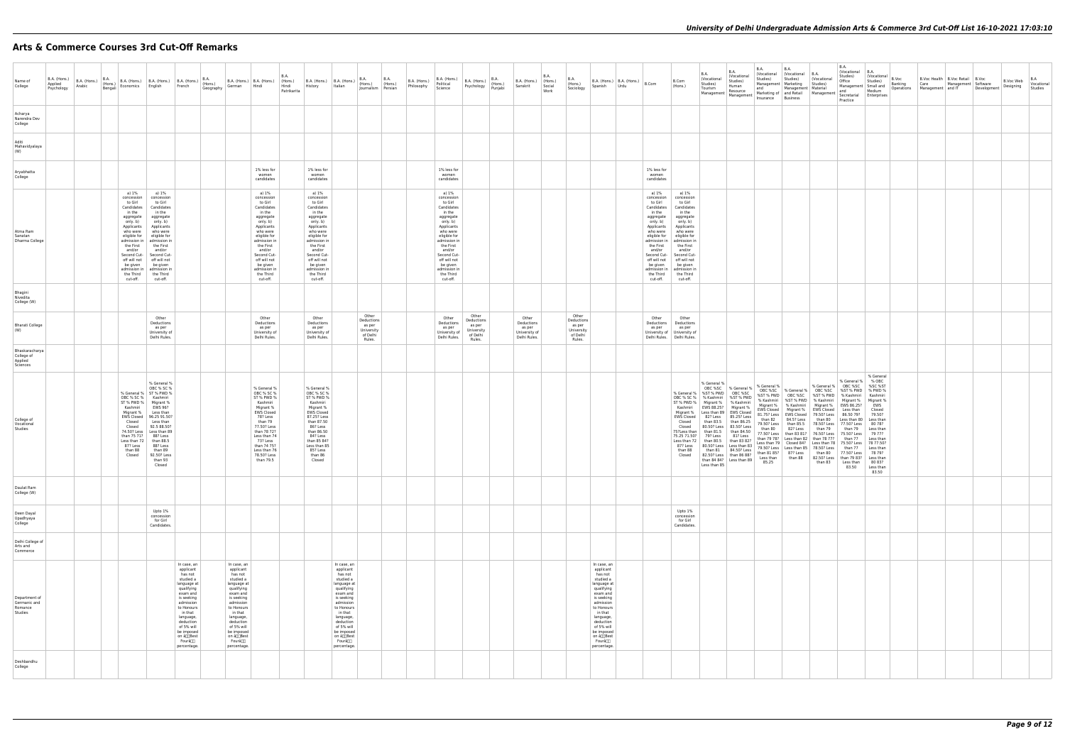# **Arts & Commerce Courses 3rd Cut-Off Remarks**

| Name of<br>College                                  | $\begin{array}{ l l l } \hline \text{B.A. (Hons.)} & \text{B.A. (Hons.)} & \text{B.A. (Hons.)} & \text{B.A. (Hons.)} & \text{B.A. (Hons.)} & \text{B.A. (Hons.)} & \text{B.A. (Hons.)} \\ \hline \text{Appplied} & \text{Arabic} & \text{Eongail} & \text{Economics} & \text{English} & \text{French} & \text{Geography} \\ \hline \end{array}$ |                                                                                                                                              |                                                                                                                                                                                                                                                                                                                                                                               |                                                                                                                                                                                                                                            | German Hindi                                                                                                                                                                                                                                |                                                                                                                                                                                                                                                      | <b>B.A.</b><br>Hindi<br>Patrikarita | B.A. (Hons.) B.A. (Hons.) B.A. (Hons.) B.A. (Hons.) B.A. (Hons.) B.A. (Hons.) B.A. (Hons.) B.A. (Hons.) (Hons.)<br>History Italian                                                                                                                   | Journalism Persian                                                                                                                                                                                                                         | B.A. (Hons.)<br>Philosophy | B.A. (Hons.)<br>Political<br>Science                                                                                                                                                                                                                 |                                                                   | $B.A.$ (Hons.) $B.A.$ (Hons.)<br>Psychology Punjabi | B.A. (Hons.) (Hons.)<br>Sanskrit Social                        | <b>B.A.</b><br>Work | <b>B.A.</b><br>(Hons.)<br>Sociology                               | Spanish                                                                                                                                                                                                                                     | B.A. (Hons.) $\Big $ B.A. (Hons.) $\Big $ B.Com<br>Urdu |                                                                                                                                                                                                                                      | B.Com<br>(Hons.)                                                                                                                                                                                                                                                    | B.A.<br>(Vocational<br>Studies)<br>Tourism<br>Management   Management                                                                                                                                                                                                                                                                | B.A.<br>Vocational<br>Studies)<br>Human<br>Resource                                                                                                                                                    | <b>B.A.</b><br>Studies)<br>and<br>Insurance Business | <b>B.A.</b><br>(Vocational (Vocational B.A.<br>Studies)<br>Management Marketing Studies)<br>Management Material | (Vocational<br>Marketing of and Retail Management   Becretarial   Marketing of   and Retail   Management   Secretarial   Medicines                                                                                                                                                                                                                                                                                                                                                                                                                                                                                                                                                                                                        | <b>B.A.</b><br>Vocational B.A.<br>Studies)<br>Office<br>Practice                                                                                  | $\left  \begin{array}{c} 0.75 \\ \text{Vocational} \end{array} \right $ B.Voc<br>Medium                             | B.Voc Health   B.Voc Retail   B.Voc<br>Management Studies)<br>Management Small and Banking Care Management<br>1992 Management and IT<br>Care Management Software | Development Designing | B.Voc Web | B.A<br>Vocational<br>Studies |
|-----------------------------------------------------|-------------------------------------------------------------------------------------------------------------------------------------------------------------------------------------------------------------------------------------------------------------------------------------------------------------------------------------------------|----------------------------------------------------------------------------------------------------------------------------------------------|-------------------------------------------------------------------------------------------------------------------------------------------------------------------------------------------------------------------------------------------------------------------------------------------------------------------------------------------------------------------------------|--------------------------------------------------------------------------------------------------------------------------------------------------------------------------------------------------------------------------------------------|---------------------------------------------------------------------------------------------------------------------------------------------------------------------------------------------------------------------------------------------|------------------------------------------------------------------------------------------------------------------------------------------------------------------------------------------------------------------------------------------------------|-------------------------------------|------------------------------------------------------------------------------------------------------------------------------------------------------------------------------------------------------------------------------------------------------|--------------------------------------------------------------------------------------------------------------------------------------------------------------------------------------------------------------------------------------------|----------------------------|------------------------------------------------------------------------------------------------------------------------------------------------------------------------------------------------------------------------------------------------------|-------------------------------------------------------------------|-----------------------------------------------------|----------------------------------------------------------------|---------------------|-------------------------------------------------------------------|---------------------------------------------------------------------------------------------------------------------------------------------------------------------------------------------------------------------------------------------|---------------------------------------------------------|--------------------------------------------------------------------------------------------------------------------------------------------------------------------------------------------------------------------------------------|---------------------------------------------------------------------------------------------------------------------------------------------------------------------------------------------------------------------------------------------------------------------|--------------------------------------------------------------------------------------------------------------------------------------------------------------------------------------------------------------------------------------------------------------------------------------------------------------------------------------|--------------------------------------------------------------------------------------------------------------------------------------------------------------------------------------------------------|------------------------------------------------------|-----------------------------------------------------------------------------------------------------------------|-------------------------------------------------------------------------------------------------------------------------------------------------------------------------------------------------------------------------------------------------------------------------------------------------------------------------------------------------------------------------------------------------------------------------------------------------------------------------------------------------------------------------------------------------------------------------------------------------------------------------------------------------------------------------------------------------------------------------------------------|---------------------------------------------------------------------------------------------------------------------------------------------------|---------------------------------------------------------------------------------------------------------------------|------------------------------------------------------------------------------------------------------------------------------------------------------------------|-----------------------|-----------|------------------------------|
| Acharya<br>Narendra Dev<br>College                  |                                                                                                                                                                                                                                                                                                                                                 |                                                                                                                                              |                                                                                                                                                                                                                                                                                                                                                                               |                                                                                                                                                                                                                                            |                                                                                                                                                                                                                                             |                                                                                                                                                                                                                                                      |                                     |                                                                                                                                                                                                                                                      |                                                                                                                                                                                                                                            |                            |                                                                                                                                                                                                                                                      |                                                                   |                                                     |                                                                |                     |                                                                   |                                                                                                                                                                                                                                             |                                                         |                                                                                                                                                                                                                                      |                                                                                                                                                                                                                                                                     |                                                                                                                                                                                                                                                                                                                                      |                                                                                                                                                                                                        |                                                      |                                                                                                                 |                                                                                                                                                                                                                                                                                                                                                                                                                                                                                                                                                                                                                                                                                                                                           |                                                                                                                                                   |                                                                                                                     |                                                                                                                                                                  |                       |           |                              |
| Aditi<br>Mahavidyalaya<br>(W)                       |                                                                                                                                                                                                                                                                                                                                                 |                                                                                                                                              |                                                                                                                                                                                                                                                                                                                                                                               |                                                                                                                                                                                                                                            |                                                                                                                                                                                                                                             |                                                                                                                                                                                                                                                      |                                     |                                                                                                                                                                                                                                                      |                                                                                                                                                                                                                                            |                            |                                                                                                                                                                                                                                                      |                                                                   |                                                     |                                                                |                     |                                                                   |                                                                                                                                                                                                                                             |                                                         |                                                                                                                                                                                                                                      |                                                                                                                                                                                                                                                                     |                                                                                                                                                                                                                                                                                                                                      |                                                                                                                                                                                                        |                                                      |                                                                                                                 |                                                                                                                                                                                                                                                                                                                                                                                                                                                                                                                                                                                                                                                                                                                                           |                                                                                                                                                   |                                                                                                                     |                                                                                                                                                                  |                       |           |                              |
| Aryabhatta<br>College                               |                                                                                                                                                                                                                                                                                                                                                 |                                                                                                                                              |                                                                                                                                                                                                                                                                                                                                                                               |                                                                                                                                                                                                                                            |                                                                                                                                                                                                                                             | 1% less for<br>women<br>candidates                                                                                                                                                                                                                   |                                     | 1% less for<br>women<br>candidates                                                                                                                                                                                                                   |                                                                                                                                                                                                                                            |                            | 1% less for<br>women<br>candidates                                                                                                                                                                                                                   |                                                                   |                                                     |                                                                |                     |                                                                   |                                                                                                                                                                                                                                             |                                                         | 1% less for<br>women<br>candidates                                                                                                                                                                                                   |                                                                                                                                                                                                                                                                     |                                                                                                                                                                                                                                                                                                                                      |                                                                                                                                                                                                        |                                                      |                                                                                                                 |                                                                                                                                                                                                                                                                                                                                                                                                                                                                                                                                                                                                                                                                                                                                           |                                                                                                                                                   |                                                                                                                     |                                                                                                                                                                  |                       |           |                              |
| Atma Ram<br>Sanatan<br>Dharma College               |                                                                                                                                                                                                                                                                                                                                                 | a) 1%<br>concession<br>to Girl<br>Candidates<br>in the<br>aggregate<br>only. b)<br>Applicants<br>the First<br>and/or<br>be given<br>cut-off. | a) 1%<br>concession<br>to Girl<br>Candidates<br>in the<br>aggregate<br>only. b)<br>Applicants<br>who were who were<br>eligible for eligible for<br>admission in   admission in<br>the First<br>and/or<br>Second Cut- Second Cut-<br>off will not   off will not<br>be given<br>admission in   admission in<br>the Third   the Third<br>cut-off.                               |                                                                                                                                                                                                                                            |                                                                                                                                                                                                                                             | a) 1%<br>concession<br>to Girl<br>Candidates<br>in the<br>aggregate<br>only. b)<br>Applicants<br>who were<br>eligible for<br>admission in<br>the First<br>and/or<br>Second Cut-<br>off will not<br>be given<br>admission in<br>the Third<br>cut-off. |                                     | a) 1%<br>concession<br>to Girl<br>Candidates<br>in the<br>aggregate<br>only. b)<br>Applicants<br>who were<br>eligible for<br>admission in<br>the First<br>and/or<br>Second Cut-<br>off will not<br>be given<br>admission in<br>the Third<br>cut-off. |                                                                                                                                                                                                                                            |                            | a) 1%<br>concession<br>to Girl<br>Candidates<br>in the<br>aggregate<br>only, b)<br>Applicants<br>who were<br>eligible for<br>admission in<br>the First<br>and/or<br>Second Cut-<br>off will not<br>be given<br>admission in<br>the Third<br>cut-off. |                                                                   |                                                     |                                                                |                     |                                                                   |                                                                                                                                                                                                                                             |                                                         | a) 1%<br>concession<br>to Girl<br>Candidates<br>in the<br>aggregate<br>only. b)<br>Applicants<br>who were<br>eligible for<br>admission in<br>the First<br>and/or<br>Second Cut-<br>be given<br>admission in<br>the Third<br>cut-off. | a) 1%<br>concession<br>to Girl<br>Candidates<br>in the<br>aggregate<br>only. b)<br>Applicants<br>who were<br>eligible for<br>admission in<br>the First<br>and/or<br>Second Cut-<br>off will not   off will not<br>be given<br>admission in<br>the Third<br>cut-off. |                                                                                                                                                                                                                                                                                                                                      |                                                                                                                                                                                                        |                                                      |                                                                                                                 |                                                                                                                                                                                                                                                                                                                                                                                                                                                                                                                                                                                                                                                                                                                                           |                                                                                                                                                   |                                                                                                                     |                                                                                                                                                                  |                       |           |                              |
| Bhagini<br>Nivedita<br>College (W)                  |                                                                                                                                                                                                                                                                                                                                                 |                                                                                                                                              |                                                                                                                                                                                                                                                                                                                                                                               |                                                                                                                                                                                                                                            |                                                                                                                                                                                                                                             |                                                                                                                                                                                                                                                      |                                     |                                                                                                                                                                                                                                                      |                                                                                                                                                                                                                                            |                            |                                                                                                                                                                                                                                                      |                                                                   |                                                     |                                                                |                     |                                                                   |                                                                                                                                                                                                                                             |                                                         |                                                                                                                                                                                                                                      |                                                                                                                                                                                                                                                                     |                                                                                                                                                                                                                                                                                                                                      |                                                                                                                                                                                                        |                                                      |                                                                                                                 |                                                                                                                                                                                                                                                                                                                                                                                                                                                                                                                                                                                                                                                                                                                                           |                                                                                                                                                   |                                                                                                                     |                                                                                                                                                                  |                       |           |                              |
| <b>Bharati College</b><br>(W)                       |                                                                                                                                                                                                                                                                                                                                                 |                                                                                                                                              | Other<br>Deductions<br>as per<br>University of<br>Delhi Rules.                                                                                                                                                                                                                                                                                                                |                                                                                                                                                                                                                                            |                                                                                                                                                                                                                                             | Other<br>Deductions<br>as per<br>University of<br>Delhi Rules.                                                                                                                                                                                       |                                     | Other<br>Deductions<br>as per<br>University of<br>Delhi Rules.                                                                                                                                                                                       | Other<br>Deductions<br>as per<br>University<br>of Delhi<br>Rules.                                                                                                                                                                          |                            | Other<br>Deductions<br>as per<br>University of<br>Delhi Rules.                                                                                                                                                                                       | Other<br>Deductions<br>as per<br>University<br>of Delhi<br>Rules. |                                                     | Other<br>Deductions<br>as per<br>University of<br>Delhi Rules. |                     | Other<br>Deductions<br>as per<br>University<br>of Delhi<br>Rules. |                                                                                                                                                                                                                                             |                                                         | Other<br>Deductions<br>as per                                                                                                                                                                                                        | Other<br>Deductions<br>as per<br>University of   University of<br>Delhi Rules.   Delhi Rules.                                                                                                                                                                       |                                                                                                                                                                                                                                                                                                                                      |                                                                                                                                                                                                        |                                                      |                                                                                                                 |                                                                                                                                                                                                                                                                                                                                                                                                                                                                                                                                                                                                                                                                                                                                           |                                                                                                                                                   |                                                                                                                     |                                                                                                                                                                  |                       |           |                              |
| Bhaskaracharya<br>College of<br>Applied<br>Sciences |                                                                                                                                                                                                                                                                                                                                                 |                                                                                                                                              |                                                                                                                                                                                                                                                                                                                                                                               |                                                                                                                                                                                                                                            |                                                                                                                                                                                                                                             |                                                                                                                                                                                                                                                      |                                     |                                                                                                                                                                                                                                                      |                                                                                                                                                                                                                                            |                            |                                                                                                                                                                                                                                                      |                                                                   |                                                     |                                                                |                     |                                                                   |                                                                                                                                                                                                                                             |                                                         |                                                                                                                                                                                                                                      |                                                                                                                                                                                                                                                                     |                                                                                                                                                                                                                                                                                                                                      |                                                                                                                                                                                                        |                                                      |                                                                                                                 |                                                                                                                                                                                                                                                                                                                                                                                                                                                                                                                                                                                                                                                                                                                                           |                                                                                                                                                   |                                                                                                                     |                                                                                                                                                                  |                       |           |                              |
| College of<br>Vocational<br>Studies                 |                                                                                                                                                                                                                                                                                                                                                 | Closed<br>Closed                                                                                                                             | % General %<br>OBC % SC %<br>% General % ST % PWD %<br>OBC % SC %   Kashmiri<br>ST % PWD %   Migrant %<br>Kashmiri   EWS 96?<br>Migrant % Less than<br>EWS Closed 96.25 91.50?<br>Less than<br>92.5 88.50?<br>74.50? Less   Less than 89<br>than 75 71? 88? Less<br>Less than 72 than 88.5<br>87? Less 88? Less<br>than 88 than 89<br>Closed 92.50? Less<br>than 93<br>Closed |                                                                                                                                                                                                                                            |                                                                                                                                                                                                                                             | % General %<br>OBC % SC %<br>ST % PWD %<br>Kashmiri<br>Migrant %<br><b>EWS Closed</b><br>78? Less<br>than 79<br>77.50? Less<br>than 78 72?<br>Less than 74<br>73? Less<br>than 74 75?<br>Less than 76<br>78.50? Less<br>than 79.5                    |                                     | % General %<br>OBC % SC %<br>ST % PWD %<br>Kashmiri<br>Migrant %<br><b>EWS Closed</b><br>87.25? Less<br>than 87.50<br>86? Less<br>than 86.50<br>84? Less<br>than 85 84?<br>Less than 85<br>85? Less<br>than 86<br>Closed                             |                                                                                                                                                                                                                                            |                            |                                                                                                                                                                                                                                                      |                                                                   |                                                     |                                                                |                     |                                                                   |                                                                                                                                                                                                                                             |                                                         |                                                                                                                                                                                                                                      | Kashmiri<br><b>EWS Closed</b><br>Closed<br>Closed<br>75.25 71.50?<br>Less than 72                                                                                                                                                                                   | % General %<br>% General %   %ST % PWD   OBC %SC<br>OBC % SC %   % Kashmiri   %ST % PWD<br>ST % PWD %   Migrant %   % Kashmiri<br>Migrant %   Less than 89   EWS Closed<br>75?Less than than 81.5 than 84.50<br>87? Less 80.50? Less Less than 83<br>than 88 than 81 84.50? Less<br>Closed 82.50? Less   than 86 88?<br>Less than 85 | OBC %SC   % General %  <br>EWS 88.25? Migrant %<br>82? Less 85.25? Less<br>than 83.5 than 86.25<br>80.50? Less 83.50? Less<br>79? Less 81? Less<br>than 80.5 than 83 82?<br>than 84 84?   Less than 89 | % General %<br>than 82<br>85.25                      | %ST % PWD   OBC %SC<br>84.5? Less<br>than 80 82? Less                                                           | OBC %SC   % General %   OBC %SC   %ST % PWD   % PWD %<br>%ST % PWD<br>% Kashmiri   %ST % PWD   % Kashmiri  <br>Migrant %   % Kashmiri   Migrant %   EWS 86.25?   EWS<br>EWS Closed   Migrant %   EWS Closed   Less than<br>81.75? Less   EWS Closed   79.50? Less   86.50 79?<br>than 80<br>79.50? Less   than 85.5   78.50? Less   77.50? Less   80 78?<br>than 79 $\vert$<br>77.50? Less   than 83 81?   76.50? Less   75.50? Less   79 77?<br>than 79 78?   Less than 82   than 78 77?<br>Less than 79 Closed 84?   Less than 78   75.50? Less   78 77.50?<br>79.50? Less   Less than 85   78.50? Less   than 77   Less than<br>than 81 85? 87? Less than 80 77.50? Less 78 79?<br>Less than than 88 82.50? Less than 79 83? Less than | % General %   % OBC<br>% General % OBC %SC %SC %ST<br>% Kashmiri<br>Migrant %   Migrant %<br>Less than 80 Less than<br>than 83 Less than<br>83.50 | % General<br>Kashmiri<br>Closed<br>79.50?<br>than 79 Less than<br>than 77 Less than<br>80 83?<br>Less than<br>83.50 |                                                                                                                                                                  |                       |           |                              |
| Daulat Ram<br>College (W)                           |                                                                                                                                                                                                                                                                                                                                                 |                                                                                                                                              |                                                                                                                                                                                                                                                                                                                                                                               |                                                                                                                                                                                                                                            |                                                                                                                                                                                                                                             |                                                                                                                                                                                                                                                      |                                     |                                                                                                                                                                                                                                                      |                                                                                                                                                                                                                                            |                            |                                                                                                                                                                                                                                                      |                                                                   |                                                     |                                                                |                     |                                                                   |                                                                                                                                                                                                                                             |                                                         |                                                                                                                                                                                                                                      |                                                                                                                                                                                                                                                                     |                                                                                                                                                                                                                                                                                                                                      |                                                                                                                                                                                                        |                                                      |                                                                                                                 |                                                                                                                                                                                                                                                                                                                                                                                                                                                                                                                                                                                                                                                                                                                                           |                                                                                                                                                   |                                                                                                                     |                                                                                                                                                                  |                       |           |                              |
| Deen Dayal<br>Upadhyaya<br>College                  |                                                                                                                                                                                                                                                                                                                                                 |                                                                                                                                              | Upto 1%<br>concession<br>for Girl<br>Candidates.                                                                                                                                                                                                                                                                                                                              |                                                                                                                                                                                                                                            |                                                                                                                                                                                                                                             |                                                                                                                                                                                                                                                      |                                     |                                                                                                                                                                                                                                                      |                                                                                                                                                                                                                                            |                            |                                                                                                                                                                                                                                                      |                                                                   |                                                     |                                                                |                     |                                                                   |                                                                                                                                                                                                                                             |                                                         |                                                                                                                                                                                                                                      | Upto 1%<br>concession<br>for Girl<br>Candidates.                                                                                                                                                                                                                    |                                                                                                                                                                                                                                                                                                                                      |                                                                                                                                                                                                        |                                                      |                                                                                                                 |                                                                                                                                                                                                                                                                                                                                                                                                                                                                                                                                                                                                                                                                                                                                           |                                                                                                                                                   |                                                                                                                     |                                                                                                                                                                  |                       |           |                              |
| Delhi College of<br>Arts and<br>Commerce            |                                                                                                                                                                                                                                                                                                                                                 |                                                                                                                                              |                                                                                                                                                                                                                                                                                                                                                                               |                                                                                                                                                                                                                                            |                                                                                                                                                                                                                                             |                                                                                                                                                                                                                                                      |                                     |                                                                                                                                                                                                                                                      |                                                                                                                                                                                                                                            |                            |                                                                                                                                                                                                                                                      |                                                                   |                                                     |                                                                |                     |                                                                   |                                                                                                                                                                                                                                             |                                                         |                                                                                                                                                                                                                                      |                                                                                                                                                                                                                                                                     |                                                                                                                                                                                                                                                                                                                                      |                                                                                                                                                                                                        |                                                      |                                                                                                                 |                                                                                                                                                                                                                                                                                                                                                                                                                                                                                                                                                                                                                                                                                                                                           |                                                                                                                                                   |                                                                                                                     |                                                                                                                                                                  |                       |           |                              |
| Department of<br>Germanic and<br>Romance<br>Studies |                                                                                                                                                                                                                                                                                                                                                 |                                                                                                                                              |                                                                                                                                                                                                                                                                                                                                                                               | In case, an<br>applicant<br>has not<br>studied a<br>language at<br>qualifying<br>exam and<br>is seeking<br>admission<br>to Honours<br>in that<br>language,<br>deduction<br>of 5% will<br>be imposed<br>on â∏Best<br>Fourâ∏∏<br>percentage. | In case, an<br>applicant<br>has not<br>studied a<br>language at<br>qualifying<br>exam and<br>is seeking<br>admission<br>to Honours<br>in that<br>language,<br>deduction<br>of 5% will<br>be imposed<br>on â∏∏Best<br>Fourâ∏∏<br>percentage. |                                                                                                                                                                                                                                                      |                                     |                                                                                                                                                                                                                                                      | In case, an<br>applicant<br>has not<br>studied a<br>language at<br>qualifying<br>exam and<br>is seeking<br>admission<br>to Honours<br>in that<br>language,<br>deduction<br>of 5% will<br>be imposed<br>on â∏Best<br>Fourâ∏∏<br>percentage. |                            |                                                                                                                                                                                                                                                      |                                                                   |                                                     |                                                                |                     |                                                                   | In case, an<br>applicant<br>has not<br>studied a<br>language at<br>qualifying<br>exam and<br>is seeking<br>admission<br>to Honours<br>in that<br>language,<br>deduction<br>of 5% will<br>be imposed<br>on â∏]Best<br>Fourâ∏∏<br>percentage. |                                                         |                                                                                                                                                                                                                                      |                                                                                                                                                                                                                                                                     |                                                                                                                                                                                                                                                                                                                                      |                                                                                                                                                                                                        |                                                      |                                                                                                                 |                                                                                                                                                                                                                                                                                                                                                                                                                                                                                                                                                                                                                                                                                                                                           |                                                                                                                                                   |                                                                                                                     |                                                                                                                                                                  |                       |           |                              |
| Deshbandhu<br>College                               |                                                                                                                                                                                                                                                                                                                                                 |                                                                                                                                              |                                                                                                                                                                                                                                                                                                                                                                               |                                                                                                                                                                                                                                            |                                                                                                                                                                                                                                             |                                                                                                                                                                                                                                                      |                                     |                                                                                                                                                                                                                                                      |                                                                                                                                                                                                                                            |                            |                                                                                                                                                                                                                                                      |                                                                   |                                                     |                                                                |                     |                                                                   |                                                                                                                                                                                                                                             |                                                         |                                                                                                                                                                                                                                      |                                                                                                                                                                                                                                                                     |                                                                                                                                                                                                                                                                                                                                      |                                                                                                                                                                                                        |                                                      |                                                                                                                 |                                                                                                                                                                                                                                                                                                                                                                                                                                                                                                                                                                                                                                                                                                                                           |                                                                                                                                                   |                                                                                                                     |                                                                                                                                                                  |                       |           |                              |
|                                                     |                                                                                                                                                                                                                                                                                                                                                 |                                                                                                                                              |                                                                                                                                                                                                                                                                                                                                                                               |                                                                                                                                                                                                                                            |                                                                                                                                                                                                                                             |                                                                                                                                                                                                                                                      |                                     |                                                                                                                                                                                                                                                      |                                                                                                                                                                                                                                            |                            |                                                                                                                                                                                                                                                      |                                                                   |                                                     |                                                                |                     |                                                                   |                                                                                                                                                                                                                                             |                                                         |                                                                                                                                                                                                                                      |                                                                                                                                                                                                                                                                     |                                                                                                                                                                                                                                                                                                                                      |                                                                                                                                                                                                        |                                                      |                                                                                                                 |                                                                                                                                                                                                                                                                                                                                                                                                                                                                                                                                                                                                                                                                                                                                           |                                                                                                                                                   |                                                                                                                     |                                                                                                                                                                  |                       |           |                              |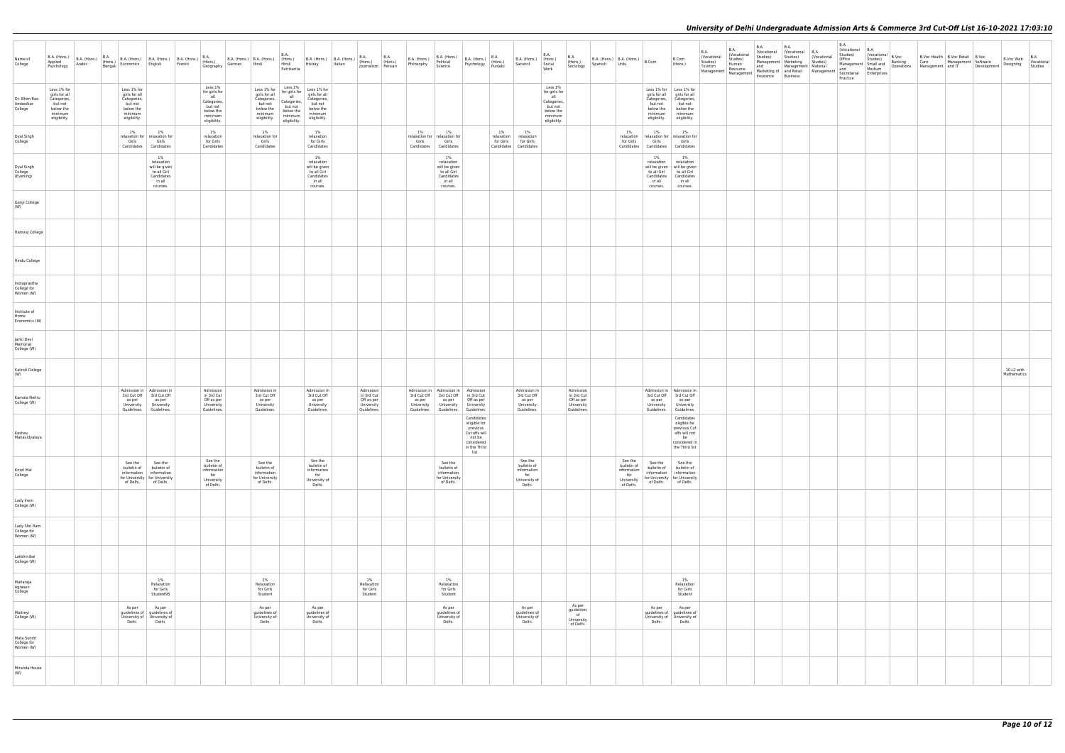| L | <b>B.A.</b><br>(Vocational<br>Studies)<br>nt   Material<br>Management | B.A.<br>(Vocational<br>Studies)<br>Office<br>Management Small and<br>and<br>Secretarial<br>Practice | <b>B.A.</b><br>(Vocational<br>Studies)<br>Medium<br>Enterprises | B.Voc<br>Banking<br>Operations | <b>B.Voc Health</b><br>Care<br>Management and IT | <b>B.Voc Retail</b><br>Management | B.Voc<br>Software<br>Development | B.Voc Web<br>Designing     | B.A<br>Vocational<br>Studies |
|---|-----------------------------------------------------------------------|-----------------------------------------------------------------------------------------------------|-----------------------------------------------------------------|--------------------------------|--------------------------------------------------|-----------------------------------|----------------------------------|----------------------------|------------------------------|
|   |                                                                       |                                                                                                     |                                                                 |                                |                                                  |                                   |                                  |                            |                              |
|   |                                                                       |                                                                                                     |                                                                 |                                |                                                  |                                   |                                  |                            |                              |
|   |                                                                       |                                                                                                     |                                                                 |                                |                                                  |                                   |                                  |                            |                              |
|   |                                                                       |                                                                                                     |                                                                 |                                |                                                  |                                   |                                  |                            |                              |
|   |                                                                       |                                                                                                     |                                                                 |                                |                                                  |                                   |                                  |                            |                              |
|   |                                                                       |                                                                                                     |                                                                 |                                |                                                  |                                   |                                  |                            |                              |
|   |                                                                       |                                                                                                     |                                                                 |                                |                                                  |                                   |                                  |                            |                              |
|   |                                                                       |                                                                                                     |                                                                 |                                |                                                  |                                   |                                  |                            |                              |
|   |                                                                       |                                                                                                     |                                                                 |                                |                                                  |                                   |                                  |                            |                              |
|   |                                                                       |                                                                                                     |                                                                 |                                |                                                  |                                   |                                  | $10+2$ with<br>Mathematics |                              |
|   |                                                                       |                                                                                                     |                                                                 |                                |                                                  |                                   |                                  |                            |                              |
|   |                                                                       |                                                                                                     |                                                                 |                                |                                                  |                                   |                                  |                            |                              |
|   |                                                                       |                                                                                                     |                                                                 |                                |                                                  |                                   |                                  |                            |                              |
|   |                                                                       |                                                                                                     |                                                                 |                                |                                                  |                                   |                                  |                            |                              |
|   |                                                                       |                                                                                                     |                                                                 |                                |                                                  |                                   |                                  |                            |                              |
|   |                                                                       |                                                                                                     |                                                                 |                                |                                                  |                                   |                                  |                            |                              |
|   |                                                                       |                                                                                                     |                                                                 |                                |                                                  |                                   |                                  |                            |                              |
|   |                                                                       |                                                                                                     |                                                                 |                                |                                                  |                                   |                                  |                            |                              |
|   |                                                                       |                                                                                                     |                                                                 |                                |                                                  |                                   |                                  |                            |                              |
|   |                                                                       |                                                                                                     |                                                                 |                                |                                                  |                                   |                                  |                            |                              |

| Name of<br>College                        | B.A. (Hons.)<br>Applied<br>Psychology                                                          | B.A. (Hons.)<br>Arabic | <b>B.A.</b><br>(Hons.)<br>Bengali | Economics                                                                                      | B.A. (Hons.) B.A. (Hons.) B.A. (Hons.)<br>English                                     | French | <b>B.A.</b><br>(Hons.)<br>Geography                                                               | German | B.A. (Hons.)   B.A. (Hons.)<br>Hindi                                                           | B.A.<br>(Hons.)<br>Hindi<br>Patrikarita                                                           | B.A. (Hons.) B.A. (Hons.)<br>History                                                           | Italian | <b>B.A.</b><br>(Hons.)<br>Journalism Persian                       | <b>B.A.</b><br>(Hons.) | <b>B.A.</b> (Hons.)<br>Philosophy                                  | B.A. (Hons.)<br>Political<br>Science                                                 | <b>B.A.</b> (Hons.)<br>Psychology                                                                        | <b>B.A.</b><br>(Hons.)<br>Punjabi           | B.A. (Hons.)<br>Sanskrit                                                | B.A.<br>(Hons.)<br>Social<br>Work                                                                 | <b>B.A.</b><br>(Hons.)<br>Sociology                                | Spanish | B.A. (Hons.) $B.A.$ (Hons.) $B.C.$<br>Urdu                              |                                                                                                | B.Com<br>(Hons.)                                                                                                       | <b>B.A.</b><br>(Vocational<br>Studies)<br>Tourism<br>Management | <b>B.A.</b><br>(Vocational<br>Studies)<br>Human<br>Resource<br>Management | <b>B.A.</b><br>(Vocational<br>Studies)<br>Management   Marketing<br>and<br>Marketing of and Retail<br>Insurance | <b>B.A.</b><br>Vocational<br>Studies)<br>Management<br>Business |
|-------------------------------------------|------------------------------------------------------------------------------------------------|------------------------|-----------------------------------|------------------------------------------------------------------------------------------------|---------------------------------------------------------------------------------------|--------|---------------------------------------------------------------------------------------------------|--------|------------------------------------------------------------------------------------------------|---------------------------------------------------------------------------------------------------|------------------------------------------------------------------------------------------------|---------|--------------------------------------------------------------------|------------------------|--------------------------------------------------------------------|--------------------------------------------------------------------------------------|----------------------------------------------------------------------------------------------------------|---------------------------------------------|-------------------------------------------------------------------------|---------------------------------------------------------------------------------------------------|--------------------------------------------------------------------|---------|-------------------------------------------------------------------------|------------------------------------------------------------------------------------------------|------------------------------------------------------------------------------------------------------------------------|-----------------------------------------------------------------|---------------------------------------------------------------------------|-----------------------------------------------------------------------------------------------------------------|-----------------------------------------------------------------|
| Dr. Bhim Rao<br>Ambedkar<br>College       | Less 1% for<br>girls for all<br>Categories,<br>but not<br>below the<br>minimum<br>eligibility. |                        |                                   | Less 1% for<br>girls for all<br>Categories,<br>but not<br>below the<br>minimum<br>eligibility. |                                                                                       |        | Less 1%<br>for girls for<br>all<br>Categories,<br>but not<br>below the<br>minimum<br>eligibility. |        | Less 1% for<br>girls for all<br>Categories,<br>but not<br>below the<br>minimum<br>eligibility. | Less 1%<br>for girls for<br>all<br>Categories,<br>but not<br>below the<br>minimum<br>eligibility. | Less 1% for<br>girls for all<br>Categories,<br>but not<br>below the<br>minimum<br>eligibility. |         |                                                                    |                        |                                                                    |                                                                                      |                                                                                                          |                                             |                                                                         | Less 1%<br>for girls for<br>all<br>Categories,<br>but not<br>below the<br>minimum<br>eligibility. |                                                                    |         |                                                                         | Less 1% for<br>girls for all<br>Categories,<br>but not<br>below the<br>minimum<br>eligibility. | Less 1% for<br>girls for all<br>Categories,<br>but not<br>below the<br>minimum<br>eligibility.                         |                                                                 |                                                                           |                                                                                                                 |                                                                 |
| Dyal Singh<br>College                     |                                                                                                |                        |                                   | 1%<br>relaxation for<br>Girls<br>Candidates                                                    | $1\%$<br>relaxation for<br>Girls<br>Candidates                                        |        | 1%<br>relaxation<br>for Girls<br>Candidates                                                       |        | 1%<br>relaxation for<br>Girls<br>Candidates                                                    |                                                                                                   | 1%<br>relaxation<br>for Girls<br>Candidates                                                    |         |                                                                    |                        | 1%<br>Girls<br>Candidates                                          | 1%<br>relaxation for   relaxation for<br>Girls<br>Candidates                         |                                                                                                          | 1%<br>relaxation<br>for Girls<br>Candidates | 1%<br>relaxation<br>for Girls<br>Candidates                             |                                                                                                   |                                                                    |         | 1%<br>relaxation<br>for Girls<br>Candidates                             | 1%<br>relaxation for<br>Girls<br>Candidates                                                    | 1%<br>relaxation for<br>Girls<br>Candidates                                                                            |                                                                 |                                                                           |                                                                                                                 |                                                                 |
| Dyal Singh<br>College<br>(Evening)        |                                                                                                |                        |                                   |                                                                                                | 1%<br>relaxation<br>will be given<br>to all Girl<br>Candidates<br>in all<br>courses.  |        |                                                                                                   |        |                                                                                                |                                                                                                   | 1%<br>relaxation<br>will be given<br>to all Girl<br>Candidates<br>in all<br>courses.           |         |                                                                    |                        |                                                                    | 1%<br>relaxation<br>will be given<br>to all Girl<br>Candidates<br>in all<br>courses. |                                                                                                          |                                             |                                                                         |                                                                                                   |                                                                    |         |                                                                         | $1\%$<br>relaxation<br>will be given<br>to all Girl<br>Candidates<br>in all<br>courses.        | 1%<br>relaxation<br>will be given<br>to all Girl<br>Candidates<br>in all<br>courses.                                   |                                                                 |                                                                           |                                                                                                                 |                                                                 |
| Gargi College<br>(W)                      |                                                                                                |                        |                                   |                                                                                                |                                                                                       |        |                                                                                                   |        |                                                                                                |                                                                                                   |                                                                                                |         |                                                                    |                        |                                                                    |                                                                                      |                                                                                                          |                                             |                                                                         |                                                                                                   |                                                                    |         |                                                                         |                                                                                                |                                                                                                                        |                                                                 |                                                                           |                                                                                                                 |                                                                 |
| Hansraj College                           |                                                                                                |                        |                                   |                                                                                                |                                                                                       |        |                                                                                                   |        |                                                                                                |                                                                                                   |                                                                                                |         |                                                                    |                        |                                                                    |                                                                                      |                                                                                                          |                                             |                                                                         |                                                                                                   |                                                                    |         |                                                                         |                                                                                                |                                                                                                                        |                                                                 |                                                                           |                                                                                                                 |                                                                 |
| Hindu College                             |                                                                                                |                        |                                   |                                                                                                |                                                                                       |        |                                                                                                   |        |                                                                                                |                                                                                                   |                                                                                                |         |                                                                    |                        |                                                                    |                                                                                      |                                                                                                          |                                             |                                                                         |                                                                                                   |                                                                    |         |                                                                         |                                                                                                |                                                                                                                        |                                                                 |                                                                           |                                                                                                                 |                                                                 |
| Indraprastha<br>College for<br>Women (W)  |                                                                                                |                        |                                   |                                                                                                |                                                                                       |        |                                                                                                   |        |                                                                                                |                                                                                                   |                                                                                                |         |                                                                    |                        |                                                                    |                                                                                      |                                                                                                          |                                             |                                                                         |                                                                                                   |                                                                    |         |                                                                         |                                                                                                |                                                                                                                        |                                                                 |                                                                           |                                                                                                                 |                                                                 |
| Institute of<br>Home<br>Economics (W)     |                                                                                                |                        |                                   |                                                                                                |                                                                                       |        |                                                                                                   |        |                                                                                                |                                                                                                   |                                                                                                |         |                                                                    |                        |                                                                    |                                                                                      |                                                                                                          |                                             |                                                                         |                                                                                                   |                                                                    |         |                                                                         |                                                                                                |                                                                                                                        |                                                                 |                                                                           |                                                                                                                 |                                                                 |
| Janki Devi<br>Memorial<br>College (W)     |                                                                                                |                        |                                   |                                                                                                |                                                                                       |        |                                                                                                   |        |                                                                                                |                                                                                                   |                                                                                                |         |                                                                    |                        |                                                                    |                                                                                      |                                                                                                          |                                             |                                                                         |                                                                                                   |                                                                    |         |                                                                         |                                                                                                |                                                                                                                        |                                                                 |                                                                           |                                                                                                                 |                                                                 |
| Kalindi College<br>(W)                    |                                                                                                |                        |                                   |                                                                                                |                                                                                       |        |                                                                                                   |        |                                                                                                |                                                                                                   |                                                                                                |         |                                                                    |                        |                                                                    |                                                                                      |                                                                                                          |                                             |                                                                         |                                                                                                   |                                                                    |         |                                                                         |                                                                                                |                                                                                                                        |                                                                 |                                                                           |                                                                                                                 |                                                                 |
| Kamala Nehru<br>College (W)               |                                                                                                |                        |                                   | Admission in<br>3rd Cut Off<br>as per<br>University<br>Guidelines.                             | Admission in<br>3rd Cut Off<br>as per<br>University<br>Guidelines.                    |        | Admission<br>in 3rd Cut<br>Off as per<br>University<br>Guidelines.                                |        | Admission in<br>3rd Cut Off<br>as per<br>University<br>Guidelines.                             |                                                                                                   | Admission in<br>3rd Cut Off<br>as per<br>University<br>Guidelines.                             |         | Admission<br>in 3rd Cut<br>Off as per<br>University<br>Guidelines. |                        | Admission in<br>3rd Cut Off<br>as per<br>University<br>Guidelines. | Admission in<br>3rd Cut Off<br>as per<br>University<br>Guidelines.                   | Admission<br>in 3rd Cut<br>Off as per<br>University<br>Guidelines.                                       |                                             | Admission in<br>3rd Cut Off<br>as per<br>University<br>Guidelines.      |                                                                                                   | Admission<br>in 3rd Cut<br>Off as per<br>University<br>Guidelines. |         |                                                                         | 3rd Cut Off<br>as per<br>University<br>Guidelines.                                             | Admission in   Admission in<br>3rd Cut Off<br>as per<br>University<br>Guidelines.                                      |                                                                 |                                                                           |                                                                                                                 |                                                                 |
| Keshav<br>Mahavidyalaya                   |                                                                                                |                        |                                   |                                                                                                |                                                                                       |        |                                                                                                   |        |                                                                                                |                                                                                                   |                                                                                                |         |                                                                    |                        |                                                                    |                                                                                      | Candidates<br>eligible for<br>previous<br>Cut offs will<br>not be<br>considered<br>in the Third<br>list. |                                             |                                                                         |                                                                                                   |                                                                    |         |                                                                         |                                                                                                | Candidates<br>eligible for<br>previous Cut<br>offs will not<br>be<br>considered in<br>the Third list<br>$\sim 10^{-1}$ |                                                                 |                                                                           |                                                                                                                 |                                                                 |
| Kirori Mal<br>College                     |                                                                                                |                        |                                   | See the<br>bulletin of<br>information<br>of Delhi.                                             | See the<br>bulletin of<br>information<br>for University   for University<br>of Delhi. |        | See the<br>bulletin of<br>information<br>for<br>University<br>of Delhi.                           |        | See the<br>bulletin of<br>information<br>for University<br>of Delhi.                           |                                                                                                   | See the<br>bulletin of<br>information<br>for<br>University of<br>Delhi.                        |         |                                                                    |                        |                                                                    | See the<br>bulletin of<br>information<br>for University<br>of Delhi.                 |                                                                                                          |                                             | See the<br>bulletin of<br>information<br>for<br>University of<br>Delhi. |                                                                                                   |                                                                    |         | See the<br>bulletin of<br>information<br>for<br>University<br>of Delhi. | See the<br>bulletin of<br>information<br>for University   for University<br>of Delhi.          | See the<br>bulletin of<br>information<br>of Delhi.                                                                     |                                                                 |                                                                           |                                                                                                                 |                                                                 |
| Lady Irwin<br>College (W)                 |                                                                                                |                        |                                   |                                                                                                |                                                                                       |        |                                                                                                   |        |                                                                                                |                                                                                                   |                                                                                                |         |                                                                    |                        |                                                                    |                                                                                      |                                                                                                          |                                             |                                                                         |                                                                                                   |                                                                    |         |                                                                         |                                                                                                |                                                                                                                        |                                                                 |                                                                           |                                                                                                                 |                                                                 |
| Lady Shri Ram<br>College for<br>Women (W) |                                                                                                |                        |                                   |                                                                                                |                                                                                       |        |                                                                                                   |        |                                                                                                |                                                                                                   |                                                                                                |         |                                                                    |                        |                                                                    |                                                                                      |                                                                                                          |                                             |                                                                         |                                                                                                   |                                                                    |         |                                                                         |                                                                                                |                                                                                                                        |                                                                 |                                                                           |                                                                                                                 |                                                                 |
| Lakshmibai<br>College (W)                 |                                                                                                |                        |                                   |                                                                                                |                                                                                       |        |                                                                                                   |        |                                                                                                |                                                                                                   |                                                                                                |         |                                                                    |                        |                                                                    |                                                                                      |                                                                                                          |                                             |                                                                         |                                                                                                   |                                                                    |         |                                                                         |                                                                                                |                                                                                                                        |                                                                 |                                                                           |                                                                                                                 |                                                                 |
| Maharaja<br>Agrasen<br>College            |                                                                                                |                        |                                   |                                                                                                | 1%<br>Relaxation<br>for Girls<br>Student95                                            |        |                                                                                                   |        | 1%<br>Relaxation<br>for Girls<br>Student                                                       |                                                                                                   |                                                                                                |         | 1%<br>Relaxation<br>for Girls<br>Student                           |                        |                                                                    | 1%<br>Relaxation<br>for Girls<br>Student                                             |                                                                                                          |                                             |                                                                         |                                                                                                   |                                                                    |         |                                                                         |                                                                                                | 1%<br>Relaxation<br>for Girls<br>Student                                                                               |                                                                 |                                                                           |                                                                                                                 |                                                                 |
| Maitreyi<br>College (W)                   |                                                                                                |                        |                                   | As per<br>guidelines of<br>University of<br>Delhi.                                             | As per<br>guidelines of<br>University of<br>Delhi.                                    |        |                                                                                                   |        | As per<br>guidelines of<br>University of<br>Delhi.                                             |                                                                                                   | As per<br>guidelines of<br>University of<br>Delhi.                                             |         |                                                                    |                        |                                                                    | As per<br>guidelines of<br>University of<br>Delhi.                                   |                                                                                                          |                                             | As per<br>guidelines of<br>University of<br>Delhi.                      |                                                                                                   | As per<br>guidelines<br>of<br>University<br>of Delhi.              |         |                                                                         | As per<br>guidelines of<br>University of<br>Delhi.                                             | As per<br>guidelines of<br>University of<br>Delhi.                                                                     |                                                                 |                                                                           |                                                                                                                 |                                                                 |
| Mata Sundri<br>College for<br>Women (W)   |                                                                                                |                        |                                   |                                                                                                |                                                                                       |        |                                                                                                   |        |                                                                                                |                                                                                                   |                                                                                                |         |                                                                    |                        |                                                                    |                                                                                      |                                                                                                          |                                             |                                                                         |                                                                                                   |                                                                    |         |                                                                         |                                                                                                |                                                                                                                        |                                                                 |                                                                           |                                                                                                                 |                                                                 |
| Miranda House<br>(W)                      |                                                                                                |                        |                                   |                                                                                                |                                                                                       |        |                                                                                                   |        |                                                                                                |                                                                                                   |                                                                                                |         |                                                                    |                        |                                                                    |                                                                                      |                                                                                                          |                                             |                                                                         |                                                                                                   |                                                                    |         |                                                                         |                                                                                                |                                                                                                                        |                                                                 |                                                                           |                                                                                                                 |                                                                 |
|                                           |                                                                                                |                        |                                   |                                                                                                |                                                                                       |        |                                                                                                   |        |                                                                                                |                                                                                                   |                                                                                                |         |                                                                    |                        |                                                                    |                                                                                      |                                                                                                          |                                             |                                                                         |                                                                                                   |                                                                    |         |                                                                         |                                                                                                |                                                                                                                        |                                                                 |                                                                           |                                                                                                                 |                                                                 |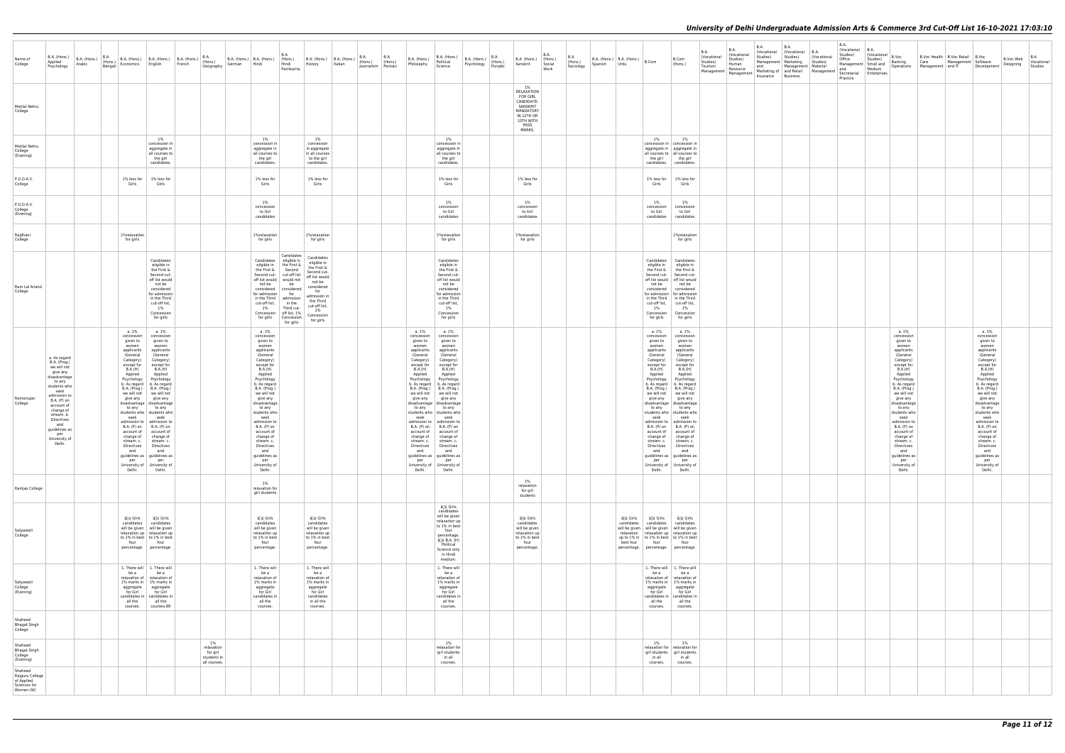| Name of<br>College                                                    | B.A. (Hons.)<br>Applied<br>Psychology                                                                                                                                                                                                                     | B.A. (Hons.)<br>Arabic | <b>B.A.</b><br>(Hons.)<br>Bengali | Economics English                                                                                                                                                                                                                                                               |                                                                                                                                                                                                                                                                                                                                                                                                                                                                                        | $\mathsf{B.A.}$ (Hons.) $\left  \mathsf{B.A.}$ (Hons.) $\left  \mathsf{B.A.}$ (Hons.) $\left  \mathsf{B.A.}$ (Hons.) $\left  \mathsf{B.A.} \right $ (Hons.)<br>French<br>Geography | German Hindi | B.A. (Hons.)   B.A. (Hons.)   (Hons.)                                                                                                                                                                                                                                                                                                                                                          | <b>B.A.</b><br>Hindi<br>Patrikarita                                                                                                                                                                                                                                                          | History                                                                                                                                                                                 | B.A. (Hons.) $\Big $ B.A. (Hons.) $\Big $ B.A. (Hons.)<br>Italian | Journalism Persian | <b>B.A.</b><br>(Hons.) | B.A. (Hons.)<br>Philosophy                                                                                                                                                                                                                                                                                                            | <b>B.A.</b> (Hons.)<br>Political<br>Science                                                                                                                                                                                                                                                                                                                                                                                     | $B.A.$ (Hons.) $\begin{bmatrix}$ Hons.)<br>Psychology Punjabi | B.A. (Hons.) (Hons.)<br>Sanskrit                                                                                    | <b>B.A.</b><br><b>B.A.</b><br>(Hons.)<br>Social<br>Sociology<br>Work | Spanish | B.A. (Hons.)   B.A. (Hons.)   B.Com<br>  Urdu |                                                                                                                                                                                                                                               | B.Com<br>(Hons.)                                                                                                                                                                                                                                                                                                                                                                                                                                                                                                               | B.A.<br>(Vocational<br>Studies)<br>Tourism | <b>B.A.</b><br>Vocational<br>Studies)<br>Human<br>Resource<br>Management   Nesource | <b>B.A.</b><br>Studies)<br>and<br>Insurance Business | <b>B.A.</b><br>(Vocational (Vocational B.A.<br>Studies)<br>Management   Marketing   Studies)<br>Management   Material<br>Marketing of   and Retail   Management | (Vocational | <b>B.A.</b><br>(Vocational B.A.<br>Studies)<br>Office<br>and<br>Practice | Vocational B.Voc<br>Studies)<br>Management Small and<br>Medium<br>Secretarial Enterprises | Banking                                                                                                                                                                                                                                                                                                                                                                                        | Care<br>Operations Management and IT | B.Voc Health   B.Voc Retail   B.Voc<br>Management Software | Development                                                                                                                                                                                                                                                                                                                                                                                    | B.Voc Web<br>Designing | B.A<br>Vocational<br>Studies |
|-----------------------------------------------------------------------|-----------------------------------------------------------------------------------------------------------------------------------------------------------------------------------------------------------------------------------------------------------|------------------------|-----------------------------------|---------------------------------------------------------------------------------------------------------------------------------------------------------------------------------------------------------------------------------------------------------------------------------|----------------------------------------------------------------------------------------------------------------------------------------------------------------------------------------------------------------------------------------------------------------------------------------------------------------------------------------------------------------------------------------------------------------------------------------------------------------------------------------|------------------------------------------------------------------------------------------------------------------------------------------------------------------------------------|--------------|------------------------------------------------------------------------------------------------------------------------------------------------------------------------------------------------------------------------------------------------------------------------------------------------------------------------------------------------------------------------------------------------|----------------------------------------------------------------------------------------------------------------------------------------------------------------------------------------------------------------------------------------------------------------------------------------------|-----------------------------------------------------------------------------------------------------------------------------------------------------------------------------------------|-------------------------------------------------------------------|--------------------|------------------------|---------------------------------------------------------------------------------------------------------------------------------------------------------------------------------------------------------------------------------------------------------------------------------------------------------------------------------------|---------------------------------------------------------------------------------------------------------------------------------------------------------------------------------------------------------------------------------------------------------------------------------------------------------------------------------------------------------------------------------------------------------------------------------|---------------------------------------------------------------|---------------------------------------------------------------------------------------------------------------------|----------------------------------------------------------------------|---------|-----------------------------------------------|-----------------------------------------------------------------------------------------------------------------------------------------------------------------------------------------------------------------------------------------------|--------------------------------------------------------------------------------------------------------------------------------------------------------------------------------------------------------------------------------------------------------------------------------------------------------------------------------------------------------------------------------------------------------------------------------------------------------------------------------------------------------------------------------|--------------------------------------------|-------------------------------------------------------------------------------------|------------------------------------------------------|-----------------------------------------------------------------------------------------------------------------------------------------------------------------|-------------|--------------------------------------------------------------------------|-------------------------------------------------------------------------------------------|------------------------------------------------------------------------------------------------------------------------------------------------------------------------------------------------------------------------------------------------------------------------------------------------------------------------------------------------------------------------------------------------|--------------------------------------|------------------------------------------------------------|------------------------------------------------------------------------------------------------------------------------------------------------------------------------------------------------------------------------------------------------------------------------------------------------------------------------------------------------------------------------------------------------|------------------------|------------------------------|
| Motilal Nehru<br>College                                              |                                                                                                                                                                                                                                                           |                        |                                   |                                                                                                                                                                                                                                                                                 |                                                                                                                                                                                                                                                                                                                                                                                                                                                                                        |                                                                                                                                                                                    |              |                                                                                                                                                                                                                                                                                                                                                                                                |                                                                                                                                                                                                                                                                                              |                                                                                                                                                                                         |                                                                   |                    |                        |                                                                                                                                                                                                                                                                                                                                       |                                                                                                                                                                                                                                                                                                                                                                                                                                 |                                                               | $1\%$<br>RELAXATION<br>FOR GIRL<br>CANDIDATE.<br>SANSKRIT<br>MANDATORY<br>IN 12TH OR<br>10TH WITH<br>PASS<br>MARKS. |                                                                      |         |                                               |                                                                                                                                                                                                                                               |                                                                                                                                                                                                                                                                                                                                                                                                                                                                                                                                |                                            |                                                                                     |                                                      |                                                                                                                                                                 |             |                                                                          |                                                                                           |                                                                                                                                                                                                                                                                                                                                                                                                |                                      |                                                            |                                                                                                                                                                                                                                                                                                                                                                                                |                        |                              |
| Motilal Nehru<br>College<br>(Evening)                                 |                                                                                                                                                                                                                                                           |                        |                                   |                                                                                                                                                                                                                                                                                 | 1%<br>concession in<br>aggregate in<br>all courses to<br>the girl<br>candidates.                                                                                                                                                                                                                                                                                                                                                                                                       |                                                                                                                                                                                    |              | 1%<br>concession in<br>aggregate in<br>all courses to<br>the girl<br>candidates.                                                                                                                                                                                                                                                                                                               |                                                                                                                                                                                                                                                                                              | 1%<br>concession<br>in aggregate<br>in all courses<br>to the girl<br>candidates.                                                                                                        |                                                                   |                    |                        |                                                                                                                                                                                                                                                                                                                                       | 1%<br>concession in<br>aggregate in<br>all courses to<br>the girl<br>candidates.                                                                                                                                                                                                                                                                                                                                                |                                                               |                                                                                                                     |                                                                      |         |                                               | $1\%$                                                                                                                                                                                                                                         | 1%<br>concession in   concession in<br>aggregate in   aggregate in<br>all courses to all courses to<br>the girl the girl<br>candidates. candidates.                                                                                                                                                                                                                                                                                                                                                                            |                                            |                                                                                     |                                                      |                                                                                                                                                                 |             |                                                                          |                                                                                           |                                                                                                                                                                                                                                                                                                                                                                                                |                                      |                                                            |                                                                                                                                                                                                                                                                                                                                                                                                |                        |                              |
| P.G.D.A.V.<br>College                                                 |                                                                                                                                                                                                                                                           |                        |                                   | Girls                                                                                                                                                                                                                                                                           | 1% less for 1% less for<br>Girls                                                                                                                                                                                                                                                                                                                                                                                                                                                       |                                                                                                                                                                                    |              | 1% less for<br>Girls                                                                                                                                                                                                                                                                                                                                                                           |                                                                                                                                                                                                                                                                                              | 1% less for<br>Girls                                                                                                                                                                    |                                                                   |                    |                        |                                                                                                                                                                                                                                                                                                                                       | 1% less for<br>Girls                                                                                                                                                                                                                                                                                                                                                                                                            |                                                               | 1% less for<br>Girls                                                                                                |                                                                      |         |                                               | Girls                                                                                                                                                                                                                                         | 1% less for 1% less for<br>Girls                                                                                                                                                                                                                                                                                                                                                                                                                                                                                               |                                            |                                                                                     |                                                      |                                                                                                                                                                 |             |                                                                          |                                                                                           |                                                                                                                                                                                                                                                                                                                                                                                                |                                      |                                                            |                                                                                                                                                                                                                                                                                                                                                                                                |                        |                              |
| P.G.D.A.V.<br>College<br>(Evening)                                    |                                                                                                                                                                                                                                                           |                        |                                   |                                                                                                                                                                                                                                                                                 |                                                                                                                                                                                                                                                                                                                                                                                                                                                                                        |                                                                                                                                                                                    |              | 1%<br>concession<br>to Girl<br>candidates                                                                                                                                                                                                                                                                                                                                                      |                                                                                                                                                                                                                                                                                              |                                                                                                                                                                                         |                                                                   |                    |                        |                                                                                                                                                                                                                                                                                                                                       | 1%<br>concession<br>to Girl<br>candidates                                                                                                                                                                                                                                                                                                                                                                                       |                                                               | 1%<br>concession<br>to Girl<br>candidates                                                                           |                                                                      |         |                                               | 1%<br>concession<br>to Girl<br>candidates                                                                                                                                                                                                     | 1%<br>concession<br>to Girl<br>candidates                                                                                                                                                                                                                                                                                                                                                                                                                                                                                      |                                            |                                                                                     |                                                      |                                                                                                                                                                 |             |                                                                          |                                                                                           |                                                                                                                                                                                                                                                                                                                                                                                                |                                      |                                                            |                                                                                                                                                                                                                                                                                                                                                                                                |                        |                              |
| Rajdhani<br>College                                                   |                                                                                                                                                                                                                                                           |                        |                                   | 1%relaxation<br>for girls                                                                                                                                                                                                                                                       |                                                                                                                                                                                                                                                                                                                                                                                                                                                                                        |                                                                                                                                                                                    |              | 1%relaxation<br>for girls                                                                                                                                                                                                                                                                                                                                                                      |                                                                                                                                                                                                                                                                                              | 1%relaxation<br>for girls                                                                                                                                                               |                                                                   |                    |                        |                                                                                                                                                                                                                                                                                                                                       | 1%relaxation<br>for girls                                                                                                                                                                                                                                                                                                                                                                                                       |                                                               | 1%relaxation<br>for girls                                                                                           |                                                                      |         |                                               |                                                                                                                                                                                                                                               | 1%relaxation<br>for girls                                                                                                                                                                                                                                                                                                                                                                                                                                                                                                      |                                            |                                                                                     |                                                      |                                                                                                                                                                 |             |                                                                          |                                                                                           |                                                                                                                                                                                                                                                                                                                                                                                                |                                      |                                                            |                                                                                                                                                                                                                                                                                                                                                                                                |                        |                              |
| Ram Lal Anand<br>College                                              |                                                                                                                                                                                                                                                           |                        |                                   |                                                                                                                                                                                                                                                                                 | Candidates<br>eligible in<br>the First &<br>Second cut-<br>off list would<br>not be<br>considered<br>for admission<br>in the Third<br>cut-off list,<br>1%<br>Concession<br>for girls                                                                                                                                                                                                                                                                                                   |                                                                                                                                                                                    |              | eligible in<br>not be<br>considered<br>for admission<br>cut-off list,<br>1%                                                                                                                                                                                                                                                                                                                    | Candidates<br>Candidates eligible in<br>the First $\&$<br>the First $\&$ Second<br>Second cut- cut-off list<br>off list would   would not<br>be<br>considered<br>for<br>in the Third   admission<br>in the<br>Third cut-<br>Concession   off list, 1%  <br>for girls Concession<br>for girls | Candidates<br>eligible in<br>the First &<br>Second cut-<br>off list would<br>not be<br>considered<br>for<br>admission in<br>the Third<br>cut-off list,<br>1%<br>Concession<br>for girls |                                                                   |                    |                        |                                                                                                                                                                                                                                                                                                                                       | Candidates<br>eligible in<br>the First &<br>Second cut-<br>off list would<br>not be<br>considered<br>for admission<br>in the Third<br>cut-off list,<br>1%<br>Concession<br>for girls                                                                                                                                                                                                                                            |                                                               |                                                                                                                     |                                                                      |         |                                               | Candidates  <br>eligible in<br>not be<br>considered<br>cut-off list,<br>1%<br>Concession<br>for girls                                                                                                                                         | Candidates<br>eligible in<br>the First $\&$ the First $\&$<br>Second cut- Second cut-<br>off list would   off list would<br>not be<br>considered<br>for admission   for admission<br>in the Third   in the Third<br>cut-off list,<br>1%<br>Concession<br>for girls                                                                                                                                                                                                                                                             |                                            |                                                                                     |                                                      |                                                                                                                                                                 |             |                                                                          |                                                                                           |                                                                                                                                                                                                                                                                                                                                                                                                |                                      |                                                            |                                                                                                                                                                                                                                                                                                                                                                                                |                        |                              |
| Ramanujan<br>College                                                  | a. As regard<br>B.A. (Prog.)<br>we will not<br>give any<br>disadvantage<br>to any<br>students who<br>seek<br>admission to<br>B.A. (P) on<br>account of<br>change of<br>stream. b.<br>Directives<br>and<br>guidelines as<br>per<br>University of<br>Delhi. |                        |                                   | a. 1%<br>concession<br>given to<br>women<br>applicants<br>(General<br>Category)<br>except for<br><b>B.A.(H)</b><br>Applied<br>Psychology<br>b. As regard   b. As regard<br>B.A. (Prog.)   B.A. (Prog.)<br>give any<br>seek<br>B.A. (P) on   B.A. (P) on<br>and<br>per<br>Delhi. | a. 1%<br>concession<br>given to<br>women<br>applicants<br>(General<br>Category)<br>except for<br>B.A.(H)<br>Applied<br>Psychology<br>we will not we will not<br>give any<br>disadvantage disadvantage<br>to any to any<br>students who   students who<br>seek<br>admission to admission to<br>account of account of<br>change of change of<br>stream. c. stream. c.<br>Directives   Directives<br>and<br>guidelines as guidelines as<br>per<br>University of   University of<br>Delhi. |                                                                                                                                                                                    |              | a. 1%<br>concession<br>given to<br>women<br>applicants<br>(General<br>Category)<br>except for<br>B.A.(H)<br>Applied<br>Psychology<br>b. As regard<br>B.A. (Prog.)<br>we will not<br>give any<br>disadvantage<br>to any<br>students who<br>seek<br>admission to<br>B.A. (P) on<br>account of<br>change of<br>stream. c.<br>Directives<br>and<br>guidelines as<br>per<br>University of<br>Delhi. |                                                                                                                                                                                                                                                                                              |                                                                                                                                                                                         |                                                                   |                    |                        | a. 1%<br>concession<br>given to<br>women<br>applicants<br>(General<br>Category)<br>except for<br>B.A.(H)<br>Applied<br>Psychology<br>b. As regard<br>B.A. (Prog.)<br>give any<br>to any<br>students who   students who<br>seek<br>B.A. (P) on<br>and<br>guidelines as   guidelines as<br>per<br>University of University of<br>Delhi. | a. 1%<br>concession<br>given to<br>women<br>applicants<br>(General<br>Category)<br>except for<br>B.A.(H)<br>Applied<br>Psychology<br>b. As regard<br>B.A. (Prog.)<br>we will not   we will not<br>give any<br>disadvantage disadvantage<br>to any<br>seek<br>admission to admission to<br>B.A. (P) on<br>account of account of<br>change of change of<br>stream. c. stream. c.<br>Directives Directives<br>and<br>per<br>Delhi. |                                                               |                                                                                                                     |                                                                      |         |                                               | a. 1%<br>concession<br>given to<br>women<br>applicants<br>(General<br>Category)<br>except for<br><b>B.A.(H)</b><br>Applied<br>Psychology<br>b. As regard<br>B.A. (Prog.)<br>give any<br>to any<br>seek<br>B.A. (P) on<br>and<br>per<br>Delhi. | a. 1%<br>concession<br>given to<br>women<br>applicants<br>(General<br>Category)<br>except for<br>B.A.(H)<br>Applied<br>Psychology<br>b. As regard<br>B.A. (Prog.)<br>we will not   we will not<br>give any<br>disadvantage   disadvantage<br>to any<br>students who   students who<br>seek<br>admission to admission to<br>B.A. (P) on<br>account of account of<br>change of change of<br>stream. c. stream. c.<br>Directives Directives<br>and<br>guidelines as guidelines as<br>per<br>University of University of<br>Delhi. |                                            |                                                                                     |                                                      |                                                                                                                                                                 |             |                                                                          |                                                                                           | a. 1%<br>concession<br>given to<br>women<br>applicants<br>(General<br>Category)<br>except for<br>B.A.(H)<br>Applied<br>Psychology<br>b. As regard<br>B.A. (Prog.)<br>we will not<br>give any<br>disadvantage<br>to any<br>students who<br>seek<br>admission to<br>B.A. (P) on<br>account of<br>change of<br>stream. c.<br>Directives<br>and<br>guidelines as<br>per<br>University of<br>Delhi. |                                      |                                                            | a. 1%<br>concession<br>given to<br>women<br>applicants<br>(General<br>Category)<br>except for<br>B.A.(H)<br>Applied<br>Psychology<br>b. As regard<br>B.A. (Prog.)<br>we will not<br>give any<br>disadvantage<br>to any<br>students who<br>seek<br>admission to<br>B.A. (P) on<br>account of<br>change of<br>stream. c.<br>Directives<br>and<br>guidelines as<br>per<br>University of<br>Delhi. |                        |                              |
| Ramjas College                                                        |                                                                                                                                                                                                                                                           |                        |                                   |                                                                                                                                                                                                                                                                                 |                                                                                                                                                                                                                                                                                                                                                                                                                                                                                        |                                                                                                                                                                                    |              | <b>STATE</b><br>1%<br>relaxation for<br>girl students                                                                                                                                                                                                                                                                                                                                          |                                                                                                                                                                                                                                                                                              |                                                                                                                                                                                         |                                                                   |                    |                        |                                                                                                                                                                                                                                                                                                                                       |                                                                                                                                                                                                                                                                                                                                                                                                                                 |                                                               | $1\%$<br>relaxation<br>for girl<br>students                                                                         |                                                                      |         |                                               |                                                                                                                                                                                                                                               |                                                                                                                                                                                                                                                                                                                                                                                                                                                                                                                                |                                            |                                                                                     |                                                      |                                                                                                                                                                 |             |                                                                          |                                                                                           |                                                                                                                                                                                                                                                                                                                                                                                                |                                      |                                                            |                                                                                                                                                                                                                                                                                                                                                                                                |                        |                              |
| Satyawati<br>College                                                  |                                                                                                                                                                                                                                                           |                        |                                   | four four                                                                                                                                                                                                                                                                       | â∏¢ Girls   â∏¢ Girls<br>candidates candidates<br>will be given   will be given<br>relaxation up relaxation up<br>to 1% in best   to 1% in best<br>percentage. percentage.                                                                                                                                                                                                                                                                                                             |                                                                                                                                                                                    |              | â∏¢ Girls<br>candidates<br>will be given<br>relaxation up<br>to 1% in best<br>four<br>percentage.                                                                                                                                                                                                                                                                                              |                                                                                                                                                                                                                                                                                              | â∏¢ Girls<br>candidates<br>will be given<br>relaxation up<br>to 1% in best<br>four<br>percentage.                                                                                       |                                                                   |                    |                        |                                                                                                                                                                                                                                                                                                                                       | â∏¢ Girls<br>candidates<br>will be given<br>relaxation up<br>to 1% in best<br>four<br>percentage.<br>â∏¢ B.A. (H)<br>Political<br>Science only<br>in Hindi<br>medium.                                                                                                                                                                                                                                                           |                                                               | â∏¢ Girls<br>candidates<br>will be given<br>relaxation up<br>to 1% in best<br>four<br>percentage.                   |                                                                      |         |                                               | best four   four   four                                                                                                                                                                                                                       | â∏¢ Girls   â∏¢ Girls   â∏¢ Girls<br>candidates candidates candidates<br>will be given   will be given   will be given<br>relaxation relaxation up relaxation up<br>up to 1% in   to 1% in best   to 1% in best<br>percentage. percentage. percentage.                                                                                                                                                                                                                                                                         |                                            |                                                                                     |                                                      |                                                                                                                                                                 |             |                                                                          |                                                                                           |                                                                                                                                                                                                                                                                                                                                                                                                |                                      |                                                            |                                                                                                                                                                                                                                                                                                                                                                                                |                        |                              |
| Satyawati<br>College<br>(Evening)                                     |                                                                                                                                                                                                                                                           |                        |                                   | all the                                                                                                                                                                                                                                                                         | 1. There will 1. There will<br>bea   bea<br>relaxation of relaxation of<br>1% marks in   1% marks in<br>aggregate aggregate<br>for Girl for Girl<br>candidates in candidates in<br>all the<br>courses. courses.89                                                                                                                                                                                                                                                                      |                                                                                                                                                                                    |              | 1. There will<br>be a<br>relaxation of<br>1% marks in<br>aggregate<br>for Girl<br>candidates in<br>all the<br>courses.                                                                                                                                                                                                                                                                         |                                                                                                                                                                                                                                                                                              | 1. There will<br>be a<br>relaxation of<br>1% marks in<br>aggregate<br>for Girl<br>candidates<br>in all the<br>courses.                                                                  |                                                                   |                    |                        |                                                                                                                                                                                                                                                                                                                                       | 1. There will<br>be a<br>relaxation of<br>1% marks in<br>aggregate<br>for Girl<br>candidates in<br>all the<br>courses.                                                                                                                                                                                                                                                                                                          |                                                               |                                                                                                                     |                                                                      |         |                                               | all the<br>courses.                                                                                                                                                                                                                           | 1. There will 1. There will<br>bea bea<br>relaxation of relaxation of<br>1% marks in   1% marks in<br>aggregate aggregate<br>for Girl for Girl<br>candidates in   candidates in<br>all the<br>courses.                                                                                                                                                                                                                                                                                                                         |                                            |                                                                                     |                                                      |                                                                                                                                                                 |             |                                                                          |                                                                                           |                                                                                                                                                                                                                                                                                                                                                                                                |                                      |                                                            |                                                                                                                                                                                                                                                                                                                                                                                                |                        |                              |
| Shaheed<br><b>Bhagat Singh</b><br>College                             |                                                                                                                                                                                                                                                           |                        |                                   |                                                                                                                                                                                                                                                                                 |                                                                                                                                                                                                                                                                                                                                                                                                                                                                                        |                                                                                                                                                                                    |              |                                                                                                                                                                                                                                                                                                                                                                                                |                                                                                                                                                                                                                                                                                              |                                                                                                                                                                                         |                                                                   |                    |                        |                                                                                                                                                                                                                                                                                                                                       |                                                                                                                                                                                                                                                                                                                                                                                                                                 |                                                               |                                                                                                                     |                                                                      |         |                                               |                                                                                                                                                                                                                                               |                                                                                                                                                                                                                                                                                                                                                                                                                                                                                                                                |                                            |                                                                                     |                                                      |                                                                                                                                                                 |             |                                                                          |                                                                                           |                                                                                                                                                                                                                                                                                                                                                                                                |                                      |                                                            |                                                                                                                                                                                                                                                                                                                                                                                                |                        |                              |
| Shaheed<br><b>Bhagat Singh</b><br>College<br>(Evening)                |                                                                                                                                                                                                                                                           |                        |                                   |                                                                                                                                                                                                                                                                                 |                                                                                                                                                                                                                                                                                                                                                                                                                                                                                        | 1%<br>relaxation<br>for girl<br>students in<br>all courses.                                                                                                                        |              |                                                                                                                                                                                                                                                                                                                                                                                                |                                                                                                                                                                                                                                                                                              |                                                                                                                                                                                         |                                                                   |                    |                        |                                                                                                                                                                                                                                                                                                                                       | 1%<br>relaxation for<br>girl students<br>in all<br>courses.                                                                                                                                                                                                                                                                                                                                                                     |                                                               |                                                                                                                     |                                                                      |         |                                               | in all<br>courses.                                                                                                                                                                                                                            | 1% 1%<br>relaxation for relaxation for<br>girl students girl students<br>in all<br>courses.                                                                                                                                                                                                                                                                                                                                                                                                                                    |                                            |                                                                                     |                                                      |                                                                                                                                                                 |             |                                                                          |                                                                                           |                                                                                                                                                                                                                                                                                                                                                                                                |                                      |                                                            |                                                                                                                                                                                                                                                                                                                                                                                                |                        |                              |
| Shaheed<br>Rajguru College<br>of Applied<br>Sciences for<br>Women (W) |                                                                                                                                                                                                                                                           |                        |                                   |                                                                                                                                                                                                                                                                                 |                                                                                                                                                                                                                                                                                                                                                                                                                                                                                        |                                                                                                                                                                                    |              |                                                                                                                                                                                                                                                                                                                                                                                                |                                                                                                                                                                                                                                                                                              |                                                                                                                                                                                         |                                                                   |                    |                        |                                                                                                                                                                                                                                                                                                                                       |                                                                                                                                                                                                                                                                                                                                                                                                                                 |                                                               |                                                                                                                     |                                                                      |         |                                               |                                                                                                                                                                                                                                               |                                                                                                                                                                                                                                                                                                                                                                                                                                                                                                                                |                                            |                                                                                     |                                                      |                                                                                                                                                                 |             |                                                                          |                                                                                           |                                                                                                                                                                                                                                                                                                                                                                                                |                                      |                                                            |                                                                                                                                                                                                                                                                                                                                                                                                |                        |                              |